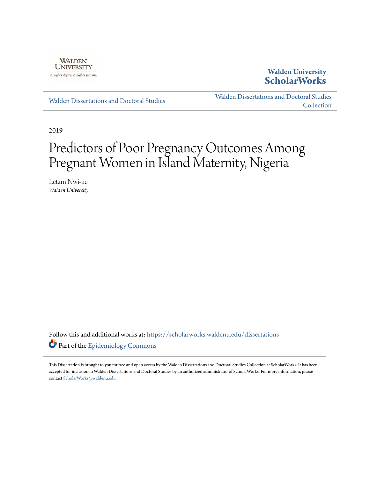

# **Walden University [ScholarWorks](https://scholarworks.waldenu.edu?utm_source=scholarworks.waldenu.edu%2Fdissertations%2F7245&utm_medium=PDF&utm_campaign=PDFCoverPages)**

[Walden Dissertations and Doctoral Studies](https://scholarworks.waldenu.edu/dissertations?utm_source=scholarworks.waldenu.edu%2Fdissertations%2F7245&utm_medium=PDF&utm_campaign=PDFCoverPages)

[Walden Dissertations and Doctoral Studies](https://scholarworks.waldenu.edu/dissanddoc?utm_source=scholarworks.waldenu.edu%2Fdissertations%2F7245&utm_medium=PDF&utm_campaign=PDFCoverPages) **[Collection](https://scholarworks.waldenu.edu/dissanddoc?utm_source=scholarworks.waldenu.edu%2Fdissertations%2F7245&utm_medium=PDF&utm_campaign=PDFCoverPages)** 

2019

# Predictors of Poor Pregnancy Outcomes Among Pregnant Women in Island Maternity, Nigeria

Letam Nwi-ue *Walden University*

Follow this and additional works at: [https://scholarworks.waldenu.edu/dissertations](https://scholarworks.waldenu.edu/dissertations?utm_source=scholarworks.waldenu.edu%2Fdissertations%2F7245&utm_medium=PDF&utm_campaign=PDFCoverPages) Part of the [Epidemiology Commons](http://network.bepress.com/hgg/discipline/740?utm_source=scholarworks.waldenu.edu%2Fdissertations%2F7245&utm_medium=PDF&utm_campaign=PDFCoverPages)

This Dissertation is brought to you for free and open access by the Walden Dissertations and Doctoral Studies Collection at ScholarWorks. It has been accepted for inclusion in Walden Dissertations and Doctoral Studies by an authorized administrator of ScholarWorks. For more information, please contact [ScholarWorks@waldenu.edu](mailto:ScholarWorks@waldenu.edu).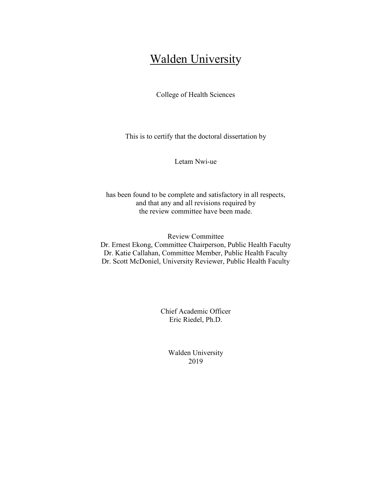# **Walden University**

College of Health Sciences

This is to certify that the doctoral dissertation by

Letam Nwi-ue

has been found to be complete and satisfactory in all respects, and that any and all revisions required by the review committee have been made.

Review Committee Dr. Ernest Ekong, Committee Chairperson, Public Health Faculty Dr. Katie Callahan, Committee Member, Public Health Faculty Dr. Scott McDoniel, University Reviewer, Public Health Faculty

> Chief Academic Officer Eric Riedel, Ph.D.

> > Walden University 2019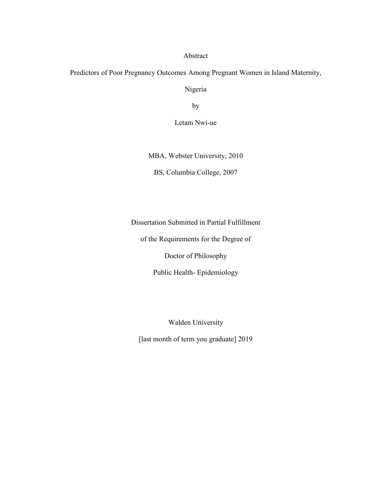Abstract

Predictors of Poor Pregnancy Outcomes Among Pregnant Women in Island Maternity,

Nigeria

by

Letam Nwi-ue

MBA, Webster University, 2010

BS, Columbia College, 2007

Dissertation Submitted in Partial Fulfillment

of the Requirements for the Degree of

Doctor of Philosophy

Public Health- Epidemiology

Walden University

[last month of term you graduate] 2019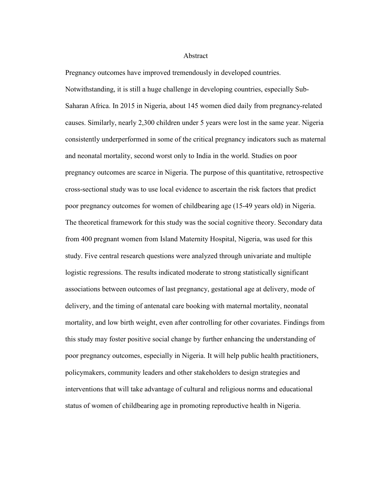#### **Abstract**

Pregnancy outcomes have improved tremendously in developed countries. Notwithstanding, it is still a huge challenge in developing countries, especially Sub-Saharan Africa. In 2015 in Nigeria, about 145 women died daily from pregnancy-related causes. Similarly, nearly 2,300 children under 5 years were lost in the same year. Nigeria consistently underperformed in some of the critical pregnancy indicators such as maternal and neonatal mortality, second worst only to India in the world. Studies on poor pregnancy outcomes are scarce in Nigeria. The purpose of this quantitative, retrospective cross-sectional study was to use local evidence to ascertain the risk factors that predict poor pregnancy outcomes for women of childbearing age (15-49 years old) in Nigeria. The theoretical framework for this study was the social cognitive theory. Secondary data from 400 pregnant women from Island Maternity Hospital, Nigeria, was used for this study. Five central research questions were analyzed through univariate and multiple logistic regressions. The results indicated moderate to strong statistically significant associations between outcomes of last pregnancy, gestational age at delivery, mode of delivery, and the timing of antenatal care booking with maternal mortality, neonatal mortality, and low birth weight, even after controlling for other covariates. Findings from this study may foster positive social change by further enhancing the understanding of poor pregnancy outcomes, especially in Nigeria. It will help public health practitioners, policymakers, community leaders and other stakeholders to design strategies and interventions that will take advantage of cultural and religious norms and educational status of women of childbearing age in promoting reproductive health in Nigeria.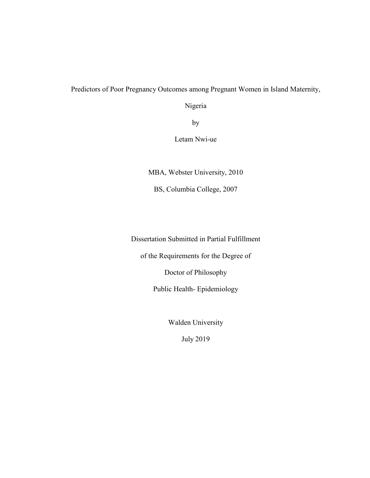### Predictors of Poor Pregnancy Outcomes among Pregnant Women in Island Maternity,

Nigeria

by

Letam Nwi-ue

MBA, Webster University, 2010

BS, Columbia College, 2007

Dissertation Submitted in Partial Fulfillment

of the Requirements for the Degree of

Doctor of Philosophy

Public Health- Epidemiology

Walden University

July 2019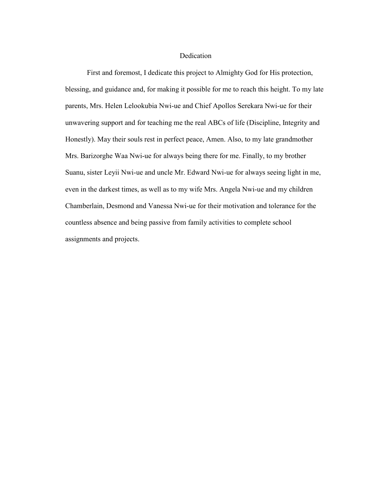#### Dedication

First and foremost, I dedicate this project to Almighty God for His protection, blessing, and guidance and, for making it possible for me to reach this height. To my late parents, Mrs. Helen Lelookubia Nwi-ue and Chief Apollos Serekara Nwi-ue for their unwavering support and for teaching me the real ABCs of life (Discipline, Integrity and Honestly). May their souls rest in perfect peace, Amen. Also, to my late grandmother Mrs. Barizorghe Waa Nwi-ue for always being there for me. Finally, to my brother Suanu, sister Leyii Nwi-ue and uncle Mr. Edward Nwi-ue for always seeing light in me, even in the darkest times, as well as to my wife Mrs. Angela Nwi-ue and my children Chamberlain, Desmond and Vanessa Nwi-ue for their motivation and tolerance for the countless absence and being passive from family activities to complete school assignments and projects.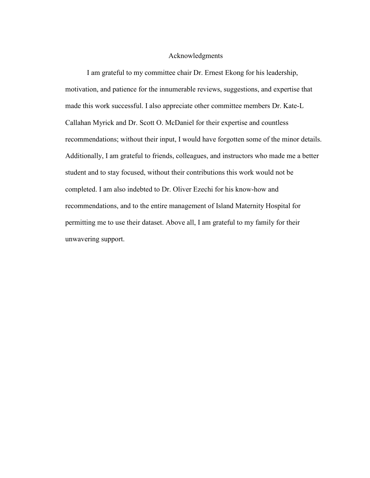#### Acknowledgments

I am grateful to my committee chair Dr. Ernest Ekong for his leadership, motivation, and patience for the innumerable reviews, suggestions, and expertise that made this work successful. I also appreciate other committee members Dr. Kate-L Callahan Myrick and Dr. Scott O. McDaniel for their expertise and countless recommendations; without their input, I would have forgotten some of the minor details. Additionally, I am grateful to friends, colleagues, and instructors who made me a better student and to stay focused, without their contributions this work would not be completed. I am also indebted to Dr. Oliver Ezechi for his know-how and recommendations, and to the entire management of Island Maternity Hospital for permitting me to use their dataset. Above all, I am grateful to my family for their unwavering support.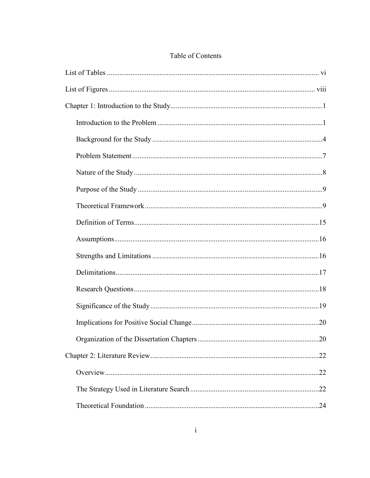## Table of Contents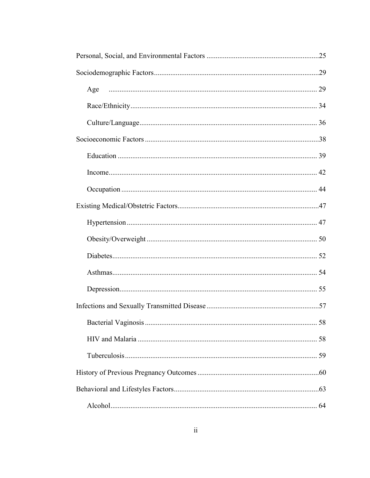| Age |    |
|-----|----|
|     |    |
|     |    |
|     |    |
|     |    |
|     |    |
|     |    |
|     |    |
|     |    |
|     |    |
|     |    |
|     |    |
|     |    |
|     |    |
|     | 58 |
|     |    |
|     |    |
|     |    |
|     |    |
|     |    |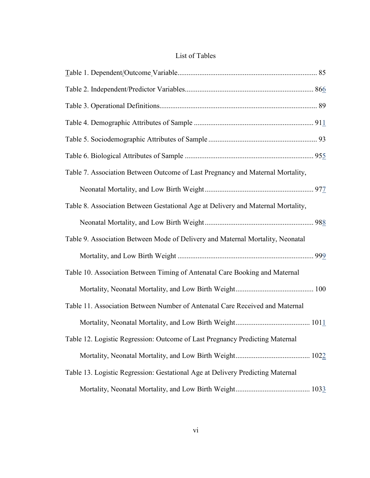|  | List of Tables |
|--|----------------|
|--|----------------|

| Table 7. Association Between Outcome of Last Pregnancy and Maternal Mortality,   |  |
|----------------------------------------------------------------------------------|--|
|                                                                                  |  |
| Table 8. Association Between Gestational Age at Delivery and Maternal Mortality, |  |
|                                                                                  |  |
| Table 9. Association Between Mode of Delivery and Maternal Mortality, Neonatal   |  |
|                                                                                  |  |
| Table 10. Association Between Timing of Antenatal Care Booking and Maternal      |  |
|                                                                                  |  |
| Table 11. Association Between Number of Antenatal Care Received and Maternal     |  |
|                                                                                  |  |
| Table 12. Logistic Regression: Outcome of Last Pregnancy Predicting Maternal     |  |
|                                                                                  |  |
| Table 13. Logistic Regression: Gestational Age at Delivery Predicting Maternal   |  |
|                                                                                  |  |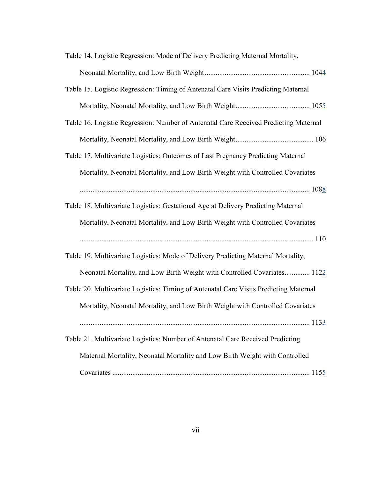| Table 14. Logistic Regression: Mode of Delivery Predicting Maternal Mortality,        |
|---------------------------------------------------------------------------------------|
|                                                                                       |
| Table 15. Logistic Regression: Timing of Antenatal Care Visits Predicting Maternal    |
|                                                                                       |
| Table 16. Logistic Regression: Number of Antenatal Care Received Predicting Maternal  |
|                                                                                       |
| Table 17. Multivariate Logistics: Outcomes of Last Pregnancy Predicting Maternal      |
| Mortality, Neonatal Mortality, and Low Birth Weight with Controlled Covariates        |
|                                                                                       |
| Table 18. Multivariate Logistics: Gestational Age at Delivery Predicting Maternal     |
| Mortality, Neonatal Mortality, and Low Birth Weight with Controlled Covariates        |
|                                                                                       |
| Table 19. Multivariate Logistics: Mode of Delivery Predicting Maternal Mortality,     |
| Neonatal Mortality, and Low Birth Weight with Controlled Covariates 1122              |
| Table 20. Multivariate Logistics: Timing of Antenatal Care Visits Predicting Maternal |
| Mortality, Neonatal Mortality, and Low Birth Weight with Controlled Covariates        |
|                                                                                       |
| Table 21. Multivariate Logistics: Number of Antenatal Care Received Predicting        |
| Maternal Mortality, Neonatal Mortality and Low Birth Weight with Controlled           |
|                                                                                       |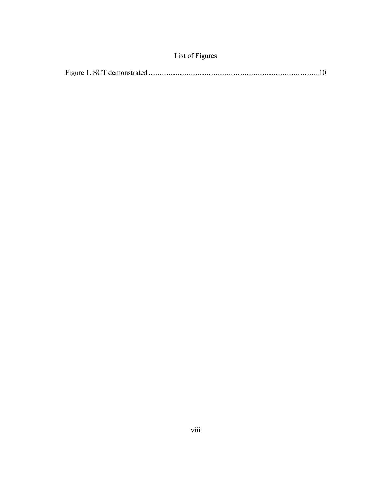|  | List of Figures |  |
|--|-----------------|--|
|--|-----------------|--|

|--|--|--|--|--|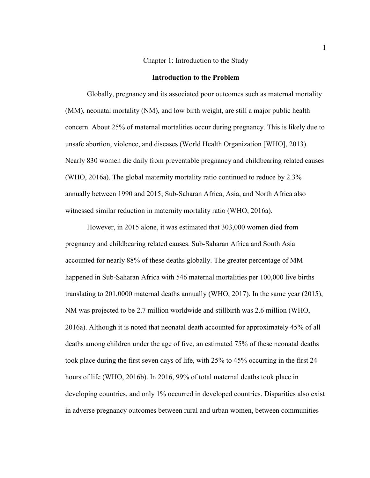#### Chapter 1: Introduction to the Study

#### **Introduction to the Problem**

Globally, pregnancy and its associated poor outcomes such as maternal mortality (MM), neonatal mortality (NM), and low birth weight, are still a major public health concern. About 25% of maternal mortalities occur during pregnancy. This is likely due to unsafe abortion, violence, and diseases (World Health Organization [WHO], 2013). Nearly 830 women die daily from preventable pregnancy and childbearing related causes (WHO, 2016a). The global maternity mortality ratio continued to reduce by 2.3% annually between 1990 and 2015; Sub-Saharan Africa, Asia, and North Africa also witnessed similar reduction in maternity mortality ratio (WHO, 2016a).

However, in 2015 alone, it was estimated that 303,000 women died from pregnancy and childbearing related causes. Sub-Saharan Africa and South Asia accounted for nearly 88% of these deaths globally. The greater percentage of MM happened in Sub-Saharan Africa with 546 maternal mortalities per 100,000 live births translating to 201,0000 maternal deaths annually (WHO, 2017). In the same year (2015), NM was projected to be 2.7 million worldwide and stillbirth was 2.6 million (WHO, 2016a). Although it is noted that neonatal death accounted for approximately 45% of all deaths among children under the age of five, an estimated 75% of these neonatal deaths took place during the first seven days of life, with 25% to 45% occurring in the first 24 hours of life (WHO, 2016b). In 2016, 99% of total maternal deaths took place in developing countries, and only 1% occurred in developed countries. Disparities also exist in adverse pregnancy outcomes between rural and urban women, between communities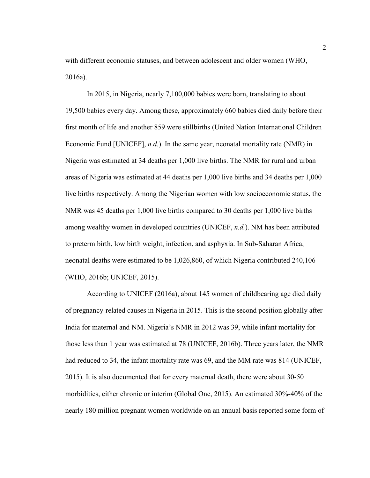with different economic statuses, and between adolescent and older women (WHO, 2016a).

In 2015, in Nigeria, nearly 7,100,000 babies were born, translating to about 19,500 babies every day. Among these, approximately 660 babies died daily before their first month of life and another 859 were stillbirths (United Nation International Children Economic Fund [UNICEF], *n.d.*). In the same year, neonatal mortality rate (NMR) in Nigeria was estimated at 34 deaths per 1,000 live births. The NMR for rural and urban areas of Nigeria was estimated at 44 deaths per 1,000 live births and 34 deaths per 1,000 live births respectively. Among the Nigerian women with low socioeconomic status, the NMR was 45 deaths per 1,000 live births compared to 30 deaths per 1,000 live births among wealthy women in developed countries (UNICEF, *n.d.*). NM has been attributed to preterm birth, low birth weight, infection, and asphyxia. In Sub-Saharan Africa, neonatal deaths were estimated to be 1,026,860, of which Nigeria contributed 240,106 (WHO, 2016b; UNICEF, 2015).

According to UNICEF (2016a), about 145 women of childbearing age died daily of pregnancy-related causes in Nigeria in 2015. This is the second position globally after India for maternal and NM. Nigeria's NMR in 2012 was 39, while infant mortality for those less than 1 year was estimated at 78 (UNICEF, 2016b). Three years later, the NMR had reduced to 34, the infant mortality rate was 69, and the MM rate was 814 (UNICEF, 2015). It is also documented that for every maternal death, there were about 30-50 morbidities, either chronic or interim (Global One, 2015). An estimated 30%-40% of the nearly 180 million pregnant women worldwide on an annual basis reported some form of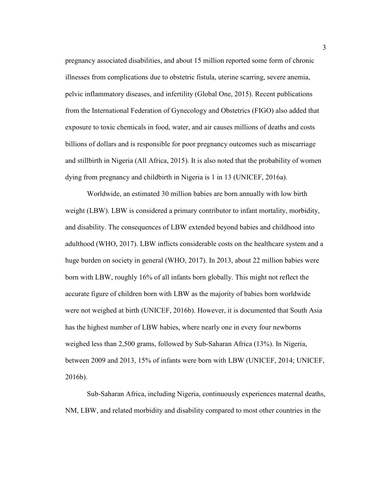pregnancy associated disabilities, and about 15 million reported some form of chronic illnesses from complications due to obstetric fistula, uterine scarring, severe anemia, pelvic inflammatory diseases, and infertility (Global One, 2015). Recent publications from the International Federation of Gynecology and Obstetrics (FIGO) also added that exposure to toxic chemicals in food, water, and air causes millions of deaths and costs billions of dollars and is responsible for poor pregnancy outcomes such as miscarriage and stillbirth in Nigeria (All Africa, 2015). It is also noted that the probability of women dying from pregnancy and childbirth in Nigeria is 1 in 13 (UNICEF, 2016a).

Worldwide, an estimated 30 million babies are born annually with low birth weight (LBW). LBW is considered a primary contributor to infant mortality, morbidity, and disability. The consequences of LBW extended beyond babies and childhood into adulthood (WHO, 2017). LBW inflicts considerable costs on the healthcare system and a huge burden on society in general (WHO, 2017). In 2013, about 22 million babies were born with LBW, roughly 16% of all infants born globally. This might not reflect the accurate figure of children born with LBW as the majority of babies born worldwide were not weighed at birth (UNICEF, 2016b). However, it is documented that South Asia has the highest number of LBW babies, where nearly one in every four newborns weighed less than 2,500 grams, followed by Sub-Saharan Africa (13%). In Nigeria, between 2009 and 2013, 15% of infants were born with LBW (UNICEF, 2014; UNICEF, 2016b).

Sub-Saharan Africa, including Nigeria, continuously experiences maternal deaths, NM, LBW, and related morbidity and disability compared to most other countries in the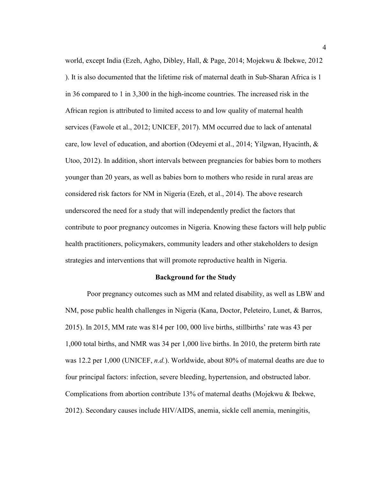world, except India (Ezeh, Agho, Dibley, Hall, & Page, 2014; Mojekwu & Ibekwe, 2012 ). It is also documented that the lifetime risk of maternal death in Sub-Sharan Africa is 1 in 36 compared to 1 in 3,300 in the high-income countries. The increased risk in the African region is attributed to limited access to and low quality of maternal health services (Fawole et al., 2012; UNICEF, 2017). MM occurred due to lack of antenatal care, low level of education, and abortion (Odeyemi et al., 2014; Yilgwan, Hyacinth, & Utoo, 2012). In addition, short intervals between pregnancies for babies born to mothers younger than 20 years, as well as babies born to mothers who reside in rural areas are considered risk factors for NM in Nigeria (Ezeh, et al., 2014). The above research underscored the need for a study that will independently predict the factors that contribute to poor pregnancy outcomes in Nigeria. Knowing these factors will help public health practitioners, policymakers, community leaders and other stakeholders to design strategies and interventions that will promote reproductive health in Nigeria.

#### **Background for the Study**

Poor pregnancy outcomes such as MM and related disability, as well as LBW and NM, pose public health challenges in Nigeria (Kana, Doctor, Peleteiro, Lunet, & Barros, 2015). In 2015, MM rate was 814 per 100, 000 live births, stillbirths' rate was 43 per 1,000 total births, and NMR was 34 per 1,000 live births. In 2010, the preterm birth rate was 12.2 per 1,000 (UNICEF, *n.d.*). Worldwide, about 80% of maternal deaths are due to four principal factors: infection, severe bleeding, hypertension, and obstructed labor. Complications from abortion contribute 13% of maternal deaths (Mojekwu & Ibekwe, 2012). Secondary causes include HIV/AIDS, anemia, sickle cell anemia, meningitis,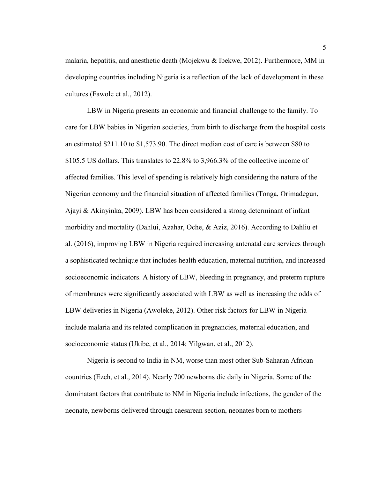malaria, hepatitis, and anesthetic death (Mojekwu & Ibekwe, 2012). Furthermore, MM in developing countries including Nigeria is a reflection of the lack of development in these cultures (Fawole et al., 2012).

LBW in Nigeria presents an economic and financial challenge to the family. To care for LBW babies in Nigerian societies, from birth to discharge from the hospital costs an estimated \$211.10 to \$1,573.90. The direct median cost of care is between \$80 to \$105.5 US dollars. This translates to 22.8% to 3,966.3% of the collective income of affected families. This level of spending is relatively high considering the nature of the Nigerian economy and the financial situation of affected families (Tonga, Orimadegun, Ajayi & Akinyinka, 2009). LBW has been considered a strong determinant of infant morbidity and mortality (Dahlui, Azahar, Oche, & Aziz, 2016). According to Dahliu et al. (2016), improving LBW in Nigeria required increasing antenatal care services through a sophisticated technique that includes health education, maternal nutrition, and increased socioeconomic indicators. A history of LBW, bleeding in pregnancy, and preterm rupture of membranes were significantly associated with LBW as well as increasing the odds of LBW deliveries in Nigeria (Awoleke, 2012). Other risk factors for LBW in Nigeria include malaria and its related complication in pregnancies, maternal education, and socioeconomic status (Ukibe, et al., 2014; Yilgwan, et al., 2012).

Nigeria is second to India in NM, worse than most other Sub-Saharan African countries (Ezeh, et al., 2014). Nearly 700 newborns die daily in Nigeria. Some of the dominatant factors that contribute to NM in Nigeria include infections, the gender of the neonate, newborns delivered through caesarean section, neonates born to mothers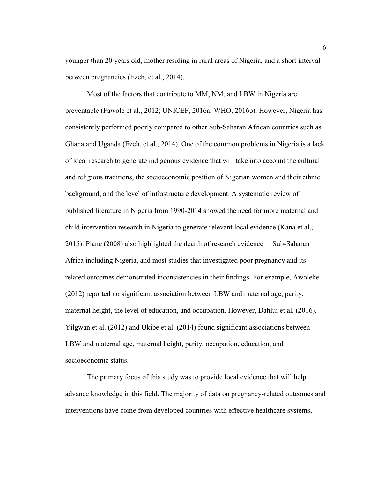younger than 20 years old, mother residing in rural areas of Nigeria, and a short interval between pregnancies (Ezeh, et al., 2014).

Most of the factors that contribute to MM, NM, and LBW in Nigeria are preventable (Fawole et al., 2012; UNICEF, 2016a; WHO, 2016b). However, Nigeria has consistently performed poorly compared to other Sub-Saharan African countries such as Ghana and Uganda (Ezeh, et al., 2014). One of the common problems in Nigeria is a lack of local research to generate indigenous evidence that will take into account the cultural and religious traditions, the socioeconomic position of Nigerian women and their ethnic background, and the level of infrastructure development. A systematic review of published literature in Nigeria from 1990-2014 showed the need for more maternal and child intervention research in Nigeria to generate relevant local evidence (Kana et al., 2015). Piane (2008) also highlighted the dearth of research evidence in Sub-Saharan Africa including Nigeria, and most studies that investigated poor pregnancy and its related outcomes demonstrated inconsistencies in their findings. For example, Awoleke (2012) reported no significant association between LBW and maternal age, parity, maternal height, the level of education, and occupation. However, Dahlui et al. (2016), Yilgwan et al. (2012) and Ukibe et al. (2014) found significant associations between LBW and maternal age, maternal height, parity, occupation, education, and socioeconomic status.

The primary focus of this study was to provide local evidence that will help advance knowledge in this field. The majority of data on pregnancy-related outcomes and interventions have come from developed countries with effective healthcare systems,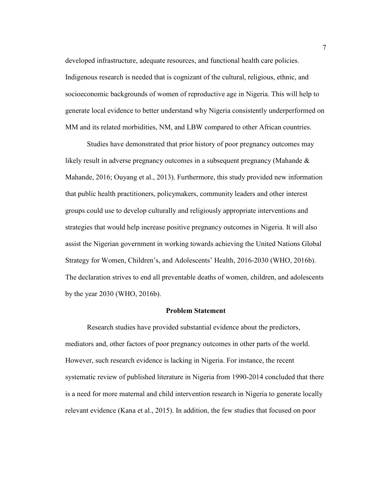developed infrastructure, adequate resources, and functional health care policies. Indigenous research is needed that is cognizant of the cultural, religious, ethnic, and socioeconomic backgrounds of women of reproductive age in Nigeria. This will help to generate local evidence to better understand why Nigeria consistently underperformed on MM and its related morbidities, NM, and LBW compared to other African countries.

Studies have demonstrated that prior history of poor pregnancy outcomes may likely result in adverse pregnancy outcomes in a subsequent pregnancy (Mahande  $\&$ Mahande, 2016; Ouyang et al., 2013). Furthermore, this study provided new information that public health practitioners, policymakers, community leaders and other interest groups could use to develop culturally and religiously appropriate interventions and strategies that would help increase positive pregnancy outcomes in Nigeria. It will also assist the Nigerian government in working towards achieving the United Nations Global Strategy for Women, Children's, and Adolescents' Health, 2016-2030 (WHO, 2016b). The declaration strives to end all preventable deaths of women, children, and adolescents by the year 2030 (WHO, 2016b).

#### **Problem Statement**

Research studies have provided substantial evidence about the predictors, mediators and, other factors of poor pregnancy outcomes in other parts of the world. However, such research evidence is lacking in Nigeria. For instance, the recent systematic review of published literature in Nigeria from 1990-2014 concluded that there is a need for more maternal and child intervention research in Nigeria to generate locally relevant evidence (Kana et al., 2015). In addition, the few studies that focused on poor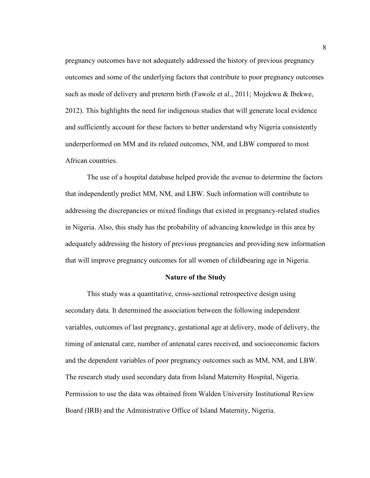pregnancy outcomes have not adequately addressed the history of previous pregnancy outcomes and some of the underlying factors that contribute to poor pregnancy outcomes such as mode of delivery and preterm birth (Fawole et al., 2011; Mojekwu & Ibekwe, 2012). This highlights the need for indigenous studies that will generate local evidence and sufficiently account for these factors to better understand why Nigeria consistently underperformed on MM and its related outcomes, NM, and LBW compared to most African countries.

The use of a hospital database helped provide the avenue to determine the factors that independently predict MM, NM, and LBW. Such information will contribute to addressing the discrepancies or mixed findings that existed in pregnancy-related studies in Nigeria. Also, this study has the probability of advancing knowledge in this area by adequately addressing the history of previous pregnancies and providing new information that will improve pregnancy outcomes for all women of childbearing age in Nigeria.

#### **Nature of the Study**

This study was a quantitative, cross-sectional retrospective design using secondary data. It determined the association between the following independent variables, outcomes of last pregnancy, gestational age at delivery, mode of delivery, the timing of antenatal care, number of antenatal cares received, and socioeconomic factors and the dependent variables of poor pregnancy outcomes such as MM, NM, and LBW. The research study used secondary data from Island Maternity Hospital, Nigeria. Permission to use the data was obtained from Walden University Institutional Review Board (IRB) and the Administrative Office of Island Maternity, Nigeria.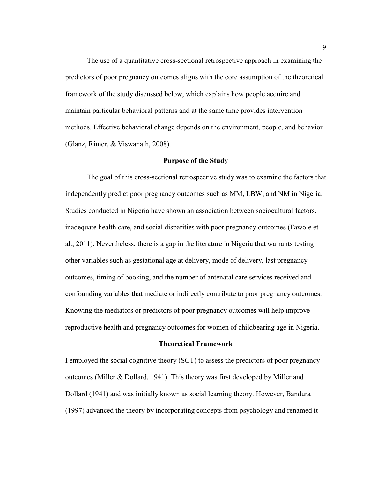The use of a quantitative cross-sectional retrospective approach in examining the predictors of poor pregnancy outcomes aligns with the core assumption of the theoretical framework of the study discussed below, which explains how people acquire and maintain particular behavioral patterns and at the same time provides intervention methods. Effective behavioral change depends on the environment, people, and behavior (Glanz, Rimer, & Viswanath, 2008).

#### **Purpose of the Study**

The goal of this cross-sectional retrospective study was to examine the factors that independently predict poor pregnancy outcomes such as MM, LBW, and NM in Nigeria. Studies conducted in Nigeria have shown an association between sociocultural factors, inadequate health care, and social disparities with poor pregnancy outcomes (Fawole et al., 2011). Nevertheless, there is a gap in the literature in Nigeria that warrants testing other variables such as gestational age at delivery, mode of delivery, last pregnancy outcomes, timing of booking, and the number of antenatal care services received and confounding variables that mediate or indirectly contribute to poor pregnancy outcomes. Knowing the mediators or predictors of poor pregnancy outcomes will help improve reproductive health and pregnancy outcomes for women of childbearing age in Nigeria.

#### **Theoretical Framework**

I employed the social cognitive theory (SCT) to assess the predictors of poor pregnancy outcomes (Miller & Dollard, 1941). This theory was first developed by Miller and Dollard (1941) and was initially known as social learning theory. However, Bandura (1997) advanced the theory by incorporating concepts from psychology and renamed it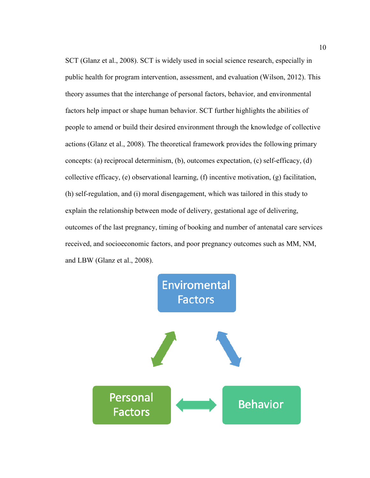SCT (Glanz et al., 2008). SCT is widely used in social science research, especially in public health for program intervention, assessment, and evaluation (Wilson, 2012). This theory assumes that the interchange of personal factors, behavior, and environmental factors help impact or shape human behavior. SCT further highlights the abilities of people to amend or build their desired environment through the knowledge of collective actions (Glanz et al., 2008). The theoretical framework provides the following primary concepts: (a) reciprocal determinism, (b), outcomes expectation, (c) self-efficacy, (d) collective efficacy, (e) observational learning, (f) incentive motivation, (g) facilitation, (h) self-regulation, and (i) moral disengagement, which was tailored in this study to explain the relationship between mode of delivery, gestational age of delivering, outcomes of the last pregnancy, timing of booking and number of antenatal care services received, and socioeconomic factors, and poor pregnancy outcomes such as MM, NM, and LBW (Glanz et al., 2008).

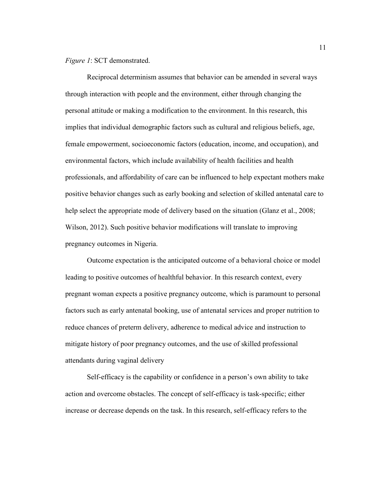*Figure 1*: SCT demonstrated.

Reciprocal determinism assumes that behavior can be amended in several ways through interaction with people and the environment, either through changing the personal attitude or making a modification to the environment. In this research, this implies that individual demographic factors such as cultural and religious beliefs, age, female empowerment, socioeconomic factors (education, income, and occupation), and environmental factors, which include availability of health facilities and health professionals, and affordability of care can be influenced to help expectant mothers make positive behavior changes such as early booking and selection of skilled antenatal care to help select the appropriate mode of delivery based on the situation (Glanz et al., 2008; Wilson, 2012). Such positive behavior modifications will translate to improving pregnancy outcomes in Nigeria.

Outcome expectation is the anticipated outcome of a behavioral choice or model leading to positive outcomes of healthful behavior. In this research context, every pregnant woman expects a positive pregnancy outcome, which is paramount to personal factors such as early antenatal booking, use of antenatal services and proper nutrition to reduce chances of preterm delivery, adherence to medical advice and instruction to mitigate history of poor pregnancy outcomes, and the use of skilled professional attendants during vaginal delivery

Self-efficacy is the capability or confidence in a person's own ability to take action and overcome obstacles. The concept of self-efficacy is task-specific; either increase or decrease depends on the task. In this research, self-efficacy refers to the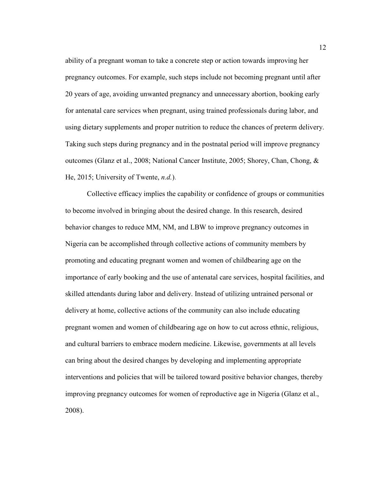ability of a pregnant woman to take a concrete step or action towards improving her pregnancy outcomes. For example, such steps include not becoming pregnant until after 20 years of age, avoiding unwanted pregnancy and unnecessary abortion, booking early for antenatal care services when pregnant, using trained professionals during labor, and using dietary supplements and proper nutrition to reduce the chances of preterm delivery. Taking such steps during pregnancy and in the postnatal period will improve pregnancy outcomes (Glanz et al., 2008; National Cancer Institute, 2005; Shorey, Chan, Chong, & He, 2015; University of Twente, *n.d.*).

Collective efficacy implies the capability or confidence of groups or communities to become involved in bringing about the desired change. In this research, desired behavior changes to reduce MM, NM, and LBW to improve pregnancy outcomes in Nigeria can be accomplished through collective actions of community members by promoting and educating pregnant women and women of childbearing age on the importance of early booking and the use of antenatal care services, hospital facilities, and skilled attendants during labor and delivery. Instead of utilizing untrained personal or delivery at home, collective actions of the community can also include educating pregnant women and women of childbearing age on how to cut across ethnic, religious, and cultural barriers to embrace modern medicine. Likewise, governments at all levels can bring about the desired changes by developing and implementing appropriate interventions and policies that will be tailored toward positive behavior changes, thereby improving pregnancy outcomes for women of reproductive age in Nigeria (Glanz et al., 2008).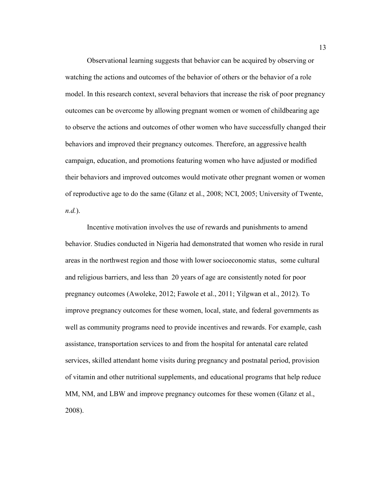Observational learning suggests that behavior can be acquired by observing or watching the actions and outcomes of the behavior of others or the behavior of a role model. In this research context, several behaviors that increase the risk of poor pregnancy outcomes can be overcome by allowing pregnant women or women of childbearing age to observe the actions and outcomes of other women who have successfully changed their behaviors and improved their pregnancy outcomes. Therefore, an aggressive health campaign, education, and promotions featuring women who have adjusted or modified their behaviors and improved outcomes would motivate other pregnant women or women of reproductive age to do the same (Glanz et al., 2008; NCI, 2005; University of Twente, *n.d.*).

Incentive motivation involves the use of rewards and punishments to amend behavior. Studies conducted in Nigeria had demonstrated that women who reside in rural areas in the northwest region and those with lower socioeconomic status, some cultural and religious barriers, and less than 20 years of age are consistently noted for poor pregnancy outcomes (Awoleke, 2012; Fawole et al., 2011; Yilgwan et al., 2012). To improve pregnancy outcomes for these women, local, state, and federal governments as well as community programs need to provide incentives and rewards. For example, cash assistance, transportation services to and from the hospital for antenatal care related services, skilled attendant home visits during pregnancy and postnatal period, provision of vitamin and other nutritional supplements, and educational programs that help reduce MM, NM, and LBW and improve pregnancy outcomes for these women (Glanz et al., 2008).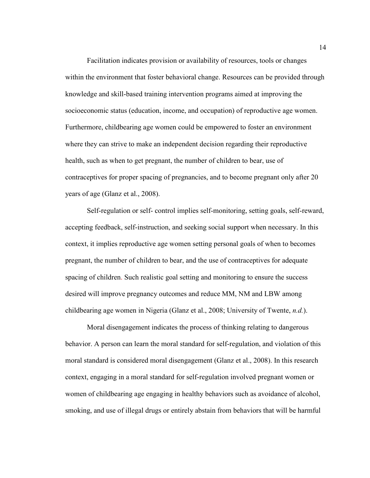Facilitation indicates provision or availability of resources, tools or changes within the environment that foster behavioral change. Resources can be provided through knowledge and skill-based training intervention programs aimed at improving the socioeconomic status (education, income, and occupation) of reproductive age women. Furthermore, childbearing age women could be empowered to foster an environment where they can strive to make an independent decision regarding their reproductive health, such as when to get pregnant, the number of children to bear, use of contraceptives for proper spacing of pregnancies, and to become pregnant only after 20 years of age (Glanz et al., 2008).

Self-regulation or self- control implies self-monitoring, setting goals, self-reward, accepting feedback, self-instruction, and seeking social support when necessary. In this context, it implies reproductive age women setting personal goals of when to becomes pregnant, the number of children to bear, and the use of contraceptives for adequate spacing of children. Such realistic goal setting and monitoring to ensure the success desired will improve pregnancy outcomes and reduce MM, NM and LBW among childbearing age women in Nigeria (Glanz et al., 2008; University of Twente, *n.d.*).

Moral disengagement indicates the process of thinking relating to dangerous behavior. A person can learn the moral standard for self-regulation, and violation of this moral standard is considered moral disengagement (Glanz et al., 2008). In this research context, engaging in a moral standard for self-regulation involved pregnant women or women of childbearing age engaging in healthy behaviors such as avoidance of alcohol, smoking, and use of illegal drugs or entirely abstain from behaviors that will be harmful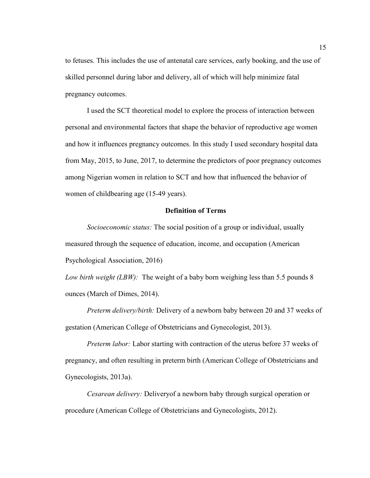to fetuses. This includes the use of antenatal care services, early booking, and the use of skilled personnel during labor and delivery, all of which will help minimize fatal pregnancy outcomes.

I used the SCT theoretical model to explore the process of interaction between personal and environmental factors that shape the behavior of reproductive age women and how it influences pregnancy outcomes. In this study I used secondary hospital data from May, 2015, to June, 2017, to determine the predictors of poor pregnancy outcomes among Nigerian women in relation to SCT and how that influenced the behavior of women of childbearing age (15-49 years).

#### **Definition of Terms**

*Socioeconomic status:* The social position of a group or individual, usually measured through the sequence of education, income, and occupation (American Psychological Association, 2016)

*Low birth weight (LBW):* The weight of a baby born weighing less than 5.5 pounds 8 ounces (March of Dimes, 2014).

*Preterm delivery/birth:* Delivery of a newborn baby between 20 and 37 weeks of gestation (American College of Obstetricians and Gynecologist, 2013).

*Preterm labor:* Labor starting with contraction of the uterus before 37 weeks of pregnancy, and often resulting in preterm birth (American College of Obstetricians and Gynecologists, 2013a).

*Cesarean delivery:* Deliveryof a newborn baby through surgical operation or procedure (American College of Obstetricians and Gynecologists, 2012).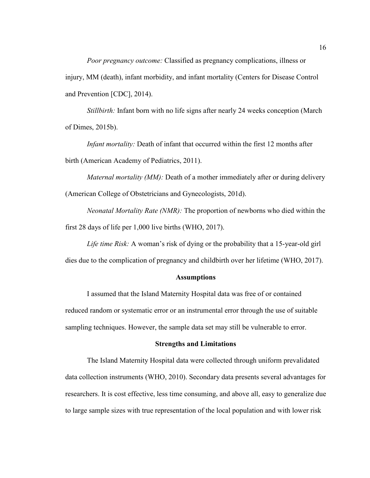*Poor pregnancy outcome:* Classified as pregnancy complications, illness or injury, MM (death), infant morbidity, and infant mortality (Centers for Disease Control and Prevention [CDC], 2014).

*Stillbirth:* Infant born with no life signs after nearly 24 weeks conception (March of Dimes, 2015b).

*Infant mortality:* Death of infant that occurred within the first 12 months after birth (American Academy of Pediatrics, 2011).

*Maternal mortality (MM):* Death of a mother immediately after or during delivery (American College of Obstetricians and Gynecologists, 201d).

*Neonatal Mortality Rate (NMR):* The proportion of newborns who died within the first 28 days of life per 1,000 live births (WHO, 2017).

*Life time Risk:* A woman's risk of dying or the probability that a 15-year-old girl dies due to the complication of pregnancy and childbirth over her lifetime (WHO, 2017).

#### **Assumptions**

I assumed that the Island Maternity Hospital data was free of or contained reduced random or systematic error or an instrumental error through the use of suitable sampling techniques. However, the sample data set may still be vulnerable to error.

#### **Strengths and Limitations**

The Island Maternity Hospital data were collected through uniform prevalidated data collection instruments (WHO, 2010). Secondary data presents several advantages for researchers. It is cost effective, less time consuming, and above all, easy to generalize due to large sample sizes with true representation of the local population and with lower risk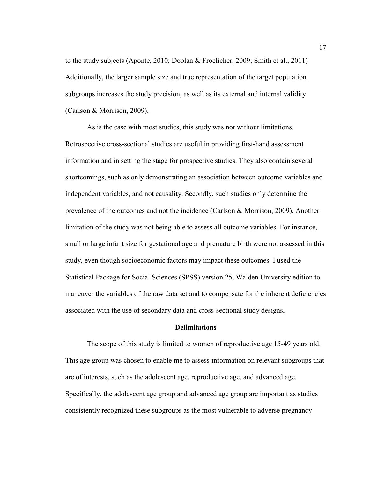to the study subjects (Aponte, 2010; Doolan & Froelicher, 2009; Smith et al., 2011) Additionally, the larger sample size and true representation of the target population subgroups increases the study precision, as well as its external and internal validity (Carlson & Morrison, 2009).

As is the case with most studies, this study was not without limitations. Retrospective cross-sectional studies are useful in providing first-hand assessment information and in setting the stage for prospective studies. They also contain several shortcomings, such as only demonstrating an association between outcome variables and independent variables, and not causality. Secondly, such studies only determine the prevalence of the outcomes and not the incidence (Carlson & Morrison, 2009). Another limitation of the study was not being able to assess all outcome variables. For instance, small or large infant size for gestational age and premature birth were not assessed in this study, even though socioeconomic factors may impact these outcomes. I used the Statistical Package for Social Sciences (SPSS) version 25, Walden University edition to maneuver the variables of the raw data set and to compensate for the inherent deficiencies associated with the use of secondary data and cross-sectional study designs,

#### **Delimitations**

The scope of this study is limited to women of reproductive age 15-49 years old. This age group was chosen to enable me to assess information on relevant subgroups that are of interests, such as the adolescent age, reproductive age, and advanced age. Specifically, the adolescent age group and advanced age group are important as studies consistently recognized these subgroups as the most vulnerable to adverse pregnancy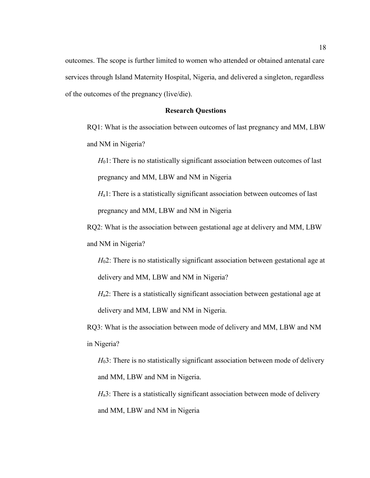outcomes. The scope is further limited to women who attended or obtained antenatal care services through Island Maternity Hospital, Nigeria, and delivered a singleton, regardless of the outcomes of the pregnancy (live/die).

#### **Research Questions**

RQ1: What is the association between outcomes of last pregnancy and MM, LBW and NM in Nigeria?

*H*<sub>0</sub>1: There is no statistically significant association between outcomes of last pregnancy and MM, LBW and NM in Nigeria

*H*<sub>a</sub>1: There is a statistically significant association between outcomes of last pregnancy and MM, LBW and NM in Nigeria

RQ2: What is the association between gestational age at delivery and MM, LBW and NM in Nigeria?

*H*<sub>0</sub>2: There is no statistically significant association between gestational age at delivery and MM, LBW and NM in Nigeria?

*H*<sub>a</sub>2: There is a statistically significant association between gestational age at delivery and MM, LBW and NM in Nigeria.

RQ3: What is the association between mode of delivery and MM, LBW and NM in Nigeria?

*H*<sub>0</sub>3: There is no statistically significant association between mode of delivery and MM, LBW and NM in Nigeria.

*H*<sub>a</sub>3: There is a statistically significant association between mode of delivery and MM, LBW and NM in Nigeria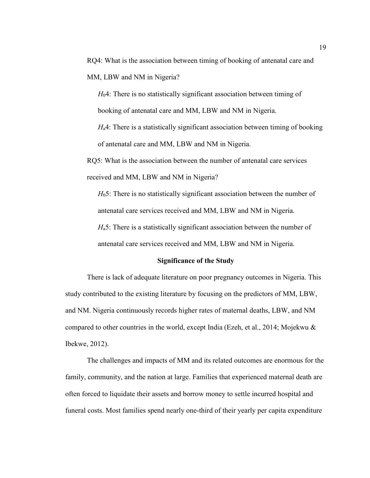RQ4: What is the association between timing of booking of antenatal care and MM, LBW and NM in Nigeria?

*H*04: There is no statistically significant association between timing of booking of antenatal care and MM, LBW and NM in Nigeria.

*H*<sub>a</sub>4: There is a statistically significant association between timing of booking of antenatal care and MM, LBW and NM in Nigeria.

RQ5: What is the association between the number of antenatal care services received and MM, LBW and NM in Nigeria?

*H*05: There is no statistically significant association between the number of antenatal care services received and MM, LBW and NM in Nigeria. *H*<sub>a</sub>5: There is a statistically significant association between the number of

antenatal care services received and MM, LBW and NM in Nigeria.

#### **Significance of the Study**

There is lack of adequate literature on poor pregnancy outcomes in Nigeria. This study contributed to the existing literature by focusing on the predictors of MM, LBW, and NM. Nigeria continuously records higher rates of maternal deaths, LBW, and NM compared to other countries in the world, except India (Ezeh, et al., 2014; Mojekwu & Ibekwe, 2012).

The challenges and impacts of MM and its related outcomes are enormous for the family, community, and the nation at large. Families that experienced maternal death are often forced to liquidate their assets and borrow money to settle incurred hospital and funeral costs. Most families spend nearly one-third of their yearly per capita expenditure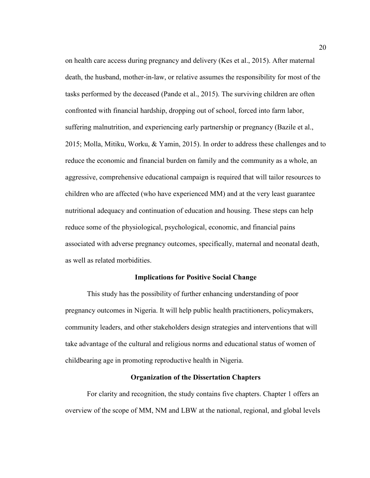on health care access during pregnancy and delivery (Kes et al., 2015). After maternal death, the husband, mother-in-law, or relative assumes the responsibility for most of the tasks performed by the deceased (Pande et al., 2015). The surviving children are often confronted with financial hardship, dropping out of school, forced into farm labor, suffering malnutrition, and experiencing early partnership or pregnancy (Bazile et al., 2015; Molla, Mitiku, Worku, & Yamin, 2015). In order to address these challenges and to reduce the economic and financial burden on family and the community as a whole, an aggressive, comprehensive educational campaign is required that will tailor resources to children who are affected (who have experienced MM) and at the very least guarantee nutritional adequacy and continuation of education and housing. These steps can help reduce some of the physiological, psychological, economic, and financial pains associated with adverse pregnancy outcomes, specifically, maternal and neonatal death, as well as related morbidities.

#### **Implications for Positive Social Change**

This study has the possibility of further enhancing understanding of poor pregnancy outcomes in Nigeria. It will help public health practitioners, policymakers, community leaders, and other stakeholders design strategies and interventions that will take advantage of the cultural and religious norms and educational status of women of childbearing age in promoting reproductive health in Nigeria.

#### **Organization of the Dissertation Chapters**

For clarity and recognition, the study contains five chapters. Chapter 1 offers an overview of the scope of MM, NM and LBW at the national, regional, and global levels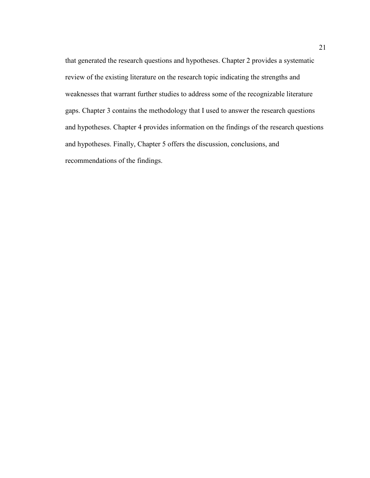that generated the research questions and hypotheses. Chapter 2 provides a systematic review of the existing literature on the research topic indicating the strengths and weaknesses that warrant further studies to address some of the recognizable literature gaps. Chapter 3 contains the methodology that I used to answer the research questions and hypotheses. Chapter 4 provides information on the findings of the research questions and hypotheses. Finally, Chapter 5 offers the discussion, conclusions, and recommendations of the findings.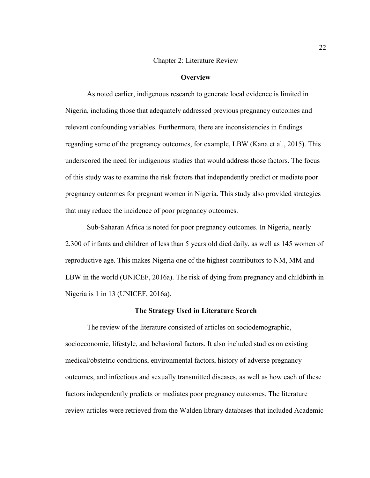#### Chapter 2: Literature Review

### **Overview**

As noted earlier, indigenous research to generate local evidence is limited in Nigeria, including those that adequately addressed previous pregnancy outcomes and relevant confounding variables. Furthermore, there are inconsistencies in findings regarding some of the pregnancy outcomes, for example, LBW (Kana et al., 2015). This underscored the need for indigenous studies that would address those factors. The focus of this study was to examine the risk factors that independently predict or mediate poor pregnancy outcomes for pregnant women in Nigeria. This study also provided strategies that may reduce the incidence of poor pregnancy outcomes.

Sub-Saharan Africa is noted for poor pregnancy outcomes. In Nigeria, nearly 2,300 of infants and children of less than 5 years old died daily, as well as 145 women of reproductive age. This makes Nigeria one of the highest contributors to NM, MM and LBW in the world (UNICEF, 2016a). The risk of dying from pregnancy and childbirth in Nigeria is 1 in 13 (UNICEF, 2016a).

### **The Strategy Used in Literature Search**

The review of the literature consisted of articles on sociodemographic, socioeconomic, lifestyle, and behavioral factors. It also included studies on existing medical/obstetric conditions, environmental factors, history of adverse pregnancy outcomes, and infectious and sexually transmitted diseases, as well as how each of these factors independently predicts or mediates poor pregnancy outcomes. The literature review articles were retrieved from the Walden library databases that included Academic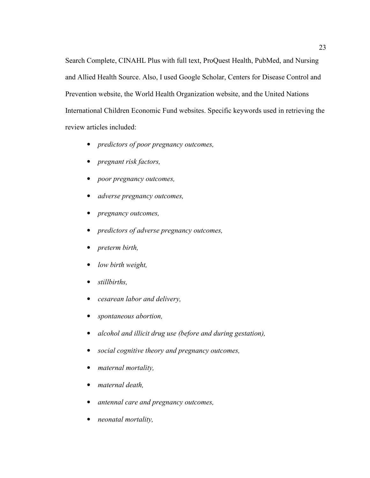Search Complete, CINAHL Plus with full text, ProQuest Health, PubMed, and Nursing and Allied Health Source. Also, I used Google Scholar, Centers for Disease Control and Prevention website, the World Health Organization website, and the United Nations International Children Economic Fund websites. Specific keywords used in retrieving the review articles included:

- *predictors of poor pregnancy outcomes,*
- *pregnant risk factors,*
- *poor pregnancy outcomes,*
- *adverse pregnancy outcomes,*
- *pregnancy outcomes,*
- *predictors of adverse pregnancy outcomes,*
- *preterm birth,*
- *low birth weight,*
- *stillbirths,*
- *cesarean labor and delivery,*
- *spontaneous abortion,*
- *alcohol and illicit drug use (before and during gestation),*
- *social cognitive theory and pregnancy outcomes,*
- *maternal mortality,*
- *maternal death,*
- *antennal care and pregnancy outcomes,*
- *neonatal mortality,*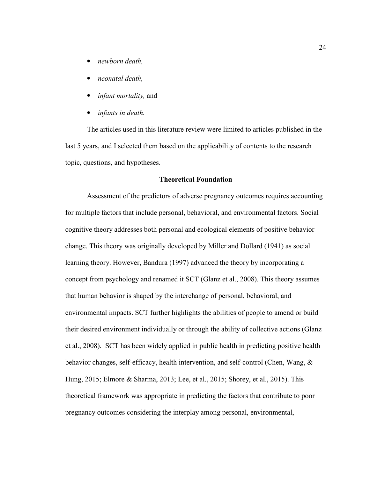- *newborn death,*
- *neonatal death,*
- *infant mortality,* and
- *infants in death.*

The articles used in this literature review were limited to articles published in the last 5 years, and I selected them based on the applicability of contents to the research topic, questions, and hypotheses.

## **Theoretical Foundation**

Assessment of the predictors of adverse pregnancy outcomes requires accounting for multiple factors that include personal, behavioral, and environmental factors. Social cognitive theory addresses both personal and ecological elements of positive behavior change. This theory was originally developed by Miller and Dollard (1941) as social learning theory. However, Bandura (1997) advanced the theory by incorporating a concept from psychology and renamed it SCT (Glanz et al., 2008). This theory assumes that human behavior is shaped by the interchange of personal, behavioral, and environmental impacts. SCT further highlights the abilities of people to amend or build their desired environment individually or through the ability of collective actions (Glanz et al., 2008). SCT has been widely applied in public health in predicting positive health behavior changes, self-efficacy, health intervention, and self-control (Chen, Wang, & Hung, 2015; Elmore & Sharma, 2013; Lee, et al., 2015; Shorey, et al., 2015). This theoretical framework was appropriate in predicting the factors that contribute to poor pregnancy outcomes considering the interplay among personal, environmental,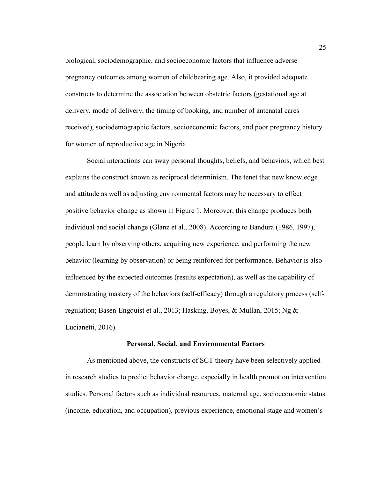biological, sociodemographic, and socioeconomic factors that influence adverse pregnancy outcomes among women of childbearing age. Also, it provided adequate constructs to determine the association between obstetric factors (gestational age at delivery, mode of delivery, the timing of booking, and number of antenatal cares received), sociodemographic factors, socioeconomic factors, and poor pregnancy history for women of reproductive age in Nigeria.

Social interactions can sway personal thoughts, beliefs, and behaviors, which best explains the construct known as reciprocal determinism. The tenet that new knowledge and attitude as well as adjusting environmental factors may be necessary to effect positive behavior change as shown in Figure 1. Moreover, this change produces both individual and social change (Glanz et al., 2008). According to Bandura (1986, 1997), people learn by observing others, acquiring new experience, and performing the new behavior (learning by observation) or being reinforced for performance. Behavior is also influenced by the expected outcomes (results expectation), as well as the capability of demonstrating mastery of the behaviors (self-efficacy) through a regulatory process (selfregulation; Basen-Engquist et al., 2013; Hasking, Boyes, & Mullan, 2015; Ng & Lucianetti, 2016).

# **Personal, Social, and Environmental Factors**

As mentioned above, the constructs of SCT theory have been selectively applied in research studies to predict behavior change, especially in health promotion intervention studies. Personal factors such as individual resources, maternal age, socioeconomic status (income, education, and occupation), previous experience, emotional stage and women's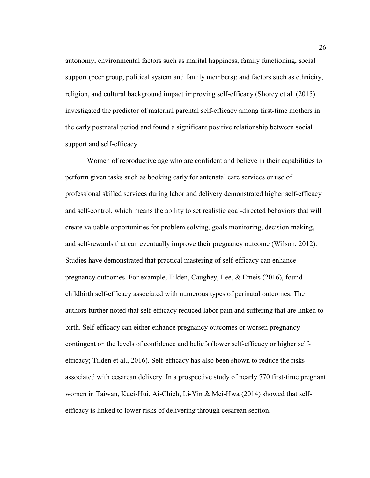autonomy; environmental factors such as marital happiness, family functioning, social support (peer group, political system and family members); and factors such as ethnicity, religion, and cultural background impact improving self-efficacy (Shorey et al. (2015) investigated the predictor of maternal parental self-efficacy among first-time mothers in the early postnatal period and found a significant positive relationship between social support and self-efficacy.

Women of reproductive age who are confident and believe in their capabilities to perform given tasks such as booking early for antenatal care services or use of professional skilled services during labor and delivery demonstrated higher self-efficacy and self-control, which means the ability to set realistic goal-directed behaviors that will create valuable opportunities for problem solving, goals monitoring, decision making, and self-rewards that can eventually improve their pregnancy outcome (Wilson, 2012). Studies have demonstrated that practical mastering of self-efficacy can enhance pregnancy outcomes. For example, Tilden, Caughey, Lee, & Emeis (2016), found childbirth self-efficacy associated with numerous types of perinatal outcomes. The authors further noted that self-efficacy reduced labor pain and suffering that are linked to birth. Self-efficacy can either enhance pregnancy outcomes or worsen pregnancy contingent on the levels of confidence and beliefs (lower self-efficacy or higher selfefficacy; Tilden et al., 2016). Self-efficacy has also been shown to reduce the risks associated with cesarean delivery. In a prospective study of nearly 770 first-time pregnant women in Taiwan, Kuei-Hui, Ai-Chieh, Li-Yin & Mei-Hwa (2014) showed that selfefficacy is linked to lower risks of delivering through cesarean section.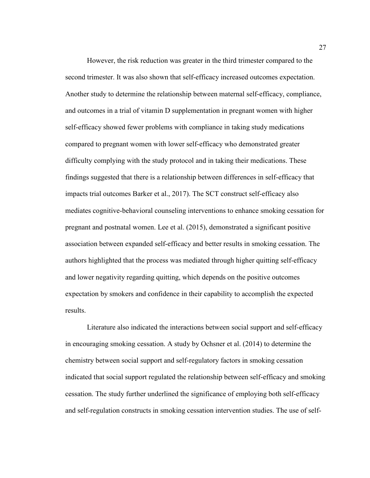However, the risk reduction was greater in the third trimester compared to the second trimester. It was also shown that self-efficacy increased outcomes expectation. Another study to determine the relationship between maternal self-efficacy, compliance, and outcomes in a trial of vitamin D supplementation in pregnant women with higher self-efficacy showed fewer problems with compliance in taking study medications compared to pregnant women with lower self-efficacy who demonstrated greater difficulty complying with the study protocol and in taking their medications. These findings suggested that there is a relationship between differences in self-efficacy that impacts trial outcomes Barker et al., 2017). The SCT construct self-efficacy also mediates cognitive-behavioral counseling interventions to enhance smoking cessation for pregnant and postnatal women. Lee et al. (2015), demonstrated a significant positive association between expanded self-efficacy and better results in smoking cessation. The authors highlighted that the process was mediated through higher quitting self-efficacy and lower negativity regarding quitting, which depends on the positive outcomes expectation by smokers and confidence in their capability to accomplish the expected results.

Literature also indicated the interactions between social support and self-efficacy in encouraging smoking cessation. A study by Ochsner et al. (2014) to determine the chemistry between social support and self-regulatory factors in smoking cessation indicated that social support regulated the relationship between self-efficacy and smoking cessation. The study further underlined the significance of employing both self-efficacy and self-regulation constructs in smoking cessation intervention studies. The use of self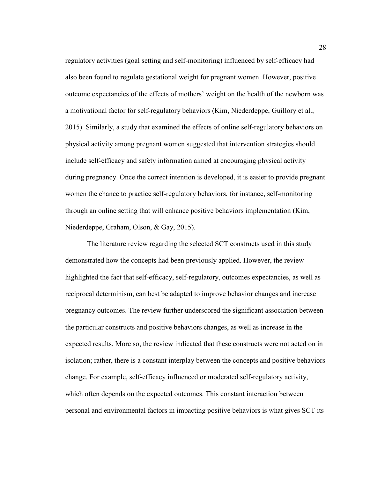regulatory activities (goal setting and self-monitoring) influenced by self-efficacy had also been found to regulate gestational weight for pregnant women. However, positive outcome expectancies of the effects of mothers' weight on the health of the newborn was a motivational factor for self-regulatory behaviors (Kim, Niederdeppe, Guillory et al., 2015). Similarly, a study that examined the effects of online self-regulatory behaviors on physical activity among pregnant women suggested that intervention strategies should include self-efficacy and safety information aimed at encouraging physical activity during pregnancy. Once the correct intention is developed, it is easier to provide pregnant women the chance to practice self-regulatory behaviors, for instance, self-monitoring through an online setting that will enhance positive behaviors implementation (Kim, Niederdeppe, Graham, Olson, & Gay, 2015).

The literature review regarding the selected SCT constructs used in this study demonstrated how the concepts had been previously applied. However, the review highlighted the fact that self-efficacy, self-regulatory, outcomes expectancies, as well as reciprocal determinism, can best be adapted to improve behavior changes and increase pregnancy outcomes. The review further underscored the significant association between the particular constructs and positive behaviors changes, as well as increase in the expected results. More so, the review indicated that these constructs were not acted on in isolation; rather, there is a constant interplay between the concepts and positive behaviors change. For example, self-efficacy influenced or moderated self-regulatory activity, which often depends on the expected outcomes. This constant interaction between personal and environmental factors in impacting positive behaviors is what gives SCT its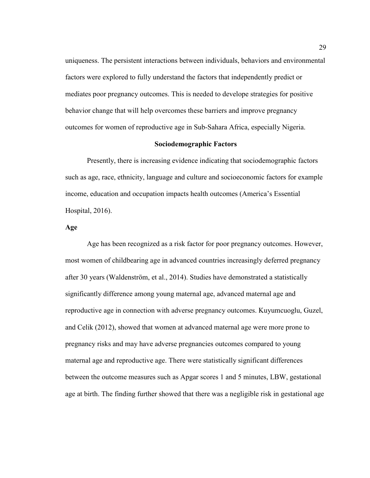uniqueness. The persistent interactions between individuals, behaviors and environmental factors were explored to fully understand the factors that independently predict or mediates poor pregnancy outcomes. This is needed to develope strategies for positive behavior change that will help overcomes these barriers and improve pregnancy outcomes for women of reproductive age in Sub-Sahara Africa, especially Nigeria.

## **Sociodemographic Factors**

Presently, there is increasing evidence indicating that sociodemographic factors such as age, race, ethnicity, language and culture and socioeconomic factors for example income, education and occupation impacts health outcomes (America's Essential Hospital, 2016).

### **Age**

Age has been recognized as a risk factor for poor pregnancy outcomes. However, most women of childbearing age in advanced countries increasingly deferred pregnancy after 30 years (Waldenström, et al., 2014). Studies have demonstrated a statistically significantly difference among young maternal age, advanced maternal age and reproductive age in connection with adverse pregnancy outcomes. Kuyumcuoglu, Guzel, and Celik (2012), showed that women at advanced maternal age were more prone to pregnancy risks and may have adverse pregnancies outcomes compared to young maternal age and reproductive age. There were statistically significant differences between the outcome measures such as Apgar scores 1 and 5 minutes, LBW, gestational age at birth. The finding further showed that there was a negligible risk in gestational age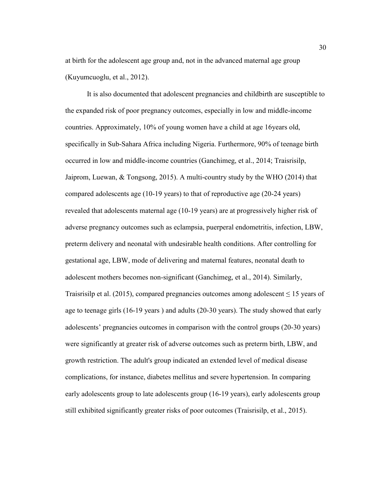at birth for the adolescent age group and, not in the advanced maternal age group (Kuyumcuoglu, et al., 2012).

It is also documented that adolescent pregnancies and childbirth are susceptible to the expanded risk of poor pregnancy outcomes, especially in low and middle-income countries. Approximately, 10% of young women have a child at age 16years old, specifically in Sub-Sahara Africa including Nigeria. Furthermore, 90% of teenage birth occurred in low and middle-income countries (Ganchimeg, et al., 2014; Traisrisilp, Jaiprom, Luewan, & Tongsong, 2015). A multi-country study by the WHO (2014) that compared adolescents age (10-19 years) to that of reproductive age (20-24 years) revealed that adolescents maternal age (10-19 years) are at progressively higher risk of adverse pregnancy outcomes such as eclampsia, puerperal endometritis, infection, LBW, preterm delivery and neonatal with undesirable health conditions. After controlling for gestational age, LBW, mode of delivering and maternal features, neonatal death to adolescent mothers becomes non-significant (Ganchimeg, et al., 2014). Similarly, Traisrisilp et al. (2015), compared pregnancies outcomes among adolescent  $\leq 15$  years of age to teenage girls (16-19 years ) and adults (20-30 years). The study showed that early adolescents' pregnancies outcomes in comparison with the control groups (20-30 years) were significantly at greater risk of adverse outcomes such as preterm birth, LBW, and growth restriction. The adult's group indicated an extended level of medical disease complications, for instance, diabetes mellitus and severe hypertension. In comparing early adolescents group to late adolescents group (16-19 years), early adolescents group still exhibited significantly greater risks of poor outcomes (Traisrisilp, et al., 2015).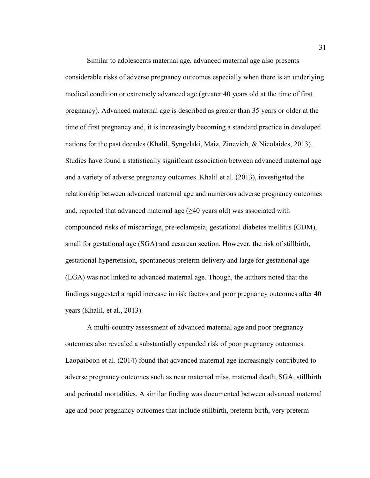Similar to adolescents maternal age, advanced maternal age also presents considerable risks of adverse pregnancy outcomes especially when there is an underlying medical condition or extremely advanced age (greater 40 years old at the time of first pregnancy). Advanced maternal age is described as greater than 35 years or older at the time of first pregnancy and, it is increasingly becoming a standard practice in developed nations for the past decades (Khalil, Syngelaki, Maiz, Zinevich, & Nicolaides, 2013). Studies have found a statistically significant association between advanced maternal age and a variety of adverse pregnancy outcomes. Khalil et al. (2013), investigated the relationship between advanced maternal age and numerous adverse pregnancy outcomes and, reported that advanced maternal age  $(\geq 40$  years old) was associated with compounded risks of miscarriage, pre-eclampsia, gestational diabetes mellitus (GDM), small for gestational age (SGA) and cesarean section. However, the risk of stillbirth, gestational hypertension, spontaneous preterm delivery and large for gestational age (LGA) was not linked to advanced maternal age. Though, the authors noted that the findings suggested a rapid increase in risk factors and poor pregnancy outcomes after 40 years (Khalil, et al., 2013).

A multi-country assessment of advanced maternal age and poor pregnancy outcomes also revealed a substantially expanded risk of poor pregnancy outcomes. Laopaiboon et al. (2014) found that advanced maternal age increasingly contributed to adverse pregnancy outcomes such as near maternal miss, maternal death, SGA, stillbirth and perinatal mortalities. A similar finding was documented between advanced maternal age and poor pregnancy outcomes that include stillbirth, preterm birth, very preterm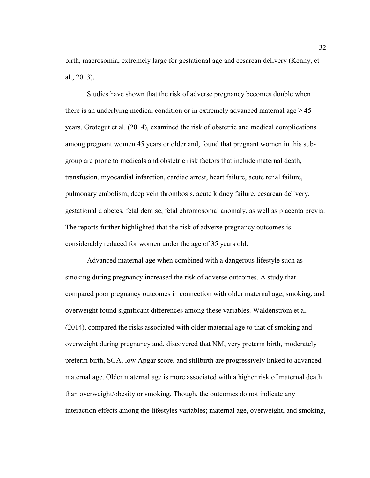birth, macrosomia, extremely large for gestational age and cesarean delivery (Kenny, et al., 2013).

Studies have shown that the risk of adverse pregnancy becomes double when there is an underlying medical condition or in extremely advanced maternal age  $\geq$  45 years. Grotegut et al. (2014), examined the risk of obstetric and medical complications among pregnant women 45 years or older and, found that pregnant women in this subgroup are prone to medicals and obstetric risk factors that include maternal death, transfusion, myocardial infarction, cardiac arrest, heart failure, acute renal failure, pulmonary embolism, deep vein thrombosis, acute kidney failure, cesarean delivery, gestational diabetes, fetal demise, fetal chromosomal anomaly, as well as placenta previa. The reports further highlighted that the risk of adverse pregnancy outcomes is considerably reduced for women under the age of 35 years old.

Advanced maternal age when combined with a dangerous lifestyle such as smoking during pregnancy increased the risk of adverse outcomes. A study that compared poor pregnancy outcomes in connection with older maternal age, smoking, and overweight found significant differences among these variables. Waldenström et al. (2014), compared the risks associated with older maternal age to that of smoking and overweight during pregnancy and, discovered that NM, very preterm birth, moderately preterm birth, SGA, low Apgar score, and stillbirth are progressively linked to advanced maternal age. Older maternal age is more associated with a higher risk of maternal death than overweight/obesity or smoking. Though, the outcomes do not indicate any interaction effects among the lifestyles variables; maternal age, overweight, and smoking,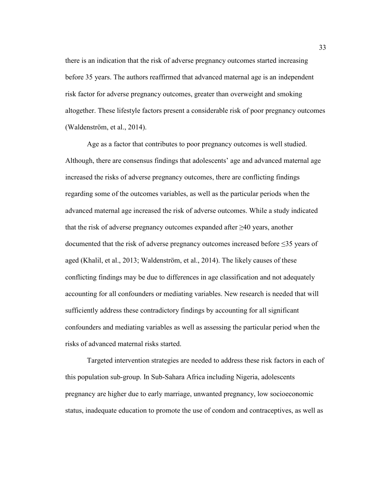there is an indication that the risk of adverse pregnancy outcomes started increasing before 35 years. The authors reaffirmed that advanced maternal age is an independent risk factor for adverse pregnancy outcomes, greater than overweight and smoking altogether. These lifestyle factors present a considerable risk of poor pregnancy outcomes (Waldenström, et al., 2014).

Age as a factor that contributes to poor pregnancy outcomes is well studied. Although, there are consensus findings that adolescents' age and advanced maternal age increased the risks of adverse pregnancy outcomes, there are conflicting findings regarding some of the outcomes variables, as well as the particular periods when the advanced maternal age increased the risk of adverse outcomes. While a study indicated that the risk of adverse pregnancy outcomes expanded after  $\geq 40$  years, another documented that the risk of adverse pregnancy outcomes increased before ≤35 years of aged (Khalil, et al., 2013; Waldenström, et al., 2014). The likely causes of these conflicting findings may be due to differences in age classification and not adequately accounting for all confounders or mediating variables. New research is needed that will sufficiently address these contradictory findings by accounting for all significant confounders and mediating variables as well as assessing the particular period when the risks of advanced maternal risks started.

Targeted intervention strategies are needed to address these risk factors in each of this population sub-group. In Sub-Sahara Africa including Nigeria, adolescents pregnancy are higher due to early marriage, unwanted pregnancy, low socioeconomic status, inadequate education to promote the use of condom and contraceptives, as well as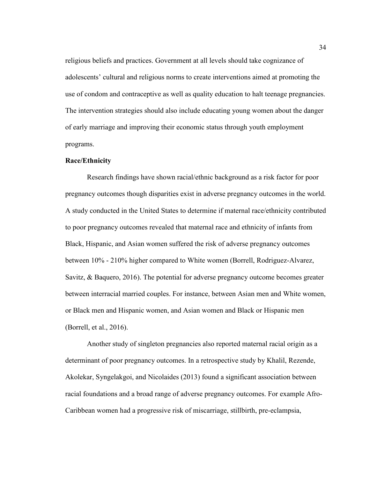religious beliefs and practices. Government at all levels should take cognizance of adolescents' cultural and religious norms to create interventions aimed at promoting the use of condom and contraceptive as well as quality education to halt teenage pregnancies. The intervention strategies should also include educating young women about the danger of early marriage and improving their economic status through youth employment programs.

## **Race/Ethnicity**

Research findings have shown racial/ethnic background as a risk factor for poor pregnancy outcomes though disparities exist in adverse pregnancy outcomes in the world. A study conducted in the United States to determine if maternal race/ethnicity contributed to poor pregnancy outcomes revealed that maternal race and ethnicity of infants from Black, Hispanic, and Asian women suffered the risk of adverse pregnancy outcomes between 10% - 210% higher compared to White women (Borrell, Rodriguez-Alvarez, Savitz, & Baquero, 2016). The potential for adverse pregnancy outcome becomes greater between interracial married couples. For instance, between Asian men and White women, or Black men and Hispanic women, and Asian women and Black or Hispanic men (Borrell, et al., 2016).

Another study of singleton pregnancies also reported maternal racial origin as a determinant of poor pregnancy outcomes. In a retrospective study by Khalil, Rezende, Akolekar, Syngelakgoi, and Nicolaides (2013) found a significant association between racial foundations and a broad range of adverse pregnancy outcomes. For example Afro-Caribbean women had a progressive risk of miscarriage, stillbirth, pre-eclampsia,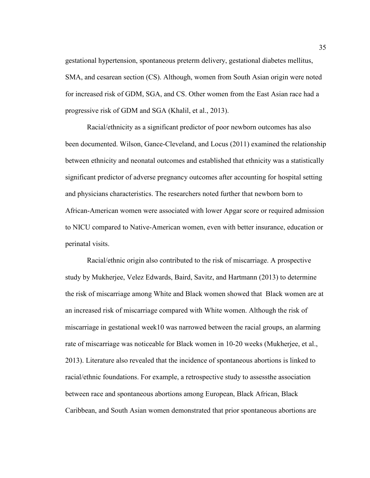gestational hypertension, spontaneous preterm delivery, gestational diabetes mellitus, SMA, and cesarean section (CS). Although, women from South Asian origin were noted for increased risk of GDM, SGA, and CS. Other women from the East Asian race had a progressive risk of GDM and SGA (Khalil, et al., 2013).

Racial/ethnicity as a significant predictor of poor newborn outcomes has also been documented. Wilson, Gance-Cleveland, and Locus (2011) examined the relationship between ethnicity and neonatal outcomes and established that ethnicity was a statistically significant predictor of adverse pregnancy outcomes after accounting for hospital setting and physicians characteristics. The researchers noted further that newborn born to African-American women were associated with lower Apgar score or required admission to NICU compared to Native-American women, even with better insurance, education or perinatal visits.

Racial/ethnic origin also contributed to the risk of miscarriage. A prospective study by Mukherjee, Velez Edwards, Baird, Savitz, and Hartmann (2013) to determine the risk of miscarriage among White and Black women showed that Black women are at an increased risk of miscarriage compared with White women. Although the risk of miscarriage in gestational week10 was narrowed between the racial groups, an alarming rate of miscarriage was noticeable for Black women in 10-20 weeks (Mukherjee, et al., 2013). Literature also revealed that the incidence of spontaneous abortions is linked to racial/ethnic foundations. For example, a retrospective study to assessthe association between race and spontaneous abortions among European, Black African, Black Caribbean, and South Asian women demonstrated that prior spontaneous abortions are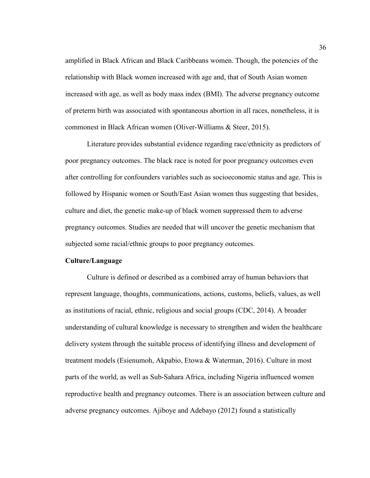amplified in Black African and Black Caribbeans women. Though, the potencies of the relationship with Black women increased with age and, that of South Asian women increased with age, as well as body mass index (BMI). The adverse pregnancy outcome of preterm birth was associated with spontaneous abortion in all races, nonetheless, it is commonest in Black African women (Oliver-Williams & Steer, 2015).

Literature provides substantial evidence regarding race/ethnicity as predictors of poor pregnancy outcomes. The black race is noted for poor pregnancy outcomes even after controlling for confounders variables such as socioeconomic status and age. This is followed by Hispanic women or South/East Asian women thus suggesting that besides, culture and diet, the genetic make-up of black women suppressed them to adverse pregnancy outcomes. Studies are needed that will uncover the genetic mechanism that subjected some racial/ethnic groups to poor pregnancy outcomes.

## **Culture/Language**

Culture is defined or described as a combined array of human behaviors that represent language, thoughts, communications, actions, customs, beliefs, values, as well as institutions of racial, ethnic, religious and social groups (CDC, 2014). A broader understanding of cultural knowledge is necessary to strengthen and widen the healthcare delivery system through the suitable process of identifying illness and development of treatment models (Esienumoh, Akpabio, Etowa & Waterman, 2016). Culture in most parts of the world, as well as Sub-Sahara Africa, including Nigeria influenced women reproductive health and pregnancy outcomes. There is an association between culture and adverse pregnancy outcomes. Ajiboye and Adebayo (2012) found a statistically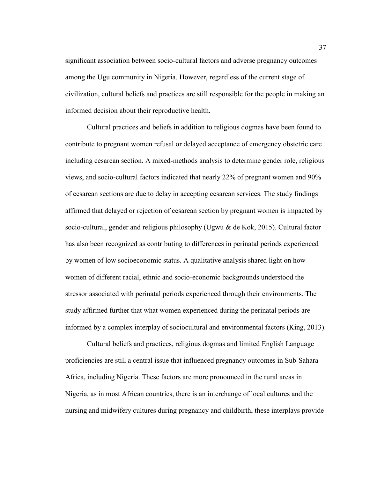significant association between socio-cultural factors and adverse pregnancy outcomes among the Ugu community in Nigeria. However, regardless of the current stage of civilization, cultural beliefs and practices are still responsible for the people in making an informed decision about their reproductive health.

Cultural practices and beliefs in addition to religious dogmas have been found to contribute to pregnant women refusal or delayed acceptance of emergency obstetric care including cesarean section. A mixed-methods analysis to determine gender role, religious views, and socio-cultural factors indicated that nearly 22% of pregnant women and 90% of cesarean sections are due to delay in accepting cesarean services. The study findings affirmed that delayed or rejection of cesarean section by pregnant women is impacted by socio-cultural, gender and religious philosophy (Ugwu & de Kok, 2015). Cultural factor has also been recognized as contributing to differences in perinatal periods experienced by women of low socioeconomic status. A qualitative analysis shared light on how women of different racial, ethnic and socio-economic backgrounds understood the stressor associated with perinatal periods experienced through their environments. The study affirmed further that what women experienced during the perinatal periods are informed by a complex interplay of sociocultural and environmental factors (King, 2013).

Cultural beliefs and practices, religious dogmas and limited English Language proficiencies are still a central issue that influenced pregnancy outcomes in Sub-Sahara Africa, including Nigeria. These factors are more pronounced in the rural areas in Nigeria, as in most African countries, there is an interchange of local cultures and the nursing and midwifery cultures during pregnancy and childbirth, these interplays provide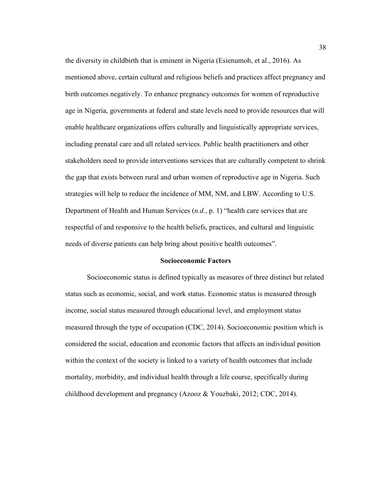the diversity in childbirth that is eminent in Nigeria (Esienumoh, et al., 2016). As mentioned above, certain cultural and religious beliefs and practices affect pregnancy and birth outcomes negatively. To enhance pregnancy outcomes for women of reproductive age in Nigeria, governments at federal and state levels need to provide resources that will enable healthcare organizations offers culturally and linguistically appropriate services, including prenatal care and all related services. Public health practitioners and other stakeholders need to provide interventions services that are culturally competent to shrink the gap that exists between rural and urban women of reproductive age in Nigeria. Such strategies will help to reduce the incidence of MM, NM, and LBW. According to U.S. Department of Health and Human Services (*n.d.*, p. 1) "health care services that are respectful of and responsive to the health beliefs, practices, and cultural and linguistic needs of diverse patients can help bring about positive health outcomes".

#### **Socioeconomic Factors**

Socioeconomic status is defined typically as measures of three distinct but related status such as economic, social, and work status. Economic status is measured through income, social status measured through educational level, and employment status measured through the type of occupation (CDC, 2014). Socioeconomic position which is considered the social, education and economic factors that affects an individual position within the context of the society is linked to a variety of health outcomes that include mortality, morbidity, and individual health through a life course, specifically during childhood development and pregnancy (Azooz & Youzbaki, 2012; CDC, 2014).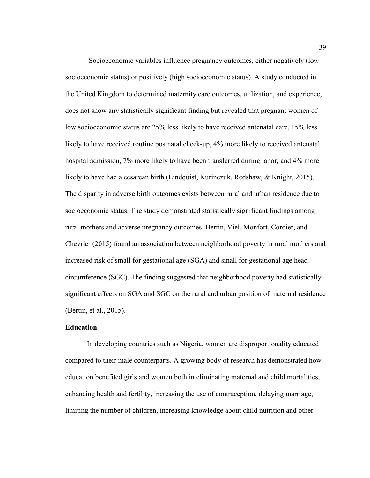Socioeconomic variables influence pregnancy outcomes, either negatively (low socioeconomic status) or positively (high socioeconomic status). A study conducted in the United Kingdom to determined maternity care outcomes, utilization, and experience, does not show any statistically significant finding but revealed that pregnant women of low socioeconomic status are 25% less likely to have received antenatal care, 15% less likely to have received routine postnatal check-up, 4% more likely to received antenatal hospital admission, 7% more likely to have been transferred during labor, and 4% more likely to have had a cesarean birth (Lindquist, Kurinczuk, Redshaw, & Knight, 2015). The disparity in adverse birth outcomes exists between rural and urban residence due to socioeconomic status. The study demonstrated statistically significant findings among rural mothers and adverse pregnancy outcomes. Bertin, Viel, Monfort, Cordier, and Chevrier (2015) found an association between neighborhood poverty in rural mothers and increased risk of small for gestational age (SGA) and small for gestational age head circumference (SGC). The finding suggested that neighborhood poverty had statistically significant effects on SGA and SGC on the rural and urban position of maternal residence (Bertin, et al., 2015).

## **Education**

In developing countries such as Nigeria, women are disproportionality educated compared to their male counterparts. A growing body of research has demonstrated how education benefited girls and women both in eliminating maternal and child mortalities, enhancing health and fertility, increasing the use of contraception, delaying marriage, limiting the number of children, increasing knowledge about child nutrition and other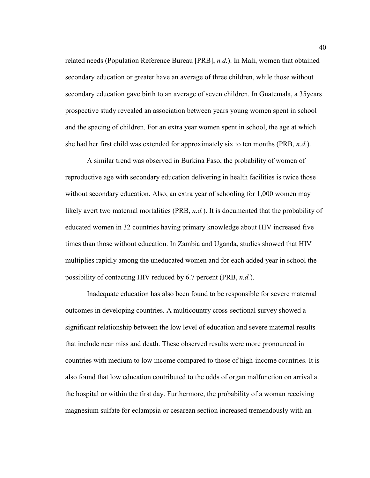related needs (Population Reference Bureau [PRB], *n.d.*). In Mali, women that obtained secondary education or greater have an average of three children, while those without secondary education gave birth to an average of seven children. In Guatemala, a 35years prospective study revealed an association between years young women spent in school and the spacing of children. For an extra year women spent in school, the age at which she had her first child was extended for approximately six to ten months (PRB, *n.d.*).

A similar trend was observed in Burkina Faso, the probability of women of reproductive age with secondary education delivering in health facilities is twice those without secondary education. Also, an extra year of schooling for 1,000 women may likely avert two maternal mortalities (PRB, *n.d.*). It is documented that the probability of educated women in 32 countries having primary knowledge about HIV increased five times than those without education. In Zambia and Uganda, studies showed that HIV multiplies rapidly among the uneducated women and for each added year in school the possibility of contacting HIV reduced by 6.7 percent (PRB, *n.d.*).

Inadequate education has also been found to be responsible for severe maternal outcomes in developing countries. A multicountry cross-sectional survey showed a significant relationship between the low level of education and severe maternal results that include near miss and death. These observed results were more pronounced in countries with medium to low income compared to those of high-income countries. It is also found that low education contributed to the odds of organ malfunction on arrival at the hospital or within the first day. Furthermore, the probability of a woman receiving magnesium sulfate for eclampsia or cesarean section increased tremendously with an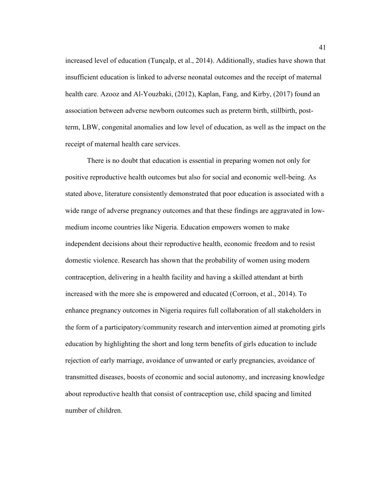increased level of education (Tunçalp, et al., 2014). Additionally, studies have shown that insufficient education is linked to adverse neonatal outcomes and the receipt of maternal health care. Azooz and Al-Youzbaki, (2012), Kaplan, Fang, and Kirby, (2017) found an association between adverse newborn outcomes such as preterm birth, stillbirth, postterm, LBW, congenital anomalies and low level of education, as well as the impact on the receipt of maternal health care services.

There is no doubt that education is essential in preparing women not only for positive reproductive health outcomes but also for social and economic well-being. As stated above, literature consistently demonstrated that poor education is associated with a wide range of adverse pregnancy outcomes and that these findings are aggravated in lowmedium income countries like Nigeria. Education empowers women to make independent decisions about their reproductive health, economic freedom and to resist domestic violence. Research has shown that the probability of women using modern contraception, delivering in a health facility and having a skilled attendant at birth increased with the more she is empowered and educated (Corroon, et al., 2014). To enhance pregnancy outcomes in Nigeria requires full collaboration of all stakeholders in the form of a participatory/community research and intervention aimed at promoting girls education by highlighting the short and long term benefits of girls education to include rejection of early marriage, avoidance of unwanted or early pregnancies, avoidance of transmitted diseases, boosts of economic and social autonomy, and increasing knowledge about reproductive health that consist of contraception use, child spacing and limited number of children.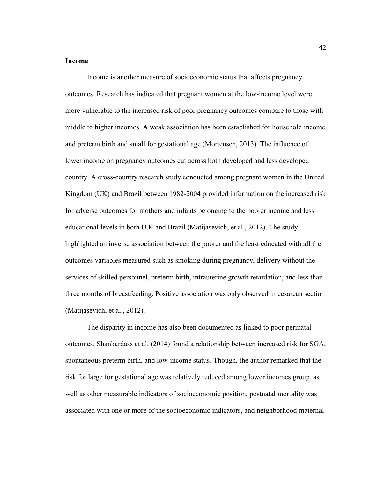### **Income**

Income is another measure of socioeconomic status that affects pregnancy outcomes. Research has indicated that pregnant women at the low-income level were more vulnerable to the increased risk of poor pregnancy outcomes compare to those with middle to higher incomes. A weak association has been established for household income and preterm birth and small for gestational age (Mortensen, 2013). The influence of lower income on pregnancy outcomes cut across both developed and less developed country. A cross-country research study conducted among pregnant women in the United Kingdom (UK) and Brazil between 1982-2004 provided information on the increased risk for adverse outcomes for mothers and infants belonging to the poorer income and less educational levels in both U.K and Brazil (Matijasevich, et al., 2012). The study highlighted an inverse association between the poorer and the least educated with all the outcomes variables measured such as smoking during pregnancy, delivery without the services of skilled personnel, preterm birth, intrauterine growth retardation, and less than three months of breastfeeding. Positive association was only observed in cesarean section (Matijasevich, et al., 2012).

The disparity in income has also been documented as linked to poor perinatal outcomes. Shankardass et al. (2014) found a relationship between increased risk for SGA, spontaneous preterm birth, and low-income status. Though, the author remarked that the risk for large for gestational age was relatively reduced among lower incomes group, as well as other measurable indicators of socioeconomic position, postnatal mortality was associated with one or more of the socioeconomic indicators, and neighborhood maternal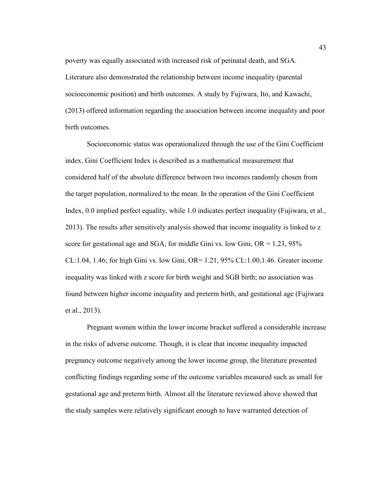poverty was equally associated with increased risk of perinatal death, and SGA. Literature also demonstrated the relationship between income inequality (parental socioeconomic position) and birth outcomes. A study by Fujiwara, Ito, and Kawachi, (2013) offered information regarding the association between income inequality and poor birth outcomes.

Socioeconomic status was operationalized through the use of the Gini Coefficient index. Gini Coefficient Index is described as a mathematical measurement that considered half of the absolute difference between two incomes randomly chosen from the target population, normalized to the mean. In the operation of the Gini Coefficient Index, 0.0 implied perfect equality, while 1.0 indicates perfect inequality (Fujiwara, et al., 2013). The results after sensitively analysis showed that income inequality is linked to z score for gestational age and SGA, for middle Gini vs. low Gini,  $OR = 1.23$ , 95% CL:1.04, 1.46; for high Gini vs. low Gini, OR= 1.21, 95% CL:1.00,1.46. Greater income inequality was linked with z score for birth weight and SGB birth; no association was found between higher income inequality and preterm birth, and gestational age (Fujiwara et al., 2013).

Pregnant women within the lower income bracket suffered a considerable increase in the risks of adverse outcome. Though, it is clear that income inequality impacted pregnancy outcome negatively among the lower income group, the literature presented conflicting findings regarding some of the outcome variables measured such as small for gestational age and preterm birth. Almost all the literature reviewed above showed that the study samples were relatively significant enough to have warranted detection of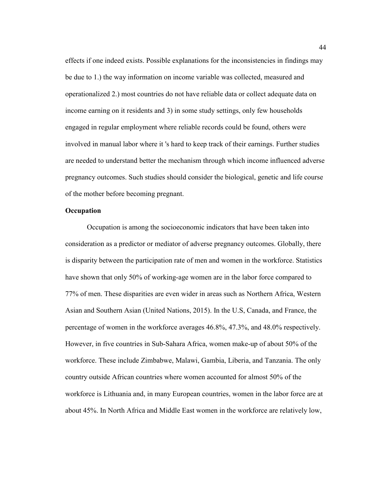effects if one indeed exists. Possible explanations for the inconsistencies in findings may be due to 1.) the way information on income variable was collected, measured and operationalized 2.) most countries do not have reliable data or collect adequate data on income earning on it residents and 3) in some study settings, only few households engaged in regular employment where reliable records could be found, others were involved in manual labor where it 's hard to keep track of their earnings. Further studies are needed to understand better the mechanism through which income influenced adverse pregnancy outcomes. Such studies should consider the biological, genetic and life course of the mother before becoming pregnant.

## **Occupation**

Occupation is among the socioeconomic indicators that have been taken into consideration as a predictor or mediator of adverse pregnancy outcomes. Globally, there is disparity between the participation rate of men and women in the workforce. Statistics have shown that only 50% of working-age women are in the labor force compared to 77% of men. These disparities are even wider in areas such as Northern Africa, Western Asian and Southern Asian (United Nations, 2015). In the U.S, Canada, and France, the percentage of women in the workforce averages 46.8%, 47.3%, and 48.0% respectively. However, in five countries in Sub-Sahara Africa, women make-up of about 50% of the workforce. These include Zimbabwe, Malawi, Gambia, Liberia, and Tanzania. The only country outside African countries where women accounted for almost 50% of the workforce is Lithuania and, in many European countries, women in the labor force are at about 45%. In North Africa and Middle East women in the workforce are relatively low,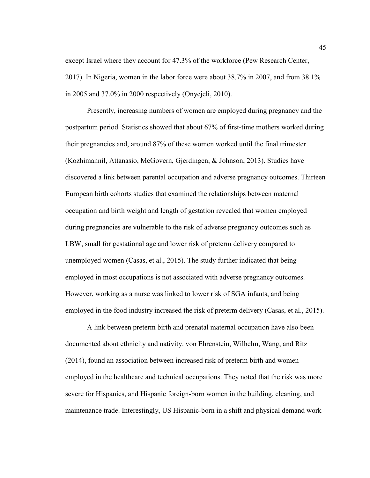except Israel where they account for 47.3% of the workforce (Pew Research Center, 2017). In Nigeria, women in the labor force were about 38.7% in 2007, and from 38.1% in 2005 and 37.0% in 2000 respectively (Onyejeli, 2010).

Presently, increasing numbers of women are employed during pregnancy and the postpartum period. Statistics showed that about 67% of first-time mothers worked during their pregnancies and, around 87% of these women worked until the final trimester (Kozhimannil, Attanasio, McGovern, Gjerdingen, & Johnson, 2013). Studies have discovered a link between parental occupation and adverse pregnancy outcomes. Thirteen European birth cohorts studies that examined the relationships between maternal occupation and birth weight and length of gestation revealed that women employed during pregnancies are vulnerable to the risk of adverse pregnancy outcomes such as LBW, small for gestational age and lower risk of preterm delivery compared to unemployed women (Casas, et al., 2015). The study further indicated that being employed in most occupations is not associated with adverse pregnancy outcomes. However, working as a nurse was linked to lower risk of SGA infants, and being employed in the food industry increased the risk of preterm delivery (Casas, et al., 2015).

A link between preterm birth and prenatal maternal occupation have also been documented about ethnicity and nativity. von Ehrenstein, Wilhelm, Wang, and Ritz (2014), found an association between increased risk of preterm birth and women employed in the healthcare and technical occupations. They noted that the risk was more severe for Hispanics, and Hispanic foreign-born women in the building, cleaning, and maintenance trade. Interestingly, US Hispanic-born in a shift and physical demand work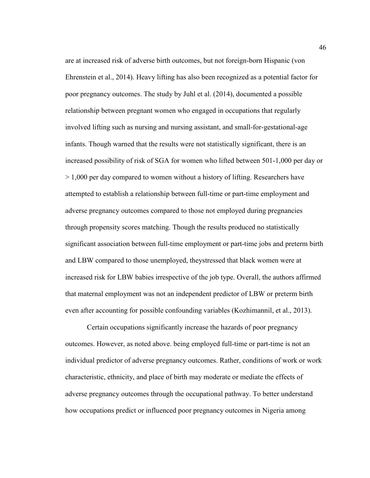are at increased risk of adverse birth outcomes, but not foreign-born Hispanic (von Ehrenstein et al., 2014). Heavy lifting has also been recognized as a potential factor for poor pregnancy outcomes. The study by Juhl et al. (2014), documented a possible relationship between pregnant women who engaged in occupations that regularly involved lifting such as nursing and nursing assistant, and small-for-gestational-age infants. Though warned that the results were not statistically significant, there is an increased possibility of risk of SGA for women who lifted between 501-1,000 per day or  $> 1,000$  per day compared to women without a history of lifting. Researchers have attempted to establish a relationship between full-time or part-time employment and adverse pregnancy outcomes compared to those not employed during pregnancies through propensity scores matching. Though the results produced no statistically significant association between full-time employment or part-time jobs and preterm birth and LBW compared to those unemployed, theystressed that black women were at increased risk for LBW babies irrespective of the job type. Overall, the authors affirmed that maternal employment was not an independent predictor of LBW or preterm birth even after accounting for possible confounding variables (Kozhimannil, et al., 2013).

Certain occupations significantly increase the hazards of poor pregnancy outcomes. However, as noted above. being employed full-time or part-time is not an individual predictor of adverse pregnancy outcomes. Rather, conditions of work or work characteristic, ethnicity, and place of birth may moderate or mediate the effects of adverse pregnancy outcomes through the occupational pathway. To better understand how occupations predict or influenced poor pregnancy outcomes in Nigeria among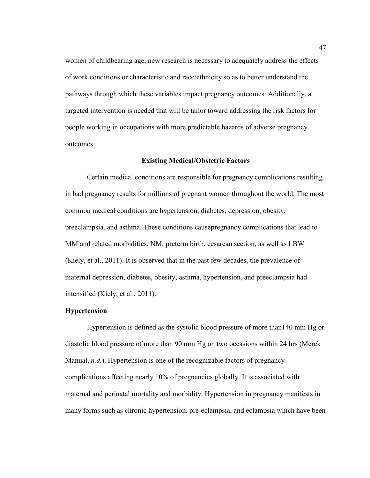women of childbearing age, new research is necessary to adequately address the effects of work conditions or characteristic and race/ethnicity so as to better understand the pathways through which these variables impact pregnancy outcomes. Additionally, a targeted intervention is needed that will be tailor toward addressing the risk factors for people working in occupations with more predictable hazards of adverse pregnancy outcomes.

#### **Existing Medical/Obstetric Factors**

Certain medical conditions are responsible for pregnancy complications resulting in bad pregnancy results for millions of pregnant women throughout the world. The most common medical conditions are hypertension, diabetes, depression, obesity, preeclampsia, and asthma. These conditions causepregnancy complications that lead to MM and related morbidities, NM, preterm birth, cesarean section, as well as LBW (Kiely, et al., 2011). It is observed that in the past few decades, the prevalence of maternal depression, diabetes, obesity, asthma, hypertension, and preeclampsia had intensified (Kiely, et al., 2011).

### **Hypertension**

Hypertension is defined as the systolic blood pressure of more than140 mm Hg or diastolic blood pressure of more than 90 mm Hg on two occasions within 24 hrs (Merck Manual, *n.d.*). Hypertension is one of the recognizable factors of pregnancy complications affecting nearly 10% of pregnancies globally. It is associated with maternal and perinatal mortality and morbidity. Hypertension in pregnancy manifests in many forms such as chronic hypertension, pre-eclampsia, and eclampsia which have been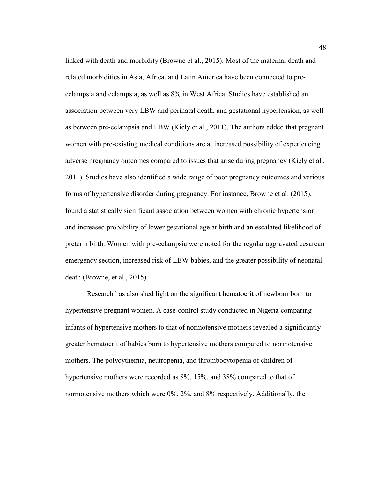linked with death and morbidity (Browne et al., 2015). Most of the maternal death and related morbidities in Asia, Africa, and Latin America have been connected to preeclampsia and eclampsia, as well as 8% in West Africa. Studies have established an association between very LBW and perinatal death, and gestational hypertension, as well as between pre-eclampsia and LBW (Kiely et al., 2011). The authors added that pregnant women with pre-existing medical conditions are at increased possibility of experiencing adverse pregnancy outcomes compared to issues that arise during pregnancy (Kiely et al., 2011). Studies have also identified a wide range of poor pregnancy outcomes and various forms of hypertensive disorder during pregnancy. For instance, Browne et al. (2015), found a statistically significant association between women with chronic hypertension and increased probability of lower gestational age at birth and an escalated likelihood of preterm birth. Women with pre-eclampsia were noted for the regular aggravated cesarean emergency section, increased risk of LBW babies, and the greater possibility of neonatal death (Browne, et al., 2015).

Research has also shed light on the significant hematocrit of newborn born to hypertensive pregnant women. A case-control study conducted in Nigeria comparing infants of hypertensive mothers to that of normotensive mothers revealed a significantly greater hematocrit of babies born to hypertensive mothers compared to normotensive mothers. The polycythemia, neutropenia, and thrombocytopenia of children of hypertensive mothers were recorded as 8%, 15%, and 38% compared to that of normotensive mothers which were 0%, 2%, and 8% respectively. Additionally, the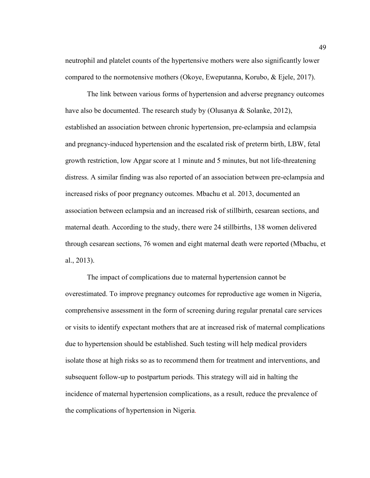neutrophil and platelet counts of the hypertensive mothers were also significantly lower compared to the normotensive mothers (Okoye, Eweputanna, Korubo, & Ejele, 2017).

The link between various forms of hypertension and adverse pregnancy outcomes have also be documented. The research study by (Olusanya & Solanke, 2012), established an association between chronic hypertension, pre-eclampsia and eclampsia and pregnancy-induced hypertension and the escalated risk of preterm birth, LBW, fetal growth restriction, low Apgar score at 1 minute and 5 minutes, but not life-threatening distress. A similar finding was also reported of an association between pre-eclampsia and increased risks of poor pregnancy outcomes. Mbachu et al. 2013, documented an association between eclampsia and an increased risk of stillbirth, cesarean sections, and maternal death. According to the study, there were 24 stillbirths, 138 women delivered through cesarean sections, 76 women and eight maternal death were reported (Mbachu, et al., 2013).

The impact of complications due to maternal hypertension cannot be overestimated. To improve pregnancy outcomes for reproductive age women in Nigeria, comprehensive assessment in the form of screening during regular prenatal care services or visits to identify expectant mothers that are at increased risk of maternal complications due to hypertension should be established. Such testing will help medical providers isolate those at high risks so as to recommend them for treatment and interventions, and subsequent follow-up to postpartum periods. This strategy will aid in halting the incidence of maternal hypertension complications, as a result, reduce the prevalence of the complications of hypertension in Nigeria.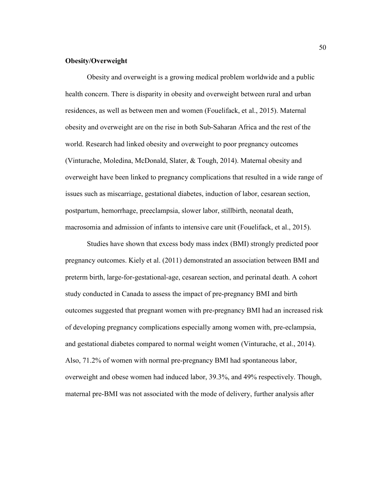## **Obesity/Overweight**

Obesity and overweight is a growing medical problem worldwide and a public health concern. There is disparity in obesity and overweight between rural and urban residences, as well as between men and women (Fouelifack, et al., 2015). Maternal obesity and overweight are on the rise in both Sub-Saharan Africa and the rest of the world. Research had linked obesity and overweight to poor pregnancy outcomes (Vinturache, Moledina, McDonald, Slater, & Tough, 2014). Maternal obesity and overweight have been linked to pregnancy complications that resulted in a wide range of issues such as miscarriage, gestational diabetes, induction of labor, cesarean section, postpartum, hemorrhage, preeclampsia, slower labor, stillbirth, neonatal death, macrosomia and admission of infants to intensive care unit (Fouelifack, et al., 2015).

Studies have shown that excess body mass index (BMI) strongly predicted poor pregnancy outcomes. Kiely et al. (2011) demonstrated an association between BMI and preterm birth, large-for-gestational-age, cesarean section, and perinatal death. A cohort study conducted in Canada to assess the impact of pre-pregnancy BMI and birth outcomes suggested that pregnant women with pre-pregnancy BMI had an increased risk of developing pregnancy complications especially among women with, pre-eclampsia, and gestational diabetes compared to normal weight women (Vinturache, et al., 2014). Also, 71.2% of women with normal pre-pregnancy BMI had spontaneous labor, overweight and obese women had induced labor, 39.3%, and 49% respectively. Though, maternal pre-BMI was not associated with the mode of delivery, further analysis after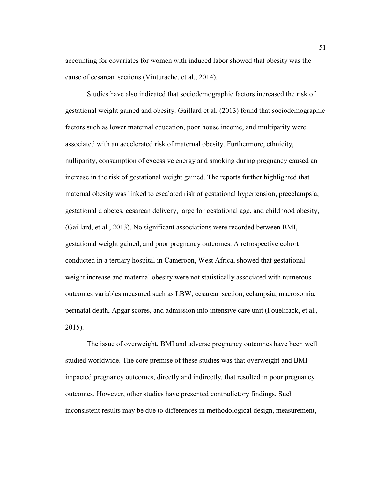accounting for covariates for women with induced labor showed that obesity was the cause of cesarean sections (Vinturache, et al., 2014).

Studies have also indicated that sociodemographic factors increased the risk of gestational weight gained and obesity. Gaillard et al. (2013) found that sociodemographic factors such as lower maternal education, poor house income, and multiparity were associated with an accelerated risk of maternal obesity. Furthermore, ethnicity, nulliparity, consumption of excessive energy and smoking during pregnancy caused an increase in the risk of gestational weight gained. The reports further highlighted that maternal obesity was linked to escalated risk of gestational hypertension, preeclampsia, gestational diabetes, cesarean delivery, large for gestational age, and childhood obesity, (Gaillard, et al., 2013). No significant associations were recorded between BMI, gestational weight gained, and poor pregnancy outcomes. A retrospective cohort conducted in a tertiary hospital in Cameroon, West Africa, showed that gestational weight increase and maternal obesity were not statistically associated with numerous outcomes variables measured such as LBW, cesarean section, eclampsia, macrosomia, perinatal death, Apgar scores, and admission into intensive care unit (Fouelifack, et al., 2015).

The issue of overweight, BMI and adverse pregnancy outcomes have been well studied worldwide. The core premise of these studies was that overweight and BMI impacted pregnancy outcomes, directly and indirectly, that resulted in poor pregnancy outcomes. However, other studies have presented contradictory findings. Such inconsistent results may be due to differences in methodological design, measurement,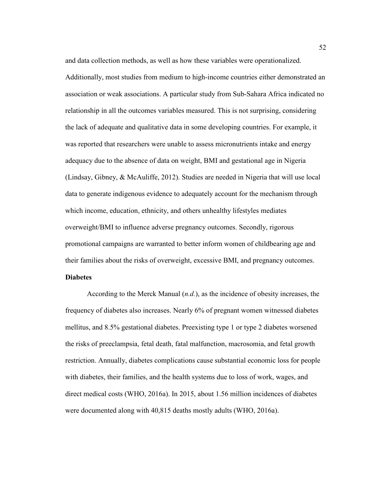and data collection methods, as well as how these variables were operationalized.

Additionally, most studies from medium to high-income countries either demonstrated an association or weak associations. A particular study from Sub-Sahara Africa indicated no relationship in all the outcomes variables measured. This is not surprising, considering the lack of adequate and qualitative data in some developing countries. For example, it was reported that researchers were unable to assess micronutrients intake and energy adequacy due to the absence of data on weight, BMI and gestational age in Nigeria (Lindsay, Gibney, & McAuliffe, 2012). Studies are needed in Nigeria that will use local data to generate indigenous evidence to adequately account for the mechanism through which income, education, ethnicity, and others unhealthy lifestyles mediates overweight/BMI to influence adverse pregnancy outcomes. Secondly, rigorous promotional campaigns are warranted to better inform women of childbearing age and their families about the risks of overweight, excessive BMI, and pregnancy outcomes.

## **Diabetes**

According to the Merck Manual (*n.d.*), as the incidence of obesity increases, the frequency of diabetes also increases. Nearly 6% of pregnant women witnessed diabetes mellitus, and 8.5% gestational diabetes. Preexisting type 1 or type 2 diabetes worsened the risks of preeclampsia, fetal death, fatal malfunction, macrosomia, and fetal growth restriction. Annually, diabetes complications cause substantial economic loss for people with diabetes, their families, and the health systems due to loss of work, wages, and direct medical costs (WHO, 2016a). In 2015, about 1.56 million incidences of diabetes were documented along with 40,815 deaths mostly adults (WHO, 2016a).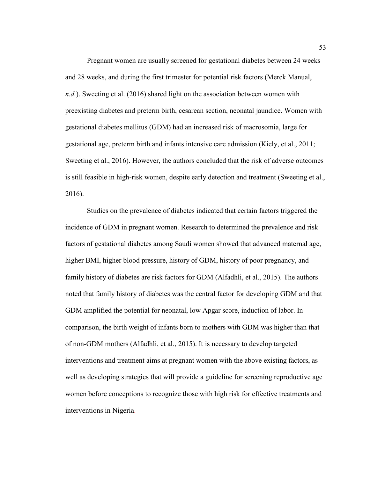Pregnant women are usually screened for gestational diabetes between 24 weeks and 28 weeks, and during the first trimester for potential risk factors (Merck Manual, *n.d.*). Sweeting et al. (2016) shared light on the association between women with preexisting diabetes and preterm birth, cesarean section, neonatal jaundice. Women with gestational diabetes mellitus (GDM) had an increased risk of macrosomia, large for gestational age, preterm birth and infants intensive care admission (Kiely, et al., 2011; Sweeting et al., 2016). However, the authors concluded that the risk of adverse outcomes is still feasible in high-risk women, despite early detection and treatment (Sweeting et al., 2016).

Studies on the prevalence of diabetes indicated that certain factors triggered the incidence of GDM in pregnant women. Research to determined the prevalence and risk factors of gestational diabetes among Saudi women showed that advanced maternal age, higher BMI, higher blood pressure, history of GDM, history of poor pregnancy, and family history of diabetes are risk factors for GDM (Alfadhli, et al., 2015). The authors noted that family history of diabetes was the central factor for developing GDM and that GDM amplified the potential for neonatal, low Apgar score, induction of labor. In comparison, the birth weight of infants born to mothers with GDM was higher than that of non-GDM mothers (Alfadhli, et al., 2015). It is necessary to develop targeted interventions and treatment aims at pregnant women with the above existing factors, as well as developing strategies that will provide a guideline for screening reproductive age women before conceptions to recognize those with high risk for effective treatments and interventions in Nigeria.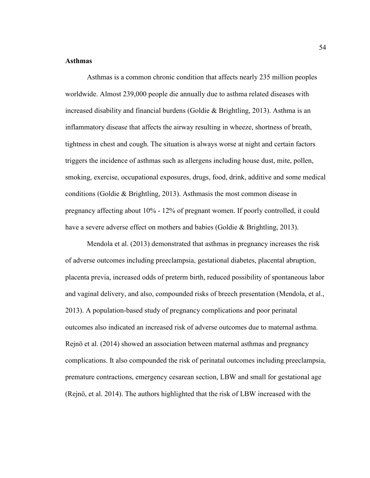## **Asthmas**

Asthmas is a common chronic condition that affects nearly 235 million peoples worldwide. Almost 239,000 people die annually due to asthma related diseases with increased disability and financial burdens (Goldie & Brightling, 2013). Asthma is an inflammatory disease that affects the airway resulting in wheeze, shortness of breath, tightness in chest and cough. The situation is always worse at night and certain factors triggers the incidence of asthmas such as allergens including house dust, mite, pollen, smoking, exercise, occupational exposures, drugs, food, drink, additive and some medical conditions (Goldie & Brightling, 2013). Asthmasis the most common disease in pregnancy affecting about 10% - 12% of pregnant women. If poorly controlled, it could have a severe adverse effect on mothers and babies (Goldie & Brightling, 2013).

Mendola et al. (2013) demonstrated that asthmas in pregnancy increases the risk of adverse outcomes including preeclampsia, gestational diabetes, placental abruption, placenta previa, increased odds of preterm birth, reduced possibility of spontaneous labor and vaginal delivery, and also, compounded risks of breech presentation (Mendola, et al., 2013). A population-based study of pregnancy complications and poor perinatal outcomes also indicated an increased risk of adverse outcomes due to maternal asthma. Rejnö et al. (2014) showed an association between maternal asthmas and pregnancy complications. It also compounded the risk of perinatal outcomes including preeclampsia, premature contractions, emergency cesarean section, LBW and small for gestational age (Rejnö, et al. 2014). The authors highlighted that the risk of LBW increased with the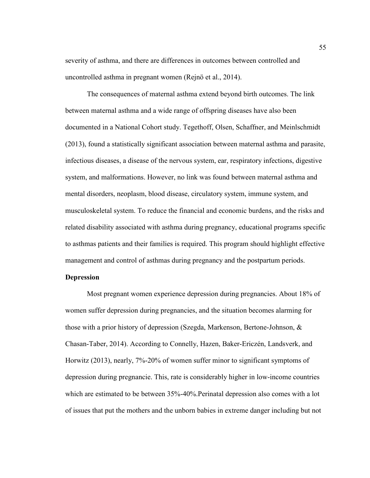severity of asthma, and there are differences in outcomes between controlled and uncontrolled asthma in pregnant women (Rejnö et al., 2014).

The consequences of maternal asthma extend beyond birth outcomes. The link between maternal asthma and a wide range of offspring diseases have also been documented in a National Cohort study. Tegethoff, Olsen, Schaffner, and Meinlschmidt (2013), found a statistically significant association between maternal asthma and parasite, infectious diseases, a disease of the nervous system, ear, respiratory infections, digestive system, and malformations. However, no link was found between maternal asthma and mental disorders, neoplasm, blood disease, circulatory system, immune system, and musculoskeletal system. To reduce the financial and economic burdens, and the risks and related disability associated with asthma during pregnancy, educational programs specific to asthmas patients and their families is required. This program should highlight effective management and control of asthmas during pregnancy and the postpartum periods.

## **Depression**

Most pregnant women experience depression during pregnancies. About 18% of women suffer depression during pregnancies, and the situation becomes alarming for those with a prior history of depression (Szegda, Markenson, Bertone-Johnson, & Chasan-Taber, 2014). According to Connelly, Hazen, Baker-Ericzén, Landsverk, and Horwitz (2013), nearly, 7%-20% of women suffer minor to significant symptoms of depression during pregnancie. This, rate is considerably higher in low-income countries which are estimated to be between 35%-40%.Perinatal depression also comes with a lot of issues that put the mothers and the unborn babies in extreme danger including but not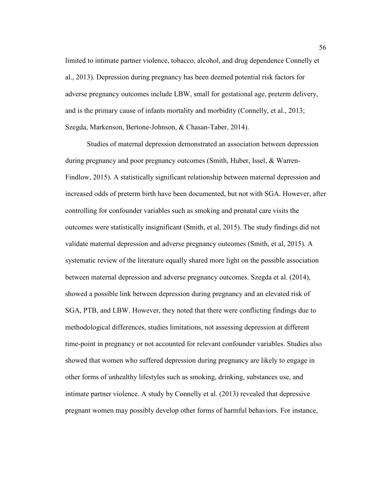limited to intimate partner violence, tobacco, alcohol, and drug dependence Connelly et al., 2013). Depression during pregnancy has been deemed potential risk factors for adverse pregnancy outcomes include LBW, small for gestational age, preterm delivery, and is the primary cause of infants mortality and morbidity (Connelly, et al., 2013; Szegda, Markenson, Bertone-Johnson, & Chasan-Taber, 2014).

Studies of maternal depression demonstrated an association between depression during pregnancy and poor pregnancy outcomes (Smith, Huber, Issel, & Warren-Findlow, 2015). A statistically significant relationship between maternal depression and increased odds of preterm birth have been documented, but not with SGA. However, after controlling for confounder variables such as smoking and prenatal care visits the outcomes were statistically insignificant (Smith, et al, 2015). The study findings did not validate maternal depression and adverse pregnancy outcomes (Smith, et al, 2015). A systematic review of the literature equally shared more light on the possible association between maternal depression and adverse pregnancy outcomes. Szegda et al. (2014), showed a possible link between depression during pregnancy and an elevated risk of SGA, PTB, and LBW. However, they noted that there were conflicting findings due to methodological differences, studies limitations, not assessing depression at different time-point in pregnancy or not accounted for relevant confounder variables. Studies also showed that women who suffered depression during pregnancy are likely to engage in other forms of unhealthy lifestyles such as smoking, drinking, substances use, and intimate partner violence. A study by Connelly et al. (2013) revealed that depressive pregnant women may possibly develop other forms of harmful behaviors. For instance,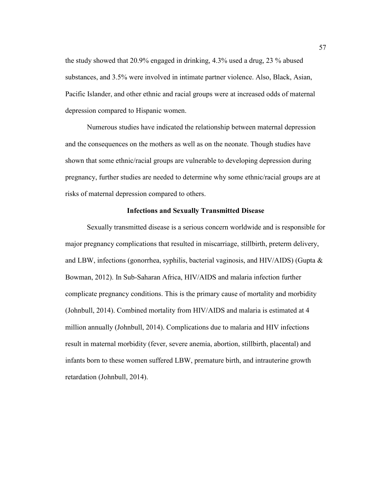the study showed that 20.9% engaged in drinking, 4.3% used a drug, 23 % abused substances, and 3.5% were involved in intimate partner violence. Also, Black, Asian, Pacific Islander, and other ethnic and racial groups were at increased odds of maternal depression compared to Hispanic women.

Numerous studies have indicated the relationship between maternal depression and the consequences on the mothers as well as on the neonate. Though studies have shown that some ethnic/racial groups are vulnerable to developing depression during pregnancy, further studies are needed to determine why some ethnic/racial groups are at risks of maternal depression compared to others.

### **Infections and Sexually Transmitted Disease**

Sexually transmitted disease is a serious concern worldwide and is responsible for major pregnancy complications that resulted in miscarriage, stillbirth, preterm delivery, and LBW, infections (gonorrhea, syphilis, bacterial vaginosis, and HIV/AIDS) (Gupta & Bowman, 2012). In Sub-Saharan Africa, HIV/AIDS and malaria infection further complicate pregnancy conditions. This is the primary cause of mortality and morbidity (Johnbull, 2014). Combined mortality from HIV/AIDS and malaria is estimated at 4 million annually (Johnbull, 2014). Complications due to malaria and HIV infections result in maternal morbidity (fever, severe anemia, abortion, stillbirth, placental) and infants born to these women suffered LBW, premature birth, and intrauterine growth retardation (Johnbull, 2014).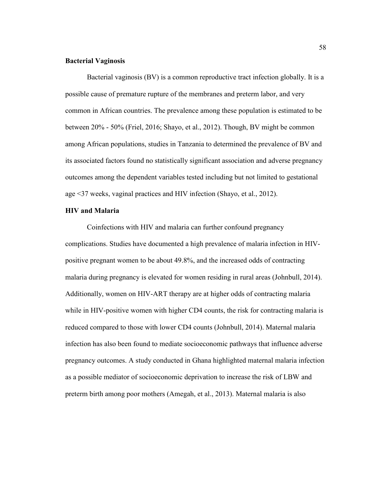### **Bacterial Vaginosis**

Bacterial vaginosis (BV) is a common reproductive tract infection globally. It is a possible cause of premature rupture of the membranes and preterm labor, and very common in African countries. The prevalence among these population is estimated to be between 20% - 50% (Friel, 2016; Shayo, et al., 2012). Though, BV might be common among African populations, studies in Tanzania to determined the prevalence of BV and its associated factors found no statistically significant association and adverse pregnancy outcomes among the dependent variables tested including but not limited to gestational age <37 weeks, vaginal practices and HIV infection (Shayo, et al., 2012).

## **HIV and Malaria**

Coinfections with HIV and malaria can further confound pregnancy complications. Studies have documented a high prevalence of malaria infection in HIVpositive pregnant women to be about 49.8%, and the increased odds of contracting malaria during pregnancy is elevated for women residing in rural areas (Johnbull, 2014). Additionally, women on HIV-ART therapy are at higher odds of contracting malaria while in HIV-positive women with higher CD4 counts, the risk for contracting malaria is reduced compared to those with lower CD4 counts (Johnbull, 2014). Maternal malaria infection has also been found to mediate socioeconomic pathways that influence adverse pregnancy outcomes. A study conducted in Ghana highlighted maternal malaria infection as a possible mediator of socioeconomic deprivation to increase the risk of LBW and preterm birth among poor mothers (Amegah, et al., 2013). Maternal malaria is also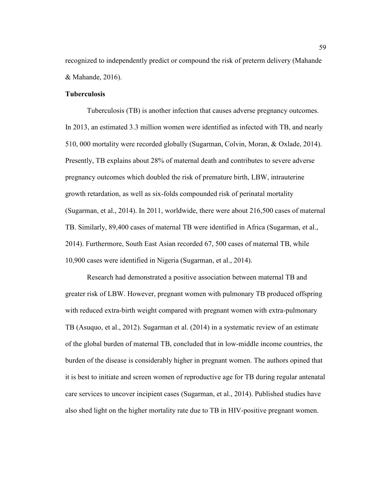recognized to independently predict or compound the risk of preterm delivery (Mahande & Mahande, 2016).

## **Tuberculosis**

Tuberculosis (TB) is another infection that causes adverse pregnancy outcomes. In 2013, an estimated 3.3 million women were identified as infected with TB, and nearly 510, 000 mortality were recorded globally (Sugarman, Colvin, Moran, & Oxlade, 2014). Presently, TB explains about 28% of maternal death and contributes to severe adverse pregnancy outcomes which doubled the risk of premature birth, LBW, intrauterine growth retardation, as well as six-folds compounded risk of perinatal mortality (Sugarman, et al., 2014). In 2011, worldwide, there were about 216,500 cases of maternal TB. Similarly, 89,400 cases of maternal TB were identified in Africa (Sugarman, et al., 2014). Furthermore, South East Asian recorded 67, 500 cases of maternal TB, while 10,900 cases were identified in Nigeria (Sugarman, et al., 2014).

Research had demonstrated a positive association between maternal TB and greater risk of LBW. However, pregnant women with pulmonary TB produced offspring with reduced extra-birth weight compared with pregnant women with extra-pulmonary TB (Asuquo, et al., 2012). Sugarman et al. (2014) in a systematic review of an estimate of the global burden of maternal TB, concluded that in low-middle income countries, the burden of the disease is considerably higher in pregnant women. The authors opined that it is best to initiate and screen women of reproductive age for TB during regular antenatal care services to uncover incipient cases (Sugarman, et al., 2014). Published studies have also shed light on the higher mortality rate due to TB in HIV-positive pregnant women.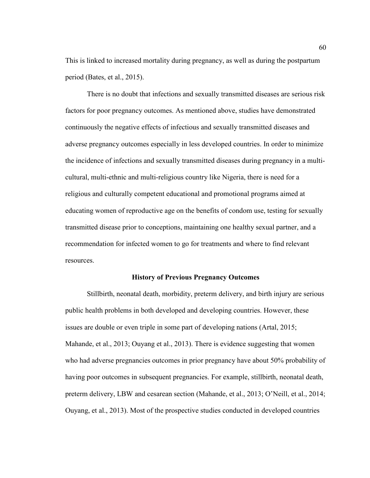This is linked to increased mortality during pregnancy, as well as during the postpartum period (Bates, et al., 2015).

There is no doubt that infections and sexually transmitted diseases are serious risk factors for poor pregnancy outcomes. As mentioned above, studies have demonstrated continuously the negative effects of infectious and sexually transmitted diseases and adverse pregnancy outcomes especially in less developed countries. In order to minimize the incidence of infections and sexually transmitted diseases during pregnancy in a multicultural, multi-ethnic and multi-religious country like Nigeria, there is need for a religious and culturally competent educational and promotional programs aimed at educating women of reproductive age on the benefits of condom use, testing for sexually transmitted disease prior to conceptions, maintaining one healthy sexual partner, and a recommendation for infected women to go for treatments and where to find relevant resources.

## **History of Previous Pregnancy Outcomes**

Stillbirth, neonatal death, morbidity, preterm delivery, and birth injury are serious public health problems in both developed and developing countries. However, these issues are double or even triple in some part of developing nations (Artal, 2015; Mahande, et al., 2013; Ouyang et al., 2013). There is evidence suggesting that women who had adverse pregnancies outcomes in prior pregnancy have about 50% probability of having poor outcomes in subsequent pregnancies. For example, stillbirth, neonatal death, preterm delivery, LBW and cesarean section (Mahande, et al., 2013; O'Neill, et al., 2014; Ouyang, et al., 2013). Most of the prospective studies conducted in developed countries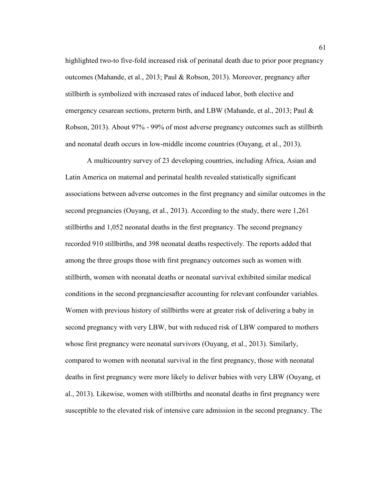highlighted two-to five-fold increased risk of perinatal death due to prior poor pregnancy outcomes (Mahande, et al., 2013; Paul & Robson, 2013). Moreover, pregnancy after stillbirth is symbolized with increased rates of induced labor, both elective and emergency cesarean sections, preterm birth, and LBW (Mahande, et al., 2013; Paul & Robson, 2013). About 97% - 99% of most adverse pregnancy outcomes such as stillbirth and neonatal death occurs in low-middle income countries (Ouyang, et al., 2013).

A multicountry survey of 23 developing countries, including Africa, Asian and Latin America on maternal and perinatal health revealed statistically significant associations between adverse outcomes in the first pregnancy and similar outcomes in the second pregnancies (Ouyang, et al., 2013). According to the study, there were 1,261 stillbirths and 1,052 neonatal deaths in the first pregnancy. The second pregnancy recorded 910 stillbirths, and 398 neonatal deaths respectively. The reports added that among the three groups those with first pregnancy outcomes such as women with stillbirth, women with neonatal deaths or neonatal survival exhibited similar medical conditions in the second pregnanciesafter accounting for relevant confounder variables. Women with previous history of stillbirths were at greater risk of delivering a baby in second pregnancy with very LBW, but with reduced risk of LBW compared to mothers whose first pregnancy were neonatal survivors (Ouyang, et al., 2013). Similarly, compared to women with neonatal survival in the first pregnancy, those with neonatal deaths in first pregnancy were more likely to deliver babies with very LBW (Ouyang, et al., 2013). Likewise, women with stillbirths and neonatal deaths in first pregnancy were susceptible to the elevated risk of intensive care admission in the second pregnancy. The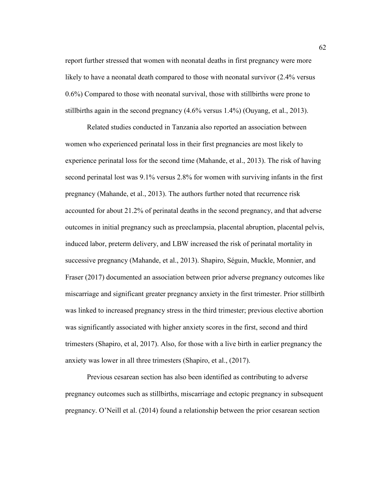report further stressed that women with neonatal deaths in first pregnancy were more likely to have a neonatal death compared to those with neonatal survivor (2.4% versus 0.6%) Compared to those with neonatal survival, those with stillbirths were prone to stillbirths again in the second pregnancy (4.6% versus 1.4%) (Ouyang, et al., 2013).

Related studies conducted in Tanzania also reported an association between women who experienced perinatal loss in their first pregnancies are most likely to experience perinatal loss for the second time (Mahande, et al., 2013). The risk of having second perinatal lost was 9.1% versus 2.8% for women with surviving infants in the first pregnancy (Mahande, et al., 2013). The authors further noted that recurrence risk accounted for about 21.2% of perinatal deaths in the second pregnancy, and that adverse outcomes in initial pregnancy such as preeclampsia, placental abruption, placental pelvis, induced labor, preterm delivery, and LBW increased the risk of perinatal mortality in successive pregnancy (Mahande, et al., 2013). Shapiro, Séguin, Muckle, Monnier, and Fraser (2017) documented an association between prior adverse pregnancy outcomes like miscarriage and significant greater pregnancy anxiety in the first trimester. Prior stillbirth was linked to increased pregnancy stress in the third trimester; previous elective abortion was significantly associated with higher anxiety scores in the first, second and third trimesters (Shapiro, et al, 2017). Also, for those with a live birth in earlier pregnancy the anxiety was lower in all three trimesters (Shapiro, et al., (2017).

Previous cesarean section has also been identified as contributing to adverse pregnancy outcomes such as stillbirths, miscarriage and ectopic pregnancy in subsequent pregnancy. O'Neill et al. (2014) found a relationship between the prior cesarean section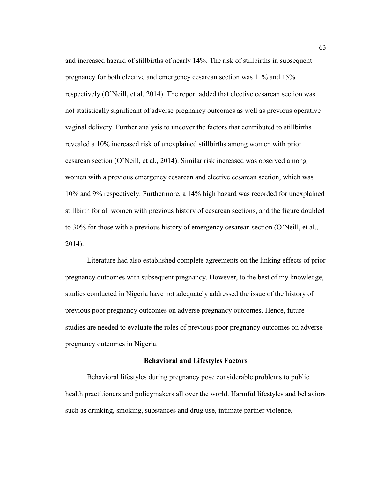and increased hazard of stillbirths of nearly 14%. The risk of stillbirths in subsequent pregnancy for both elective and emergency cesarean section was 11% and 15% respectively (O'Neill, et al. 2014). The report added that elective cesarean section was not statistically significant of adverse pregnancy outcomes as well as previous operative vaginal delivery. Further analysis to uncover the factors that contributed to stillbirths revealed a 10% increased risk of unexplained stillbirths among women with prior cesarean section (O'Neill, et al., 2014). Similar risk increased was observed among women with a previous emergency cesarean and elective cesarean section, which was 10% and 9% respectively. Furthermore, a 14% high hazard was recorded for unexplained stillbirth for all women with previous history of cesarean sections, and the figure doubled to 30% for those with a previous history of emergency cesarean section (O'Neill, et al., 2014).

Literature had also established complete agreements on the linking effects of prior pregnancy outcomes with subsequent pregnancy. However, to the best of my knowledge, studies conducted in Nigeria have not adequately addressed the issue of the history of previous poor pregnancy outcomes on adverse pregnancy outcomes. Hence, future studies are needed to evaluate the roles of previous poor pregnancy outcomes on adverse pregnancy outcomes in Nigeria.

#### **Behavioral and Lifestyles Factors**

Behavioral lifestyles during pregnancy pose considerable problems to public health practitioners and policymakers all over the world. Harmful lifestyles and behaviors such as drinking, smoking, substances and drug use, intimate partner violence,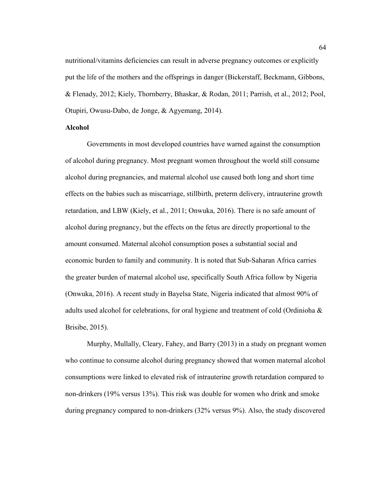nutritional/vitamins deficiencies can result in adverse pregnancy outcomes or explicitly put the life of the mothers and the offsprings in danger (Bickerstaff, Beckmann, Gibbons, & Flenady, 2012; Kiely, Thornberry, Bhaskar, & Rodan, 2011; Parrish, et al., 2012; Pool, Otupiri, Owusu-Dabo, de Jonge, & Agyemang, 2014).

#### **Alcohol**

Governments in most developed countries have warned against the consumption of alcohol during pregnancy. Most pregnant women throughout the world still consume alcohol during pregnancies, and maternal alcohol use caused both long and short time effects on the babies such as miscarriage, stillbirth, preterm delivery, intrauterine growth retardation, and LBW (Kiely, et al., 2011; Onwuka, 2016). There is no safe amount of alcohol during pregnancy, but the effects on the fetus are directly proportional to the amount consumed. Maternal alcohol consumption poses a substantial social and economic burden to family and community. It is noted that Sub-Saharan Africa carries the greater burden of maternal alcohol use, specifically South Africa follow by Nigeria (Onwuka, 2016). A recent study in Bayelsa State, Nigeria indicated that almost 90% of adults used alcohol for celebrations, for oral hygiene and treatment of cold (Ordinioha & Brisibe, 2015).

Murphy, Mullally, Cleary, Fahey, and Barry (2013) in a study on pregnant women who continue to consume alcohol during pregnancy showed that women maternal alcohol consumptions were linked to elevated risk of intrauterine growth retardation compared to non-drinkers (19% versus 13%). This risk was double for women who drink and smoke during pregnancy compared to non-drinkers (32% versus 9%). Also, the study discovered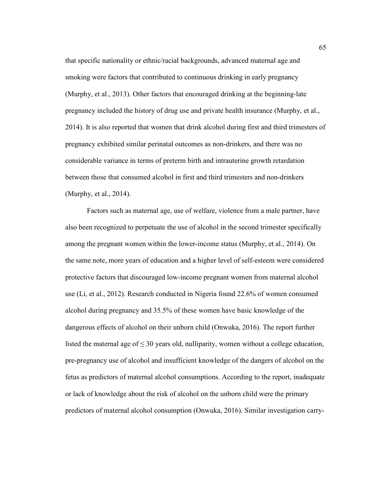that specific nationality or ethnic/racial backgrounds, advanced maternal age and smoking were factors that contributed to continuous drinking in early pregnancy (Murphy, et al., 2013). Other factors that encouraged drinking at the beginning-late pregnancy included the history of drug use and private health insurance (Murphy, et al., 2014). It is also reported that women that drink alcohol during first and third trimesters of pregnancy exhibited similar perinatal outcomes as non-drinkers, and there was no considerable variance in terms of preterm birth and intrauterine growth retardation between those that consumed alcohol in first and third trimesters and non-drinkers (Murphy, et al., 2014).

Factors such as maternal age, use of welfare, violence from a male partner, have also been recognized to perpetuate the use of alcohol in the second trimester specifically among the pregnant women within the lower-income status (Murphy, et al., 2014). On the same note, more years of education and a higher level of self-esteem were considered protective factors that discouraged low-income pregnant women from maternal alcohol use (Li, et al., 2012). Research conducted in Nigeria found 22.6% of women consumed alcohol during pregnancy and 35.5% of these women have basic knowledge of the dangerous effects of alcohol on their unborn child (Onwuka, 2016). The report further listed the maternal age of  $\leq 30$  years old, nulliparity, women without a college education, pre-pregnancy use of alcohol and insufficient knowledge of the dangers of alcohol on the fetus as predictors of maternal alcohol consumptions. According to the report, inadequate or lack of knowledge about the risk of alcohol on the unborn child were the primary predictors of maternal alcohol consumption (Onwuka, 2016). Similar investigation carry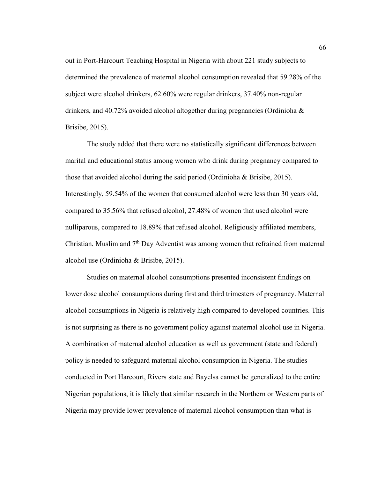out in Port-Harcourt Teaching Hospital in Nigeria with about 221 study subjects to determined the prevalence of maternal alcohol consumption revealed that 59.28% of the subject were alcohol drinkers, 62.60% were regular drinkers, 37.40% non-regular drinkers, and 40.72% avoided alcohol altogether during pregnancies (Ordinioha  $\&$ Brisibe, 2015).

The study added that there were no statistically significant differences between marital and educational status among women who drink during pregnancy compared to those that avoided alcohol during the said period (Ordinioha & Brisibe, 2015). Interestingly, 59.54% of the women that consumed alcohol were less than 30 years old, compared to 35.56% that refused alcohol, 27.48% of women that used alcohol were nulliparous, compared to 18.89% that refused alcohol. Religiously affiliated members, Christian, Muslim and  $7<sup>th</sup>$  Day Adventist was among women that refrained from maternal alcohol use (Ordinioha & Brisibe, 2015).

Studies on maternal alcohol consumptions presented inconsistent findings on lower dose alcohol consumptions during first and third trimesters of pregnancy. Maternal alcohol consumptions in Nigeria is relatively high compared to developed countries. This is not surprising as there is no government policy against maternal alcohol use in Nigeria. A combination of maternal alcohol education as well as government (state and federal) policy is needed to safeguard maternal alcohol consumption in Nigeria. The studies conducted in Port Harcourt, Rivers state and Bayelsa cannot be generalized to the entire Nigerian populations, it is likely that similar research in the Northern or Western parts of Nigeria may provide lower prevalence of maternal alcohol consumption than what is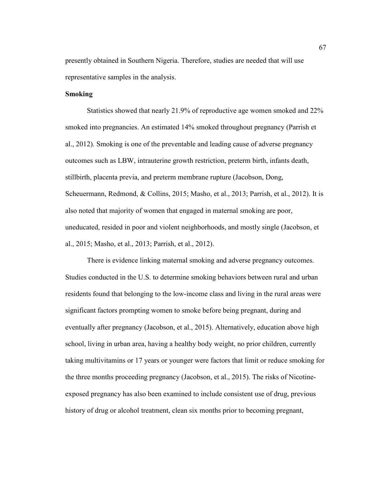presently obtained in Southern Nigeria. Therefore, studies are needed that will use representative samples in the analysis.

## **Smoking**

Statistics showed that nearly 21.9% of reproductive age women smoked and 22% smoked into pregnancies. An estimated 14% smoked throughout pregnancy (Parrish et al., 2012). Smoking is one of the preventable and leading cause of adverse pregnancy outcomes such as LBW, intrauterine growth restriction, preterm birth, infants death, stillbirth, placenta previa, and preterm membrane rupture (Jacobson, Dong, Scheuermann, Redmond, & Collins, 2015; Masho, et al., 2013; Parrish, et al., 2012). It is also noted that majority of women that engaged in maternal smoking are poor, uneducated, resided in poor and violent neighborhoods, and mostly single (Jacobson, et al., 2015; Masho, et al., 2013; Parrish, et al., 2012).

There is evidence linking maternal smoking and adverse pregnancy outcomes. Studies conducted in the U.S. to determine smoking behaviors between rural and urban residents found that belonging to the low-income class and living in the rural areas were significant factors prompting women to smoke before being pregnant, during and eventually after pregnancy (Jacobson, et al., 2015). Alternatively, education above high school, living in urban area, having a healthy body weight, no prior children, currently taking multivitamins or 17 years or younger were factors that limit or reduce smoking for the three months proceeding pregnancy (Jacobson, et al., 2015). The risks of Nicotineexposed pregnancy has also been examined to include consistent use of drug, previous history of drug or alcohol treatment, clean six months prior to becoming pregnant,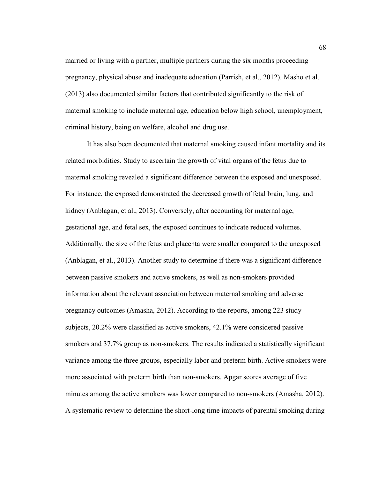married or living with a partner, multiple partners during the six months proceeding pregnancy, physical abuse and inadequate education (Parrish, et al., 2012). Masho et al. (2013) also documented similar factors that contributed significantly to the risk of maternal smoking to include maternal age, education below high school, unemployment, criminal history, being on welfare, alcohol and drug use.

It has also been documented that maternal smoking caused infant mortality and its related morbidities. Study to ascertain the growth of vital organs of the fetus due to maternal smoking revealed a significant difference between the exposed and unexposed. For instance, the exposed demonstrated the decreased growth of fetal brain, lung, and kidney (Anblagan, et al., 2013). Conversely, after accounting for maternal age, gestational age, and fetal sex, the exposed continues to indicate reduced volumes. Additionally, the size of the fetus and placenta were smaller compared to the unexposed (Anblagan, et al., 2013). Another study to determine if there was a significant difference between passive smokers and active smokers, as well as non-smokers provided information about the relevant association between maternal smoking and adverse pregnancy outcomes (Amasha, 2012). According to the reports, among 223 study subjects, 20.2% were classified as active smokers, 42.1% were considered passive smokers and 37.7% group as non-smokers. The results indicated a statistically significant variance among the three groups, especially labor and preterm birth. Active smokers were more associated with preterm birth than non-smokers. Apgar scores average of five minutes among the active smokers was lower compared to non-smokers (Amasha, 2012). A systematic review to determine the short-long time impacts of parental smoking during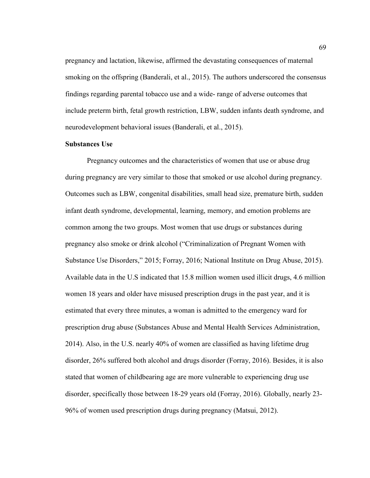pregnancy and lactation, likewise, affirmed the devastating consequences of maternal smoking on the offspring (Banderali, et al., 2015). The authors underscored the consensus findings regarding parental tobacco use and a wide- range of adverse outcomes that include preterm birth, fetal growth restriction, LBW, sudden infants death syndrome, and neurodevelopment behavioral issues (Banderali, et al., 2015).

### **Substances Use**

Pregnancy outcomes and the characteristics of women that use or abuse drug during pregnancy are very similar to those that smoked or use alcohol during pregnancy. Outcomes such as LBW, congenital disabilities, small head size, premature birth, sudden infant death syndrome, developmental, learning, memory, and emotion problems are common among the two groups. Most women that use drugs or substances during pregnancy also smoke or drink alcohol ("Criminalization of Pregnant Women with Substance Use Disorders," 2015; Forray, 2016; National Institute on Drug Abuse, 2015). Available data in the U.S indicated that 15.8 million women used illicit drugs, 4.6 million women 18 years and older have misused prescription drugs in the past year, and it is estimated that every three minutes, a woman is admitted to the emergency ward for prescription drug abuse (Substances Abuse and Mental Health Services Administration, 2014). Also, in the U.S. nearly 40% of women are classified as having lifetime drug disorder, 26% suffered both alcohol and drugs disorder (Forray, 2016). Besides, it is also stated that women of childbearing age are more vulnerable to experiencing drug use disorder, specifically those between 18-29 years old (Forray, 2016). Globally, nearly 23- 96% of women used prescription drugs during pregnancy (Matsui, 2012).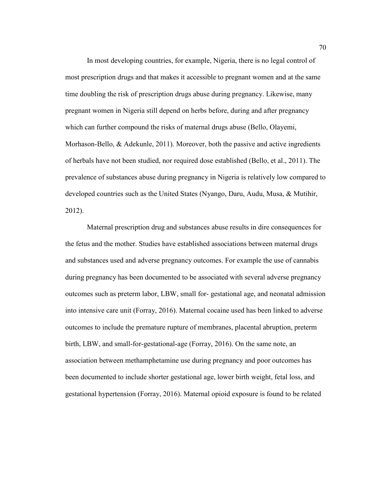In most developing countries, for example, Nigeria, there is no legal control of most prescription drugs and that makes it accessible to pregnant women and at the same time doubling the risk of prescription drugs abuse during pregnancy. Likewise, many pregnant women in Nigeria still depend on herbs before, during and after pregnancy which can further compound the risks of maternal drugs abuse (Bello, Olayemi, Morhason-Bello, & Adekunle, 2011). Moreover, both the passive and active ingredients of herbals have not been studied, nor required dose established (Bello, et al., 2011). The prevalence of substances abuse during pregnancy in Nigeria is relatively low compared to developed countries such as the United States (Nyango, Daru, Audu, Musa, & Mutihir, 2012).

Maternal prescription drug and substances abuse results in dire consequences for the fetus and the mother. Studies have established associations between maternal drugs and substances used and adverse pregnancy outcomes. For example the use of cannabis during pregnancy has been documented to be associated with several adverse pregnancy outcomes such as preterm labor, LBW, small for- gestational age, and neonatal admission into intensive care unit (Forray, 2016). Maternal cocaine used has been linked to adverse outcomes to include the premature rupture of membranes, placental abruption, preterm birth, LBW, and small-for-gestational-age (Forray, 2016). On the same note, an association between methamphetamine use during pregnancy and poor outcomes has been documented to include shorter gestational age, lower birth weight, fetal loss, and gestational hypertension (Forray, 2016). Maternal opioid exposure is found to be related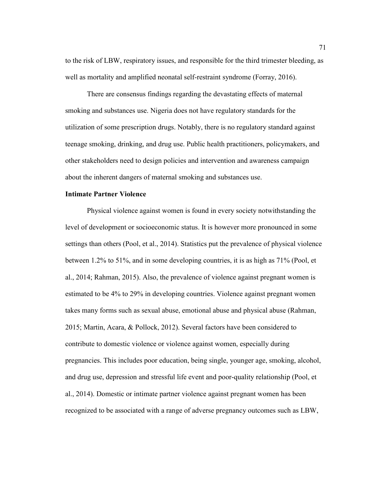to the risk of LBW, respiratory issues, and responsible for the third trimester bleeding, as well as mortality and amplified neonatal self-restraint syndrome (Forray, 2016).

There are consensus findings regarding the devastating effects of maternal smoking and substances use. Nigeria does not have regulatory standards for the utilization of some prescription drugs. Notably, there is no regulatory standard against teenage smoking, drinking, and drug use. Public health practitioners, policymakers, and other stakeholders need to design policies and intervention and awareness campaign about the inherent dangers of maternal smoking and substances use.

## **Intimate Partner Violence**

Physical violence against women is found in every society notwithstanding the level of development or socioeconomic status. It is however more pronounced in some settings than others (Pool, et al., 2014). Statistics put the prevalence of physical violence between 1.2% to 51%, and in some developing countries, it is as high as 71% (Pool, et al., 2014; Rahman, 2015). Also, the prevalence of violence against pregnant women is estimated to be 4% to 29% in developing countries. Violence against pregnant women takes many forms such as sexual abuse, emotional abuse and physical abuse (Rahman, 2015; Martin, Acara, & Pollock, 2012). Several factors have been considered to contribute to domestic violence or violence against women, especially during pregnancies. This includes poor education, being single, younger age, smoking, alcohol, and drug use, depression and stressful life event and poor-quality relationship (Pool, et al., 2014). Domestic or intimate partner violence against pregnant women has been recognized to be associated with a range of adverse pregnancy outcomes such as LBW,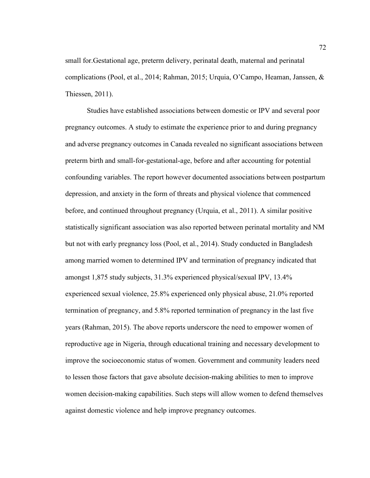small for.Gestational age, preterm delivery, perinatal death, maternal and perinatal complications (Pool, et al., 2014; Rahman, 2015; Urquia, O'Campo, Heaman, Janssen, & Thiessen, 2011).

Studies have established associations between domestic or IPV and several poor pregnancy outcomes. A study to estimate the experience prior to and during pregnancy and adverse pregnancy outcomes in Canada revealed no significant associations between preterm birth and small-for-gestational-age, before and after accounting for potential confounding variables. The report however documented associations between postpartum depression, and anxiety in the form of threats and physical violence that commenced before, and continued throughout pregnancy (Urquia, et al., 2011). A similar positive statistically significant association was also reported between perinatal mortality and NM but not with early pregnancy loss (Pool, et al., 2014). Study conducted in Bangladesh among married women to determined IPV and termination of pregnancy indicated that amongst 1,875 study subjects, 31.3% experienced physical/sexual IPV, 13.4% experienced sexual violence, 25.8% experienced only physical abuse, 21.0% reported termination of pregnancy, and 5.8% reported termination of pregnancy in the last five years (Rahman, 2015). The above reports underscore the need to empower women of reproductive age in Nigeria, through educational training and necessary development to improve the socioeconomic status of women. Government and community leaders need to lessen those factors that gave absolute decision-making abilities to men to improve women decision-making capabilities. Such steps will allow women to defend themselves against domestic violence and help improve pregnancy outcomes.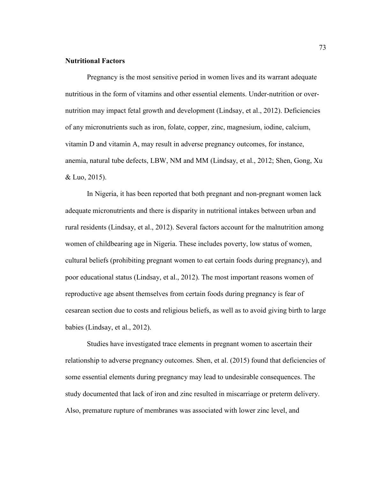### **Nutritional Factors**

Pregnancy is the most sensitive period in women lives and its warrant adequate nutritious in the form of vitamins and other essential elements. Under-nutrition or overnutrition may impact fetal growth and development (Lindsay, et al., 2012). Deficiencies of any micronutrients such as iron, folate, copper, zinc, magnesium, iodine, calcium, vitamin D and vitamin A, may result in adverse pregnancy outcomes, for instance, anemia, natural tube defects, LBW, NM and MM (Lindsay, et al., 2012; Shen, Gong, Xu & Luo, 2015).

In Nigeria, it has been reported that both pregnant and non-pregnant women lack adequate micronutrients and there is disparity in nutritional intakes between urban and rural residents (Lindsay, et al., 2012). Several factors account for the malnutrition among women of childbearing age in Nigeria. These includes poverty, low status of women, cultural beliefs (prohibiting pregnant women to eat certain foods during pregnancy), and poor educational status (Lindsay, et al., 2012). The most important reasons women of reproductive age absent themselves from certain foods during pregnancy is fear of cesarean section due to costs and religious beliefs, as well as to avoid giving birth to large babies (Lindsay, et al., 2012).

Studies have investigated trace elements in pregnant women to ascertain their relationship to adverse pregnancy outcomes. Shen, et al. (2015) found that deficiencies of some essential elements during pregnancy may lead to undesirable consequences. The study documented that lack of iron and zinc resulted in miscarriage or preterm delivery. Also, premature rupture of membranes was associated with lower zinc level, and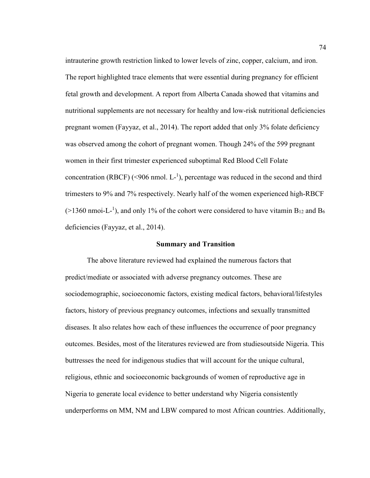intrauterine growth restriction linked to lower levels of zinc, copper, calcium, and iron. The report highlighted trace elements that were essential during pregnancy for efficient fetal growth and development. A report from Alberta Canada showed that vitamins and nutritional supplements are not necessary for healthy and low-risk nutritional deficiencies pregnant women (Fayyaz, et al., 2014). The report added that only 3% folate deficiency was observed among the cohort of pregnant women. Though 24% of the 599 pregnant women in their first trimester experienced suboptimal Red Blood Cell Folate concentration (RBCF) (<906 nmol.  $L^{-1}$ ), percentage was reduced in the second and third trimesters to 9% and 7% respectively. Nearly half of the women experienced high-RBCF  $(>1360 \text{ nmoi-L}^{-1})$ , and only 1% of the cohort were considered to have vitamin B<sub>12</sub> and B<sub>6</sub> deficiencies (Fayyaz, et al., 2014).

#### **Summary and Transition**

The above literature reviewed had explained the numerous factors that predict/mediate or associated with adverse pregnancy outcomes. These are sociodemographic, socioeconomic factors, existing medical factors, behavioral/lifestyles factors, history of previous pregnancy outcomes, infections and sexually transmitted diseases. It also relates how each of these influences the occurrence of poor pregnancy outcomes. Besides, most of the literatures reviewed are from studiesoutside Nigeria. This buttresses the need for indigenous studies that will account for the unique cultural, religious, ethnic and socioeconomic backgrounds of women of reproductive age in Nigeria to generate local evidence to better understand why Nigeria consistently underperforms on MM, NM and LBW compared to most African countries. Additionally,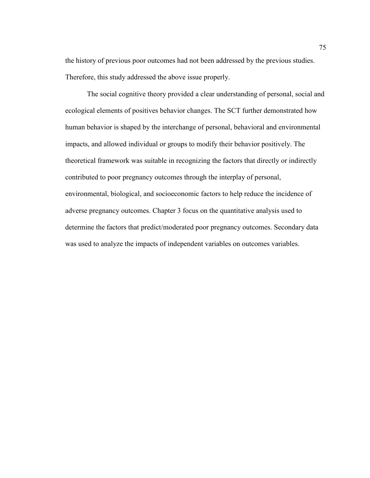the history of previous poor outcomes had not been addressed by the previous studies. Therefore, this study addressed the above issue properly.

The social cognitive theory provided a clear understanding of personal, social and ecological elements of positives behavior changes. The SCT further demonstrated how human behavior is shaped by the interchange of personal, behavioral and environmental impacts, and allowed individual or groups to modify their behavior positively. The theoretical framework was suitable in recognizing the factors that directly or indirectly contributed to poor pregnancy outcomes through the interplay of personal, environmental, biological, and socioeconomic factors to help reduce the incidence of adverse pregnancy outcomes. Chapter 3 focus on the quantitative analysis used to determine the factors that predict/moderated poor pregnancy outcomes. Secondary data was used to analyze the impacts of independent variables on outcomes variables.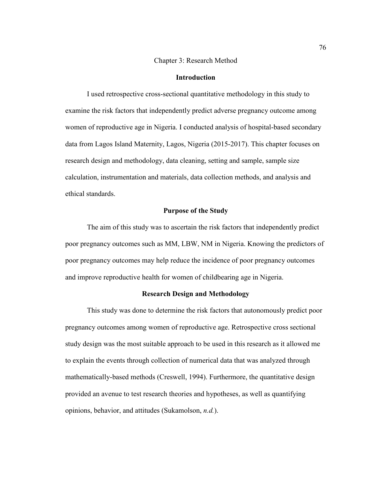#### Chapter 3: Research Method

### **Introduction**

I used retrospective cross-sectional quantitative methodology in this study to examine the risk factors that independently predict adverse pregnancy outcome among women of reproductive age in Nigeria. I conducted analysis of hospital-based secondary data from Lagos Island Maternity, Lagos, Nigeria (2015-2017). This chapter focuses on research design and methodology, data cleaning, setting and sample, sample size calculation, instrumentation and materials, data collection methods, and analysis and ethical standards.

## **Purpose of the Study**

The aim of this study was to ascertain the risk factors that independently predict poor pregnancy outcomes such as MM, LBW, NM in Nigeria. Knowing the predictors of poor pregnancy outcomes may help reduce the incidence of poor pregnancy outcomes and improve reproductive health for women of childbearing age in Nigeria.

#### **Research Design and Methodology**

This study was done to determine the risk factors that autonomously predict poor pregnancy outcomes among women of reproductive age. Retrospective cross sectional study design was the most suitable approach to be used in this research as it allowed me to explain the events through collection of numerical data that was analyzed through mathematically-based methods (Creswell, 1994). Furthermore, the quantitative design provided an avenue to test research theories and hypotheses, as well as quantifying opinions, behavior, and attitudes (Sukamolson, *n.d.*).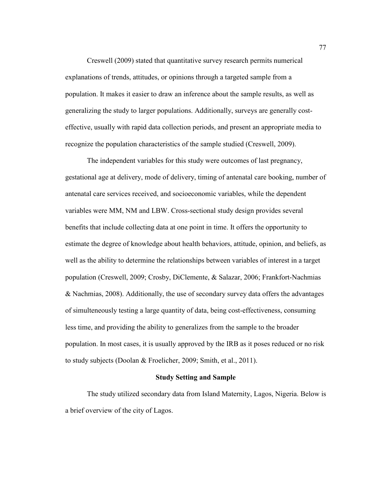Creswell (2009) stated that quantitative survey research permits numerical explanations of trends, attitudes, or opinions through a targeted sample from a population. It makes it easier to draw an inference about the sample results, as well as generalizing the study to larger populations. Additionally, surveys are generally costeffective, usually with rapid data collection periods, and present an appropriate media to recognize the population characteristics of the sample studied (Creswell, 2009).

The independent variables for this study were outcomes of last pregnancy, gestational age at delivery, mode of delivery, timing of antenatal care booking, number of antenatal care services received, and socioeconomic variables, while the dependent variables were MM, NM and LBW. Cross-sectional study design provides several benefits that include collecting data at one point in time. It offers the opportunity to estimate the degree of knowledge about health behaviors, attitude, opinion, and beliefs, as well as the ability to determine the relationships between variables of interest in a target population (Creswell, 2009; Crosby, DiClemente, & Salazar, 2006; Frankfort-Nachmias & Nachmias, 2008). Additionally, the use of secondary survey data offers the advantages of simulteneously testing a large quantity of data, being cost-effectiveness, consuming less time, and providing the ability to generalizes from the sample to the broader population. In most cases, it is usually approved by the IRB as it poses reduced or no risk to study subjects (Doolan & Froelicher, 2009; Smith, et al., 2011).

## **Study Setting and Sample**

The study utilized secondary data from Island Maternity, Lagos, Nigeria. Below is a brief overview of the city of Lagos.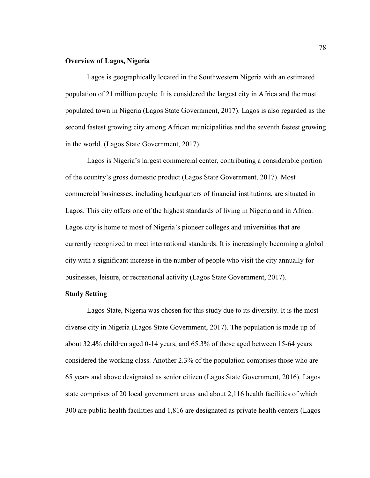## **Overview of Lagos, Nigeria**

Lagos is geographically located in the Southwestern Nigeria with an estimated population of 21 million people. It is considered the largest city in Africa and the most populated town in Nigeria (Lagos State Government, 2017). Lagos is also regarded as the second fastest growing city among African municipalities and the seventh fastest growing in the world. (Lagos State Government, 2017).

Lagos is Nigeria's largest commercial center, contributing a considerable portion of the country's gross domestic product (Lagos State Government, 2017). Most commercial businesses, including headquarters of financial institutions, are situated in Lagos. This city offers one of the highest standards of living in Nigeria and in Africa. Lagos city is home to most of Nigeria's pioneer colleges and universities that are currently recognized to meet international standards. It is increasingly becoming a global city with a significant increase in the number of people who visit the city annually for businesses, leisure, or recreational activity (Lagos State Government, 2017).

#### **Study Setting**

Lagos State, Nigeria was chosen for this study due to its diversity. It is the most diverse city in Nigeria (Lagos State Government, 2017). The population is made up of about 32.4% children aged 0-14 years, and 65.3% of those aged between 15-64 years considered the working class. Another 2.3% of the population comprises those who are 65 years and above designated as senior citizen (Lagos State Government, 2016). Lagos state comprises of 20 local government areas and about 2,116 health facilities of which 300 are public health facilities and 1,816 are designated as private health centers (Lagos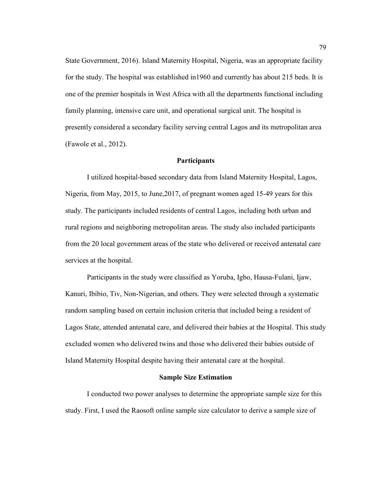State Government, 2016). Island Maternity Hospital, Nigeria, was an appropriate facility for the study. The hospital was established in1960 and currently has about 215 beds. It is one of the premier hospitals in West Africa with all the departments functional including family planning, intensive care unit, and operational surgical unit. The hospital is presently considered a secondary facility serving central Lagos and its metropolitan area (Fawole et al., 2012).

## **Participants**

I utilized hospital-based secondary data from Island Maternity Hospital, Lagos, Nigeria, from May, 2015, to June,2017, of pregnant women aged 15-49 years for this study. The participants included residents of central Lagos, including both urban and rural regions and neighboring metropolitan areas. The study also included participants from the 20 local government areas of the state who delivered or received antenatal care services at the hospital.

Participants in the study were classified as Yoruba, Igbo, Hausa-Fulani, Ijaw, Kanuri, Ibibio, Tiv, Non-Nigerian, and others. They were selected through a systematic random sampling based on certain inclusion criteria that included being a resident of Lagos State, attended antenatal care, and delivered their babies at the Hospital. This study excluded women who delivered twins and those who delivered their babies outside of Island Maternity Hospital despite having their antenatal care at the hospital.

#### **Sample Size Estimation**

I conducted two power analyses to determine the appropriate sample size for this study. First, I used the Raosoft online sample size calculator to derive a sample size of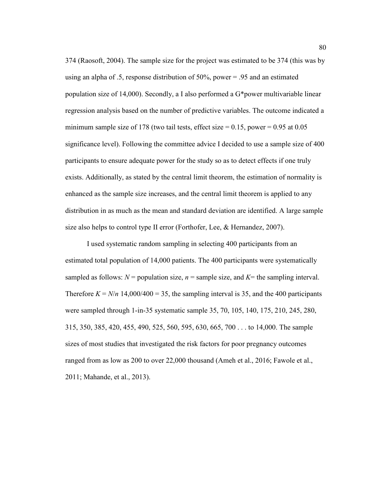374 (Raosoft, 2004). The sample size for the project was estimated to be 374 (this was by using an alpha of .5, response distribution of 50%, power = .95 and an estimated population size of 14,000). Secondly, a I also performed a G\*power multivariable linear regression analysis based on the number of predictive variables. The outcome indicated a minimum sample size of 178 (two tail tests, effect size  $= 0.15$ , power  $= 0.95$  at 0.05 significance level). Following the committee advice I decided to use a sample size of 400 participants to ensure adequate power for the study so as to detect effects if one truly exists. Additionally, as stated by the central limit theorem, the estimation of normality is enhanced as the sample size increases, and the central limit theorem is applied to any distribution in as much as the mean and standard deviation are identified. A large sample size also helps to control type II error (Forthofer, Lee, & Hernandez, 2007).

I used systematic random sampling in selecting 400 participants from an estimated total population of 14,000 patients. The 400 participants were systematically sampled as follows:  $N =$  population size,  $n =$  sample size, and  $K =$  the sampling interval. Therefore  $K = N/n$  14,000/400 = 35, the sampling interval is 35, and the 400 participants were sampled through 1-in-35 systematic sample 35, 70, 105, 140, 175, 210, 245, 280, 315, 350, 385, 420, 455, 490, 525, 560, 595, 630, 665, 700 . . . to 14,000. The sample sizes of most studies that investigated the risk factors for poor pregnancy outcomes ranged from as low as 200 to over 22,000 thousand (Ameh et al., 2016; Fawole et al., 2011; Mahande, et al., 2013).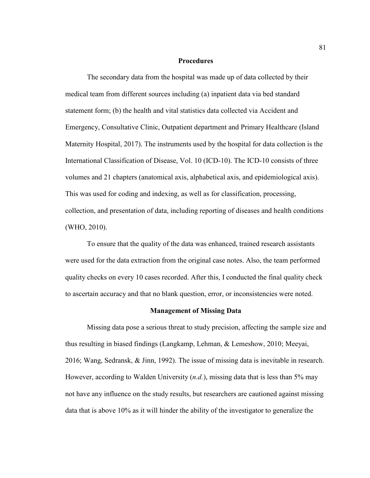#### **Procedures**

The secondary data from the hospital was made up of data collected by their medical team from different sources including (a) inpatient data via bed standard statement form; (b) the health and vital statistics data collected via Accident and Emergency, Consultative Clinic, Outpatient department and Primary Healthcare (Island Maternity Hospital, 2017). The instruments used by the hospital for data collection is the International Classification of Disease, Vol. 10 (ICD-10). The ICD-10 consists of three volumes and 21 chapters (anatomical axis, alphabetical axis, and epidemiological axis). This was used for coding and indexing, as well as for classification, processing, collection, and presentation of data, including reporting of diseases and health conditions (WHO, 2010).

To ensure that the quality of the data was enhanced, trained research assistants were used for the data extraction from the original case notes. Also, the team performed quality checks on every 10 cases recorded. After this, I conducted the final quality check to ascertain accuracy and that no blank question, error, or inconsistencies were noted.

#### **Management of Missing Data**

Missing data pose a serious threat to study precision, affecting the sample size and thus resulting in biased findings (Langkamp, Lehman, & Lemeshow, 2010; Meeyai, 2016; Wang, Sedransk, & Jinn, 1992). The issue of missing data is inevitable in research. However, according to Walden University (*n.d.*), missing data that is less than 5% may not have any influence on the study results, but researchers are cautioned against missing data that is above 10% as it will hinder the ability of the investigator to generalize the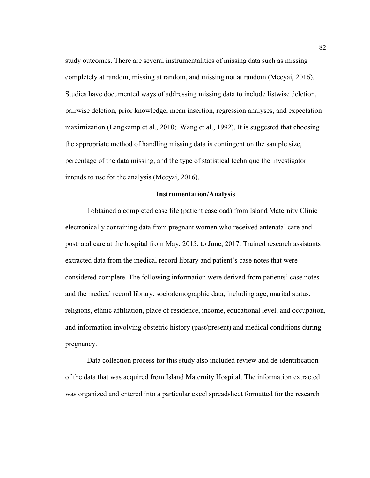study outcomes. There are several instrumentalities of missing data such as missing completely at random, missing at random, and missing not at random (Meeyai, 2016). Studies have documented ways of addressing missing data to include listwise deletion, pairwise deletion, prior knowledge, mean insertion, regression analyses, and expectation maximization (Langkamp et al., 2010; Wang et al., 1992). It is suggested that choosing the appropriate method of handling missing data is contingent on the sample size, percentage of the data missing, and the type of statistical technique the investigator intends to use for the analysis (Meeyai, 2016).

#### **Instrumentation/Analysis**

I obtained a completed case file (patient caseload) from Island Maternity Clinic electronically containing data from pregnant women who received antenatal care and postnatal care at the hospital from May, 2015, to June, 2017. Trained research assistants extracted data from the medical record library and patient's case notes that were considered complete. The following information were derived from patients' case notes and the medical record library: sociodemographic data, including age, marital status, religions, ethnic affiliation, place of residence, income, educational level, and occupation, and information involving obstetric history (past/present) and medical conditions during pregnancy.

Data collection process for this study also included review and de-identification of the data that was acquired from Island Maternity Hospital. The information extracted was organized and entered into a particular excel spreadsheet formatted for the research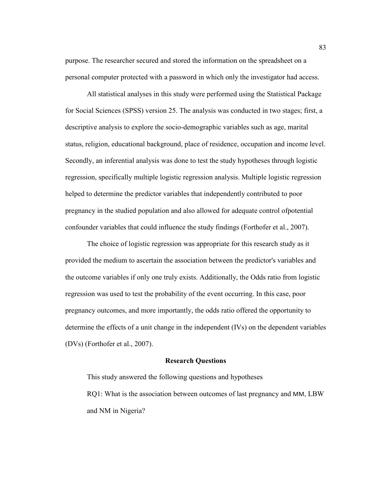purpose. The researcher secured and stored the information on the spreadsheet on a personal computer protected with a password in which only the investigator had access.

All statistical analyses in this study were performed using the Statistical Package for Social Sciences (SPSS) version 25. The analysis was conducted in two stages; first, a descriptive analysis to explore the socio-demographic variables such as age, marital status, religion, educational background, place of residence, occupation and income level. Secondly, an inferential analysis was done to test the study hypotheses through logistic regression, specifically multiple logistic regression analysis. Multiple logistic regression helped to determine the predictor variables that independently contributed to poor pregnancy in the studied population and also allowed for adequate control ofpotential confounder variables that could influence the study findings (Forthofer et al., 2007).

The choice of logistic regression was appropriate for this research study as it provided the medium to ascertain the association between the predictor's variables and the outcome variables if only one truly exists. Additionally, the Odds ratio from logistic regression was used to test the probability of the event occurring. In this case, poor pregnancy outcomes, and more importantly, the odds ratio offered the opportunity to determine the effects of a unit change in the independent (IVs) on the dependent variables (DVs) (Forthofer et al., 2007).

#### **Research Questions**

This study answered the following questions and hypotheses RQ1: What is the association between outcomes of last pregnancy and MM, LBW and NM in Nigeria?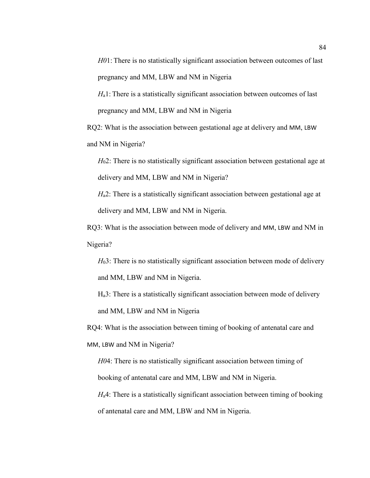*H0*1: There is no statistically significant association between outcomes of last pregnancy and MM, LBW and NM in Nigeria

*H*<sub>a</sub>1: There is a statistically significant association between outcomes of last pregnancy and MM, LBW and NM in Nigeria

RQ2: What is the association between gestational age at delivery and MM, LBW and NM in Nigeria?

*H*<sub>0</sub>2: There is no statistically significant association between gestational age at delivery and MM, LBW and NM in Nigeria?

*H*<sub>a</sub>2: There is a statistically significant association between gestational age at delivery and MM, LBW and NM in Nigeria.

RQ3: What is the association between mode of delivery and MM, LBW and NM in Nigeria?

*H*<sub>0</sub>3: There is no statistically significant association between mode of delivery and MM, LBW and NM in Nigeria.

Ha3: There is a statistically significant association between mode of delivery and MM, LBW and NM in Nigeria

RQ4: What is the association between timing of booking of antenatal care and MM, LBW and NM in Nigeria?

*H0*4: There is no statistically significant association between timing of booking of antenatal care and MM, LBW and NM in Nigeria.

*H*<sub>a</sub>4: There is a statistically significant association between timing of booking of antenatal care and MM, LBW and NM in Nigeria.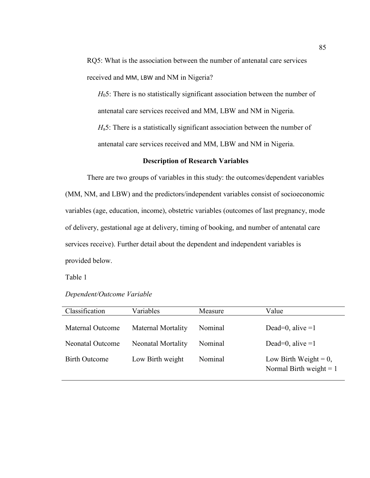RQ5: What is the association between the number of antenatal care services received and MM, LBW and NM in Nigeria?

*H*05: There is no statistically significant association between the number of antenatal care services received and MM, LBW and NM in Nigeria.

*H*a5: There is a statistically significant association between the number of antenatal care services received and MM, LBW and NM in Nigeria.

#### **Description of Research Variables**

There are two groups of variables in this study: the outcomes/dependent variables (MM, NM, and LBW) and the predictors/independent variables consist of socioeconomic variables (age, education, income), obstetric variables (outcomes of last pregnancy, mode of delivery, gestational age at delivery, timing of booking, and number of antenatal care services receive). Further detail about the dependent and independent variables is provided below.

Table 1

| Classification          | Variables                 | Measure | Value                                                 |
|-------------------------|---------------------------|---------|-------------------------------------------------------|
| Maternal Outcome        | <b>Maternal Mortality</b> | Nominal | Dead=0, alive $=1$                                    |
| <b>Neonatal Outcome</b> | <b>Neonatal Mortality</b> | Nominal | Dead=0, alive $=1$                                    |
| <b>Birth Outcome</b>    | Low Birth weight          | Nominal | Low Birth Weight = $0$ ,<br>Normal Birth weight = $1$ |

| Dependent/Outcome Variable |  |
|----------------------------|--|
|----------------------------|--|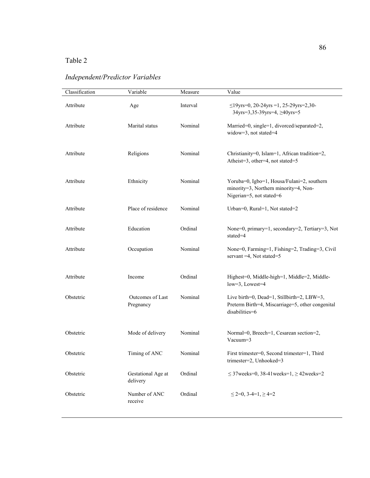## Table 2

| Classification | Variable                       | Measure  | Value                                                                                                            |
|----------------|--------------------------------|----------|------------------------------------------------------------------------------------------------------------------|
| Attribute      | Age                            | Interval | $\leq$ 19yrs=0, 20-24yrs =1, 25-29yrs=2,30-<br>34yrs=3,35-39yrs=4, ≥40yrs=5                                      |
| Attribute      | Marital status                 | Nominal  | Married=0, single=1, divorced/separated=2,<br>widow=3, not stated=4                                              |
| Attribute      | Religions                      | Nominal  | Christianity=0, Islam=1, African tradition=2,<br>Atheist=3, other=4, not stated=5                                |
| Attribute      | Ethnicity                      | Nominal  | Yoruba=0, Igbo=1, Housa/Fulani=2, southern<br>minority=3, Northern minority=4, Non-<br>Nigerian=5, not stated=6  |
| Attribute      | Place of residence             | Nominal  | Urban=0, Rural=1, Not stated=2                                                                                   |
| Attribute      | Education                      | Ordinal  | None=0, primary=1, secondary=2, Tertiary=3, Not<br>state $d=4$                                                   |
| Attribute      | Occupation                     | Nominal  | None=0, Farming=1, Fishing=2, Trading=3, Civil<br>servant = 4, Not stated=5                                      |
| Attribute      | Income                         | Ordinal  | Highest=0, Middle-high=1, Middle=2, Middle-<br>low=3, Lowest=4                                                   |
| Obstetric      | Outcomes of Last<br>Pregnancy  | Nominal  | Live birth=0, Dead=1, Stillbirth=2, LBW=3,<br>Preterm Birth=4, Miscarriage=5, other congenital<br>disabilities=6 |
| Obstetric      | Mode of delivery               | Nominal  | Normal=0, Breech=1, Cesarean section=2,<br>Vacuum=3                                                              |
| Obstetric      | Timing of ANC                  | Nominal  | First trimester=0, Second trimester=1, Third<br>trimester=2, Unhooked=3                                          |
| Obstetric      | Gestational Age at<br>delivery | Ordinal  | $\leq$ 37 weeks=0, 38-41 weeks=1, $\geq$ 42 weeks=2                                                              |
| Obstetric      | Number of ANC<br>receive       | Ordinal  | $\leq$ 2=0, 3-4=1, $\geq$ 4=2                                                                                    |

# *Independent/Predictor Variables*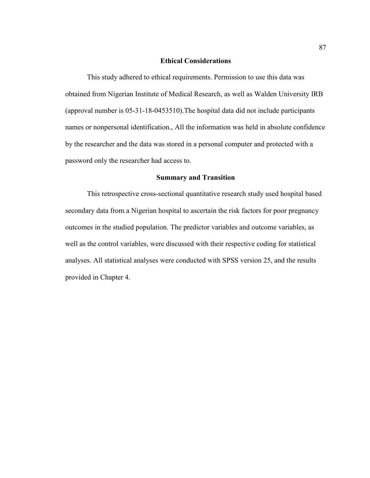## **Ethical Considerations**

This study adhered to ethical requirements. Permission to use this data was obtained from Nigerian Institute of Medical Research, as well as Walden University IRB (approval number is 05-31-18-0453510).The hospital data did not include participants names or nonpersonal identification., All the information was held in absolute confidence by the researcher and the data was stored in a personal computer and protected with a password only the researcher had access to.

## **Summary and Transition**

This retrospective cross-sectional quantitative research study used hospital based secondary data from a Nigerian hospital to ascertain the risk factors for poor pregnancy outcomes in the studied population. The predictor variables and outcome variables, as well as the control variables, were discussed with their respective coding for statistical analyses. All statistical analyses were conducted with SPSS version 25, and the results provided in Chapter 4.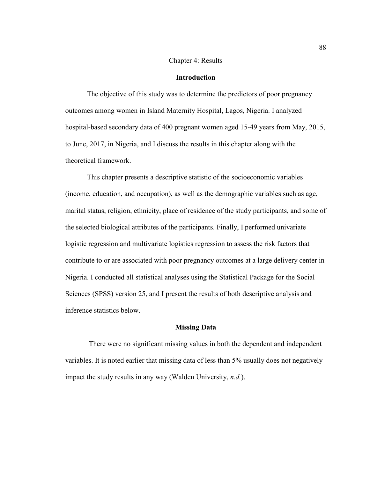## Chapter 4: Results

## **Introduction**

The objective of this study was to determine the predictors of poor pregnancy outcomes among women in Island Maternity Hospital, Lagos, Nigeria. I analyzed hospital-based secondary data of 400 pregnant women aged 15-49 years from May, 2015, to June, 2017, in Nigeria, and I discuss the results in this chapter along with the theoretical framework.

This chapter presents a descriptive statistic of the socioeconomic variables (income, education, and occupation), as well as the demographic variables such as age, marital status, religion, ethnicity, place of residence of the study participants, and some of the selected biological attributes of the participants. Finally, I performed univariate logistic regression and multivariate logistics regression to assess the risk factors that contribute to or are associated with poor pregnancy outcomes at a large delivery center in Nigeria. I conducted all statistical analyses using the Statistical Package for the Social Sciences (SPSS) version 25, and I present the results of both descriptive analysis and inference statistics below.

### **Missing Data**

 There were no significant missing values in both the dependent and independent variables. It is noted earlier that missing data of less than 5% usually does not negatively impact the study results in any way (Walden University, *n.d.*).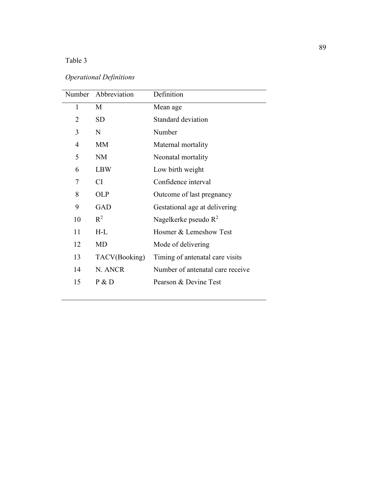## Table 3

| <b>Operational Definitions</b> |  |
|--------------------------------|--|
|--------------------------------|--|

|                | Number Abbreviation | Definition                       |
|----------------|---------------------|----------------------------------|
| $\mathbf{1}$   | M                   | Mean age                         |
| 2              | <b>SD</b>           | Standard deviation               |
| 3              | N                   | Number                           |
| $\overline{4}$ | <b>MM</b>           | Maternal mortality               |
| 5              | <b>NM</b>           | Neonatal mortality               |
| 6              | <b>LBW</b>          | Low birth weight                 |
| 7              | <b>CI</b>           | Confidence interval              |
| 8              | <b>OLP</b>          | Outcome of last pregnancy        |
| 9              | <b>GAD</b>          | Gestational age at delivering    |
| 10             | $R^2$               | Nagelkerke pseudo $\mathbb{R}^2$ |
| 11             | $H-L$               | Hosmer & Lemeshow Test           |
| 12             | <b>MD</b>           | Mode of delivering               |
| 13             | TACV(Booking)       | Timing of antenatal care visits  |
| 14             | N. ANCR             | Number of antenatal care receive |
| 15             | P & D               | Pearson & Devine Test            |
|                |                     |                                  |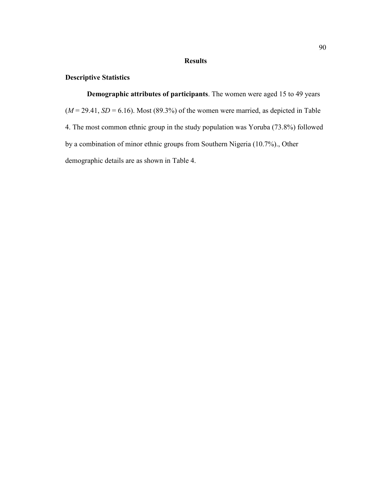## **Results**

## **Descriptive Statistics**

**Demographic attributes of participants**. The women were aged 15 to 49 years  $(M = 29.41, SD = 6.16)$ . Most (89.3%) of the women were married, as depicted in Table 4. The most common ethnic group in the study population was Yoruba (73.8%) followed by a combination of minor ethnic groups from Southern Nigeria (10.7%)., Other demographic details are as shown in Table 4.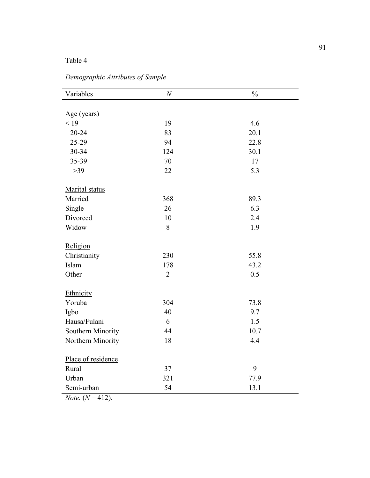## Table 4

| Variables          | $\boldsymbol{N}$ | $\frac{0}{0}$ |
|--------------------|------------------|---------------|
|                    |                  |               |
| Age (years)        |                  |               |
| < 19               | 19               | 4.6           |
| 20-24              | 83               | 20.1          |
| 25-29              | 94               | 22.8          |
| 30-34              | 124              | 30.1          |
| 35-39              | 70               | 17            |
| $>39$              | 22               | 5.3           |
| Marital status     |                  |               |
| Married            | 368              | 89.3          |
| Single             | 26               | 6.3           |
| Divorced           | 10               | 2.4           |
| Widow              | 8                | 1.9           |
| Religion           |                  |               |
| Christianity       | 230              | 55.8          |
| Islam              | 178              | 43.2          |
| Other              | $\overline{2}$   | 0.5           |
| Ethnicity          |                  |               |
| Yoruba             | 304              | 73.8          |
| Igbo               | 40               | 9.7           |
| Hausa/Fulani       | 6                | 1.5           |
| Southern Minority  | 44               | 10.7          |
| Northern Minority  | 18               | 4.4           |
| Place of residence |                  |               |
| Rural              | 37               | 9             |
| Urban              | 321              | 77.9          |
| Semi-urban         | 54               | 13.1          |

*Demographic Attributes of Sample*

 $$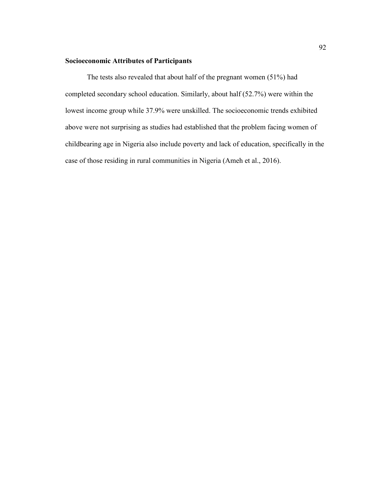## **Socioeconomic Attributes of Participants**

The tests also revealed that about half of the pregnant women (51%) had completed secondary school education. Similarly, about half (52.7%) were within the lowest income group while 37.9% were unskilled. The socioeconomic trends exhibited above were not surprising as studies had established that the problem facing women of childbearing age in Nigeria also include poverty and lack of education, specifically in the case of those residing in rural communities in Nigeria (Ameh et al., 2016).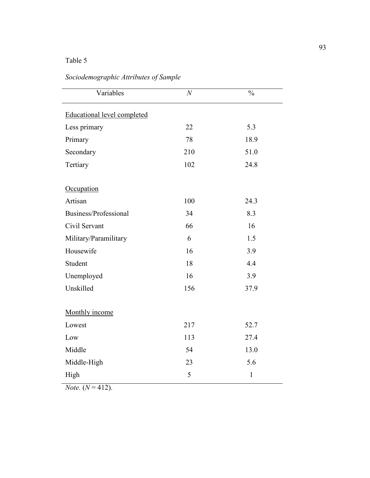# Table 5

| Variables                          | $\boldsymbol{N}$ | $\frac{0}{0}$ |
|------------------------------------|------------------|---------------|
| <b>Educational level completed</b> |                  |               |
| Less primary                       | 22               | 5.3           |
| Primary                            | 78               | 18.9          |
| Secondary                          | 210              | 51.0          |
| Tertiary                           | 102              | 24.8          |
| Occupation                         |                  |               |
| Artisan                            | 100              | 24.3          |
| Business/Professional              | 34               | 8.3           |
| Civil Servant                      | 66               | 16            |
| Military/Paramilitary              | 6                | 1.5           |
| Housewife                          | 16               | 3.9           |
| Student                            | 18               | 4.4           |
| Unemployed                         | 16               | 3.9           |
| Unskilled                          | 156              | 37.9          |
| Monthly income                     |                  |               |
| Lowest                             | 217              | 52.7          |
| Low                                | 113              | 27.4          |
| Middle                             | 54               | 13.0          |
| Middle-High                        | 23               | 5.6           |
| High                               | 5                | $\mathbf{1}$  |

*Note.*  $(N = 412)$ .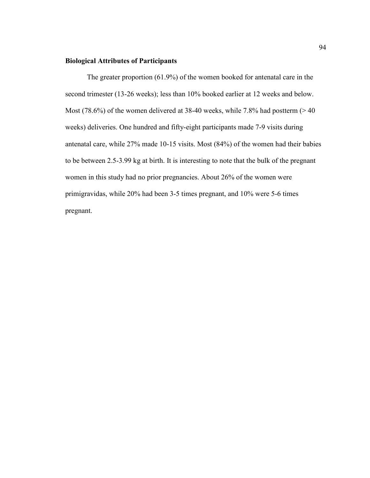# **Biological Attributes of Participants**

The greater proportion (61.9%) of the women booked for antenatal care in the second trimester (13-26 weeks); less than 10% booked earlier at 12 weeks and below. Most (78.6%) of the women delivered at 38-40 weeks, while 7.8% had postterm ( $> 40$ ) weeks) deliveries. One hundred and fifty-eight participants made 7-9 visits during antenatal care, while 27% made 10-15 visits. Most (84%) of the women had their babies to be between 2.5-3.99 kg at birth. It is interesting to note that the bulk of the pregnant women in this study had no prior pregnancies. About 26% of the women were primigravidas, while 20% had been 3-5 times pregnant, and 10% were 5-6 times pregnant.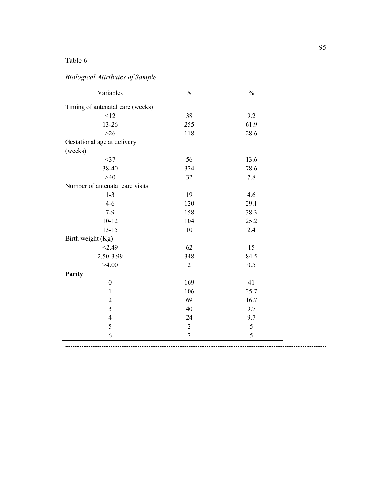| Variables                        | $\cal N$       | $\frac{0}{0}$ |
|----------------------------------|----------------|---------------|
| Timing of antenatal care (weeks) |                |               |
| <12                              | 38             | 9.2           |
| 13-26                            | 255            | 61.9          |
| $>26$                            | 118            | 28.6          |
| Gestational age at delivery      |                |               |
| (weeks)                          |                |               |
| $<$ 37                           | 56             | 13.6          |
| 38-40                            | 324            | 78.6          |
| $>40$                            | 32             | 7.8           |
| Number of antenatal care visits  |                |               |
| $1 - 3$                          | 19             | 4.6           |
| $4-6$                            | 120            | 29.1          |
| $7-9$                            | 158            | 38.3          |
| $10 - 12$                        | 104            | 25.2          |
| $13 - 15$                        | 10             | 2.4           |
| Birth weight (Kg)                |                |               |
| < 2.49                           | 62             | 15            |
| 2.50-3.99                        | 348            | 84.5          |
| >4.00                            | $\sqrt{2}$     | 0.5           |
| Parity                           |                |               |
| $\boldsymbol{0}$                 | 169            | 41            |
| $\mathbf{1}$                     | 106            | 25.7          |
| $\overline{2}$                   | 69             | 16.7          |
| $\mathfrak{Z}$                   | 40             | 9.7           |
| $\overline{4}$                   | 24             | 9.7           |
| 5                                | $\sqrt{2}$     | 5             |
| 6                                | $\overline{2}$ | $\mathfrak s$ |

# *Biological Attributes of Sample*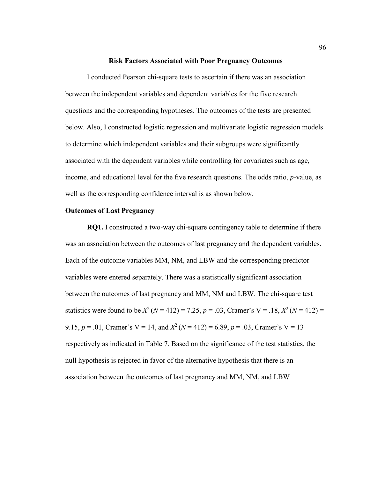#### **Risk Factors Associated with Poor Pregnancy Outcomes**

I conducted Pearson chi-square tests to ascertain if there was an association between the independent variables and dependent variables for the five research questions and the corresponding hypotheses. The outcomes of the tests are presented below. Also, I constructed logistic regression and multivariate logistic regression models to determine which independent variables and their subgroups were significantly associated with the dependent variables while controlling for covariates such as age, income, and educational level for the five research questions. The odds ratio, *p*-value, as well as the corresponding confidence interval is as shown below.

### **Outcomes of Last Pregnancy**

**RQ1.** I constructed a two-way chi-square contingency table to determine if there was an association between the outcomes of last pregnancy and the dependent variables. Each of the outcome variables MM, NM, and LBW and the corresponding predictor variables were entered separately. There was a statistically significant association between the outcomes of last pregnancy and MM, NM and LBW. The chi-square test statistics were found to be  $X^2$  ( $N = 412$ ) = 7.25,  $p = .03$ , Cramer's V = .18,  $X^2$  ( $N = 412$ ) = 9.15,  $p = .01$ , Cramer's V = 14, and  $X^2$  ( $N = 412$ ) = 6.89,  $p = .03$ , Cramer's V = 13 respectively as indicated in Table 7. Based on the significance of the test statistics, the null hypothesis is rejected in favor of the alternative hypothesis that there is an association between the outcomes of last pregnancy and MM, NM, and LBW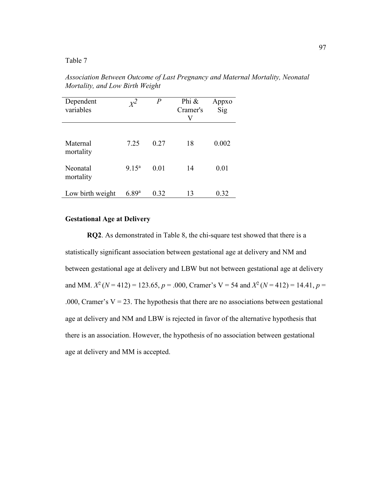Table 7

*Association Between Outcome of Last Pregnancy and Maternal Mortality, Neonatal Mortality, and Low Birth Weight*

| Dependent<br>variables | $x^2$          | P    | Phi &<br>Cramer's<br>V | Appxo<br>Sig |  |
|------------------------|----------------|------|------------------------|--------------|--|
| Maternal<br>mortality  | 7.25           | 0.27 | 18                     | 0.002        |  |
| Neonatal<br>mortality  | $9.15^{\rm a}$ | 0.01 | 14                     | 0.01         |  |
| Low birth weight       | $6.89^{a}$     | 0.32 | 13                     | 0.32         |  |

# **Gestational Age at Delivery**

**RQ2**. As demonstrated in Table 8, the chi-square test showed that there is a statistically significant association between gestational age at delivery and NM and between gestational age at delivery and LBW but not between gestational age at delivery and MM.  $X^2$  ( $N = 412$ ) = 123.65,  $p = .000$ , Cramer's V = 54 and  $X^2$  ( $N = 412$ ) = 14.41,  $p =$ .000, Cramer's  $V = 23$ . The hypothesis that there are no associations between gestational age at delivery and NM and LBW is rejected in favor of the alternative hypothesis that there is an association. However, the hypothesis of no association between gestational age at delivery and MM is accepted.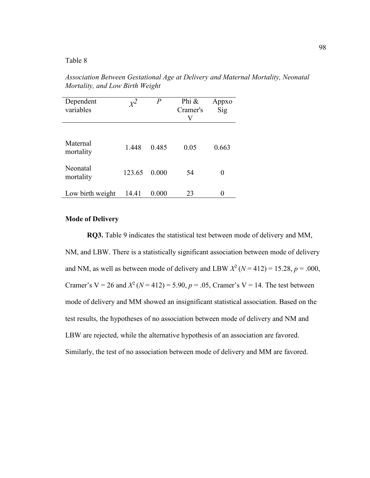*Association Between Gestational Age at Delivery and Maternal Mortality, Neonatal Mortality, and Low Birth Weight*

| Dependent<br>variables | $x^2$  | Р     | Phi &<br>Cramer's<br>V | Appxo<br>Sig |
|------------------------|--------|-------|------------------------|--------------|
| Maternal<br>mortality  | 1.448  | 0.485 | 0.05                   | 0.663        |
| Neonatal<br>mortality  | 123.65 | 0.000 | 54                     |              |
| Low birth weight       | 14.41  | 0.000 | 23                     |              |

# **Mode of Delivery**

**RQ3.** Table 9 indicates the statistical test between mode of delivery and MM, NM, and LBW. There is a statistically significant association between mode of delivery and NM, as well as between mode of delivery and LBW  $X^2$  ( $N = 412$ ) = 15.28,  $p = .000$ , Cramer's  $V = 26$  and  $X^2$  ( $N = 412$ ) = 5.90,  $p = .05$ , Cramer's  $V = 14$ . The test between mode of delivery and MM showed an insignificant statistical association. Based on the test results, the hypotheses of no association between mode of delivery and NM and LBW are rejected, while the alternative hypothesis of an association are favored. Similarly, the test of no association between mode of delivery and MM are favored.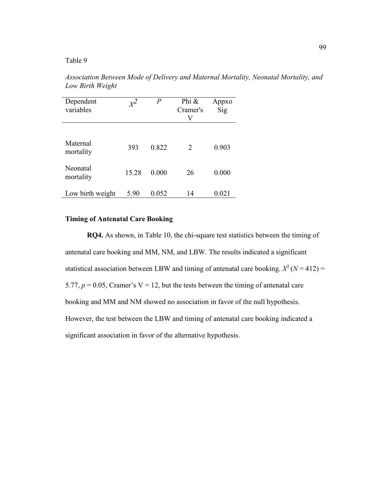*Association Between Mode of Delivery and Maternal Mortality, Neonatal Mortality, and Low Birth Weight* 

| Dependent<br>variables | $x^2$ | $\boldsymbol{P}$ | Phi &<br>Cramer's<br>V      | Appxo<br>Sig |  |
|------------------------|-------|------------------|-----------------------------|--------------|--|
| Maternal<br>mortality  | 393   | 0.822            | $\mathcal{D}_{\mathcal{L}}$ | 0.903        |  |
| Neonatal<br>mortality  | 15.28 | 0.000            | 26                          | 0.000        |  |
| Low birth weight       | 5.90  | 0.052            | 14                          | 0.021        |  |

# **Timing of Antenatal Care Booking**

**RQ4.** As shown, in Table 10, the chi-square test statistics between the timing of antenatal care booking and MM, NM, and LBW. The results indicated a significant statistical association between LBW and timing of antenatal care booking.  $X^2$  ( $N = 412$ ) = 5.77,  $p = 0.05$ , Cramer's V = 12, but the tests between the timing of antenatal care booking and MM and NM showed no association in favor of the null hypothesis. However, the test between the LBW and timing of antenatal care booking indicated a significant association in favor of the alternative hypothesis.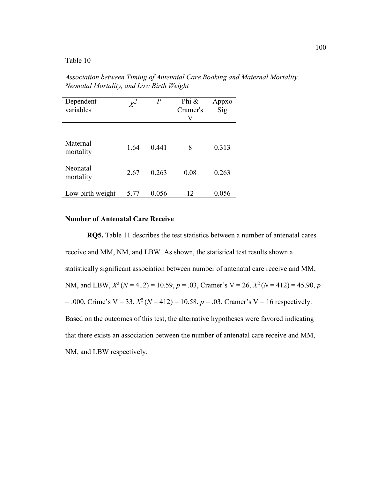*Association between Timing of Antenatal Care Booking and Maternal Mortality, Neonatal Mortality, and Low Birth Weight*

| Dependent<br>variables | $x^2$ | $\, P \,$ | Phi &<br>Cramer's<br>V | Appxo<br>Sig |
|------------------------|-------|-----------|------------------------|--------------|
| Maternal<br>mortality  | 1.64  | 0.441     | 8                      | 0.313        |
| Neonatal<br>mortality  | 2.67  | 0.263     | 0.08                   | 0.263        |
| Low birth weight       | 5.77  | 0.056     | 12                     | 0.056        |

# **Number of Antenatal Care Receive**

**RQ5.** Table 11 describes the test statistics between a number of antenatal cares receive and MM, NM, and LBW. As shown, the statistical test results shown a statistically significant association between number of antenatal care receive and MM, NM, and LBW,  $X^2$  ( $N = 412$ ) = 10.59,  $p = .03$ , Cramer's V = 26,  $X^2$  ( $N = 412$ ) = 45.90,  $p$  $= .000$ , Crime's V = 33,  $X^2$  ( $N = 412$ ) = 10.58,  $p = .03$ , Cramer's V = 16 respectively. Based on the outcomes of this test, the alternative hypotheses were favored indicating that there exists an association between the number of antenatal care receive and MM, NM, and LBW respectively.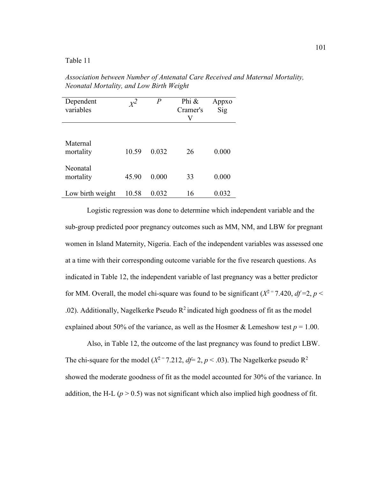*Association between Number of Antenatal Care Received and Maternal Mortality, Neonatal Mortality, and Low Birth Weight*

| Dependent<br>variables | $x^2$ | $\boldsymbol{P}$ | Phi &<br>Cramer's<br>V | Appxo<br>Sig |
|------------------------|-------|------------------|------------------------|--------------|
| Maternal<br>mortality  | 10.59 | 0.032            | 26                     | 0.000        |
| Neonatal<br>mortality  | 45.90 | 0.000            | 33                     | 0.000        |
| Low birth weight       | 10.58 | 0.032            | 16                     | 0.032        |

Logistic regression was done to determine which independent variable and the sub-group predicted poor pregnancy outcomes such as MM, NM, and LBW for pregnant women in Island Maternity, Nigeria. Each of the independent variables was assessed one at a time with their corresponding outcome variable for the five research questions. As indicated in Table 12, the independent variable of last pregnancy was a better predictor for MM. Overall, the model chi-square was found to be significant  $(X^2 = 7.420, df = 2, p <$ .02). Additionally, Nagelkerke Pseudo  $R^2$  indicated high goodness of fit as the model explained about 50% of the variance, as well as the Hosmer  $\&$  Lemeshow test  $p = 1.00$ .

Also, in Table 12, the outcome of the last pregnancy was found to predict LBW. The chi-square for the model ( $X^2 = 7.212$ ,  $df = 2$ ,  $p < .03$ ). The Nagelkerke pseudo R<sup>2</sup> showed the moderate goodness of fit as the model accounted for 30% of the variance. In addition, the H-L  $(p > 0.5)$  was not significant which also implied high goodness of fit.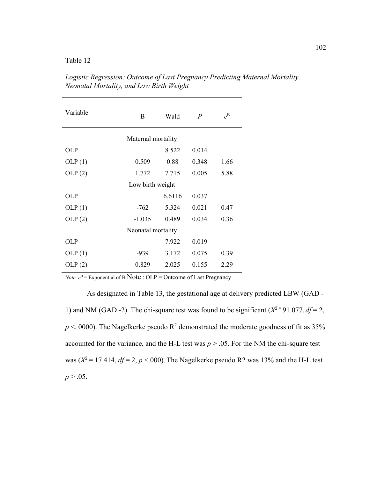| Variable           | B                  | Wald   | $\overline{P}$ | $e^{\text{B}}$ |  |  |
|--------------------|--------------------|--------|----------------|----------------|--|--|
| Maternal mortality |                    |        |                |                |  |  |
| OL P               |                    | 8.522  | 0.014          |                |  |  |
| OLP(1)             | 0.509              | 0.88   | 0.348          | 1.66           |  |  |
| OLP(2)             | 1.772              | 7.715  | 0.005          | 5.88           |  |  |
| Low birth weight   |                    |        |                |                |  |  |
| <b>OLP</b>         |                    | 6.6116 | 0.037          |                |  |  |
| OLP(1)             | $-762$             | 5.324  | 0.021          | 0.47           |  |  |
| OLP(2)             | $-1.035$           | 0.489  | 0.034          | 0.36           |  |  |
|                    | Neonatal mortality |        |                |                |  |  |
| <b>OLP</b>         |                    | 7.922  | 0.019          |                |  |  |
| OLP(1)             | -939               | 3.172  | 0.075          | 0.39           |  |  |
| OLP(2)             | 0.829              | 2.025  | 0.155          | 2.29           |  |  |

*Logistic Regression: Outcome of Last Pregnancy Predicting Maternal Mortality, Neonatal Mortality, and Low Birth Weight*

*Note.*  $e^{B}$  = Exponential of B Note : OLP = Outcome of Last Pregnancy

As designated in Table 13, the gestational age at delivery predicted LBW (GAD - 1) and NM (GAD -2). The chi-square test was found to be significant ( $X^2$ <sup>=</sup>91.077, *df* = 2,  $p < 0000$ ). The Nagelkerke pseudo R<sup>2</sup> demonstrated the moderate goodness of fit as 35% accounted for the variance, and the H-L test was  $p > 0.05$ . For the NM the chi-square test was  $(X^2 = 17.414, df = 2, p < .000)$ . The Nagelkerke pseudo R2 was 13% and the H-L test  $p > .05$ .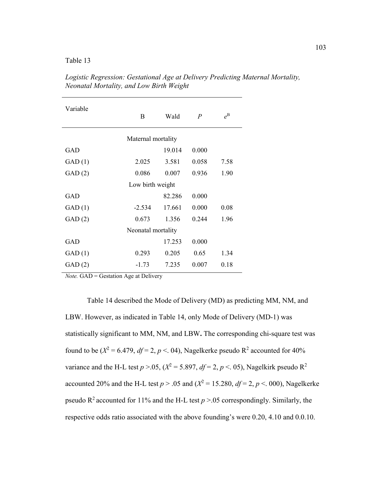Table 13

| Variable           | B                  | Wald   | $\boldsymbol{P}$ | $e^{\text{B}}$ |  |  |
|--------------------|--------------------|--------|------------------|----------------|--|--|
| Maternal mortality |                    |        |                  |                |  |  |
| GAD                |                    | 19.014 | 0.000            |                |  |  |
| GAD(1)             | 2.025              | 3.581  | 0.058            | 7.58           |  |  |
| GAD(2)             | 0.086              | 0.007  | 0.936            | 1.90           |  |  |
| Low birth weight   |                    |        |                  |                |  |  |
| GAD                |                    | 82.286 | 0.000            |                |  |  |
| GAD(1)             | $-2.534$           | 17.661 | 0.000            | 0.08           |  |  |
| GAD(2)             | 0.673              | 1.356  | 0.244            | 1.96           |  |  |
|                    | Neonatal mortality |        |                  |                |  |  |
| <b>GAD</b>         |                    | 17.253 | 0.000            |                |  |  |
| GAD(1)             | 0.293              | 0.205  | 0.65             | 1.34           |  |  |
| GAD(2)             | $-1.73$            | 7.235  | 0.007            | 0.18           |  |  |

*Logistic Regression: Gestational Age at Delivery Predicting Maternal Mortality, Neonatal Mortality, and Low Birth Weight*

*Note.* GAD = Gestation Age at Delivery

Table 14 described the Mode of Delivery (MD) as predicting MM, NM, and LBW. However, as indicated in Table 14, only Mode of Delivery (MD-1) was statistically significant to MM, NM, and LBW**.** The corresponding chi-square test was found to be ( $X^2 = 6.479$ ,  $df = 2$ ,  $p < 0.04$ ), Nagelkerke pseudo R<sup>2</sup> accounted for 40% variance and the H-L test  $p > 0.05$ ,  $(X^2 = 5.897, df = 2, p < 0.05)$ , Nagelkirk pseudo R<sup>2</sup> accounted 20% and the H-L test  $p > .05$  and  $(X^2 = 15.280, df = 2, p < .000)$ , Nagelkerke pseudo  $R^2$  accounted for 11% and the H-L test  $p > 0.05$  correspondingly. Similarly, the respective odds ratio associated with the above founding's were 0.20, 4.10 and 0.0.10.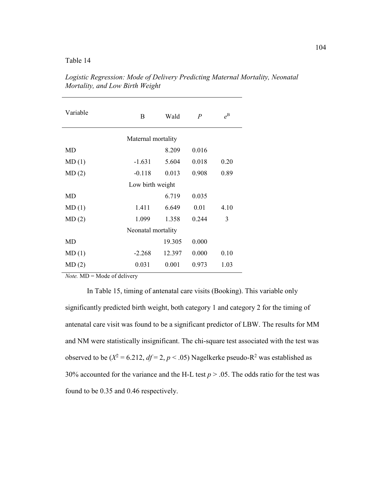| Variable           | B                  | Wald   | $\boldsymbol{P}$ | $e^{\text{B}}$ |  |  |
|--------------------|--------------------|--------|------------------|----------------|--|--|
| Maternal mortality |                    |        |                  |                |  |  |
| MD                 |                    | 8.209  | 0.016            |                |  |  |
| MD(1)              | $-1.631$           | 5.604  | 0.018            | 0.20           |  |  |
| MD(2)              | $-0.118$           | 0.013  | 0.908            | 0.89           |  |  |
|                    | Low birth weight   |        |                  |                |  |  |
| MD                 |                    | 6.719  | 0.035            |                |  |  |
| MD(1)              | 1.411              | 6.649  | 0.01             | 4.10           |  |  |
| MD(2)              | 1.099              | 1.358  | 0.244            | 3              |  |  |
|                    | Neonatal mortality |        |                  |                |  |  |
| MD                 |                    | 19.305 | 0.000            |                |  |  |
| MD(1)              | $-2.268$           | 12.397 | 0.000            | 0.10           |  |  |
| MD(2)              | 0.031              | 0.001  | 0.973            | 1.03           |  |  |

*Logistic Regression: Mode of Delivery Predicting Maternal Mortality, Neonatal Mortality, and Low Birth Weight*

*Note.*  $MD = Mode of delivery$ 

In Table 15, timing of antenatal care visits (Booking). This variable only significantly predicted birth weight, both category 1 and category 2 for the timing of antenatal care visit was found to be a significant predictor of LBW. The results for MM and NM were statistically insignificant. The chi-square test associated with the test was observed to be ( $X^2 = 6.212$ ,  $df = 2$ ,  $p < .05$ ) Nagelkerke pseudo-R<sup>2</sup> was established as 30% accounted for the variance and the H-L test  $p > 0.05$ . The odds ratio for the test was found to be 0.35 and 0.46 respectively.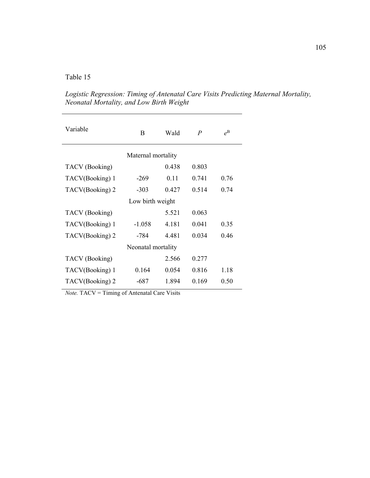| B                  | Wald  | $\boldsymbol{P}$   | $e^{\text{B}}$ |  |  |  |
|--------------------|-------|--------------------|----------------|--|--|--|
| Maternal mortality |       |                    |                |  |  |  |
|                    | 0.438 | 0.803              |                |  |  |  |
| $-269$             | 0.11  | 0.741              | 0.76           |  |  |  |
| $-303$             | 0.427 | 0.514              | 0.74           |  |  |  |
| Low birth weight   |       |                    |                |  |  |  |
|                    | 5.521 | 0.063              |                |  |  |  |
| $-1.058$           | 4.181 | 0.041              | 0.35           |  |  |  |
| -784               | 4.481 | 0.034              | 0.46           |  |  |  |
|                    |       |                    |                |  |  |  |
|                    | 2.566 | 0.277              |                |  |  |  |
| 0.164              | 0.054 | 0.816              | 1.18           |  |  |  |
| -687               | 1.894 | 0.169              | 0.50           |  |  |  |
|                    |       | Neonatal mortality |                |  |  |  |

*Logistic Regression: Timing of Antenatal Care Visits Predicting Maternal Mortality, Neonatal Mortality, and Low Birth Weight*

*Note.* TACV = Timing of Antenatal Care Visits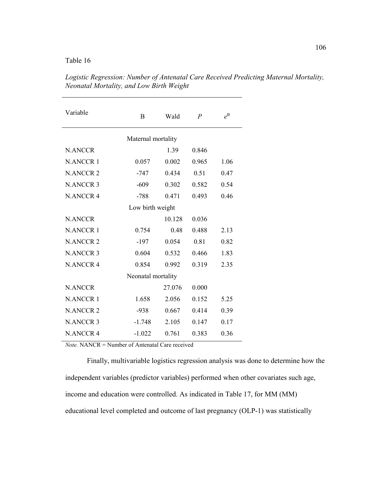| Variable           | B                  | Wald          | $\overline{P}$ | $e^{\text{B}}$ |  |  |
|--------------------|--------------------|---------------|----------------|----------------|--|--|
| Maternal mortality |                    |               |                |                |  |  |
| <b>N.ANCCR</b>     |                    | 1.39<br>0.846 |                |                |  |  |
| <b>N.ANCCR1</b>    | 0.057              | 0.002         | 0.965          | 1.06           |  |  |
| <b>N.ANCCR 2</b>   | $-747$             | 0.434         | 0.51           | 0.47           |  |  |
| <b>N.ANCCR3</b>    | $-609$             | 0.302         | 0.582          | 0.54           |  |  |
| <b>N.ANCCR 4</b>   | $-788$             | 0.471         | 0.493          | 0.46           |  |  |
| Low birth weight   |                    |               |                |                |  |  |
| <b>N.ANCCR</b>     |                    | 10.128        | 0.036          |                |  |  |
| <b>N.ANCCR1</b>    | 0.754              | 0.48          | 0.488          | 2.13           |  |  |
| <b>N.ANCCR2</b>    | $-197$             | 0.054         | 0.81           | 0.82           |  |  |
| <b>N.ANCCR 3</b>   | 0.604              | 0.532         | 0.466          | 1.83           |  |  |
| <b>N.ANCCR 4</b>   | 0.854              | 0.992         | 0.319          | 2.35           |  |  |
|                    | Neonatal mortality |               |                |                |  |  |
| <b>N.ANCCR</b>     |                    | 27.076        | 0.000          |                |  |  |
| <b>N.ANCCR1</b>    | 1.658              | 2.056         | 0.152          | 5.25           |  |  |
| <b>N.ANCCR2</b>    | $-938$             | 0.667         | 0.414          | 0.39           |  |  |
| <b>N.ANCCR 3</b>   | $-1.748$           | 2.105         | 0.147          | 0.17           |  |  |
| <b>N.ANCCR 4</b>   | $-1.022$           | 0.761         | 0.383          | 0.36           |  |  |

*Logistic Regression: Number of Antenatal Care Received Predicting Maternal Mortality, Neonatal Mortality, and Low Birth Weight* 

*Note.* NANCR = Number of Antenatal Care received

Finally, multivariable logistics regression analysis was done to determine how the independent variables (predictor variables) performed when other covariates such age, income and education were controlled. As indicated in Table 17, for MM (MM) educational level completed and outcome of last pregnancy (OLP-1) was statistically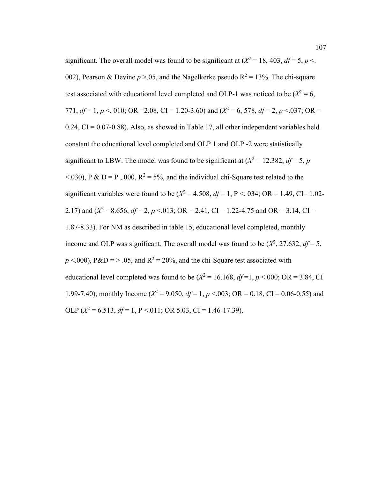significant. The overall model was found to be significant at  $(X^2 = 18, 403, df = 5, p <$ . 002), Pearson & Devine  $p > 0.05$ , and the Nagelkerke pseudo  $R^2 = 13\%$ . The chi-square test associated with educational level completed and OLP-1 was noticed to be  $(X^2 = 6)$ , 771,  $df = 1$ ,  $p < 0.010$ ; OR = 2.08, CI = 1.20-3.60) and ( $X^2 = 6$ , 578,  $df = 2$ ,  $p < 0.037$ ; OR =  $0.24$ , CI =  $0.07$ -0.88). Also, as showed in Table 17, all other independent variables held constant the educational level completed and OLP 1 and OLP -2 were statistically significant to LBW. The model was found to be significant at  $(X^2 = 12.382, df = 5, p$  $\leq$  0.000,  $P \& D = P$ , 0.000,  $R^2 = 5\%$ , and the individual chi-Square test related to the significant variables were found to be  $(X^2 = 4.508, df = 1, P < .034; OR = 1.49, CI = 1.02-$ 2.17) and ( $X^2 = 8.656$ ,  $df = 2$ ,  $p < 0.013$ ; OR = 2.41, CI = 1.22-4.75 and OR = 3.14, CI = 1.87-8.33). For NM as described in table 15, educational level completed, monthly income and OLP was significant. The overall model was found to be  $(X^2, 27.632, df = 5,$  $p \le 0.000$ ,  $P \& D = > .05$ , and  $R^2 = 20\%$ , and the chi-Square test associated with educational level completed was found to be  $(X^2 = 16.168, df = 1, p < 0.00; \text{ OR } = 3.84, \text{ CI}$ 1.99-7.40), monthly Income ( $X^2 = 9.050$ ,  $df = 1$ ,  $p < 0.03$ ; OR = 0.18, CI = 0.06-0.55) and OLP  $(X^2 = 6.513, df = 1, P < 0.011; OR 5.03, CI = 1.46-17.39)$ .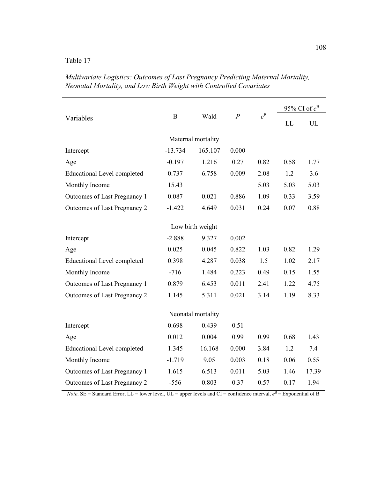|                                    |           |                               |                |                |      | 95% CI of $e^B$ |  |
|------------------------------------|-----------|-------------------------------|----------------|----------------|------|-----------------|--|
| Variables                          | B         | Wald                          | $\overline{P}$ | $e^{\text{B}}$ | LL   | UL              |  |
|                                    |           |                               |                |                |      |                 |  |
| Intercept                          | $-13.734$ | Maternal mortality<br>165.107 | 0.000          |                |      |                 |  |
| Age                                | $-0.197$  | 1.216                         | 0.27           | 0.82           | 0.58 | 1.77            |  |
| <b>Educational Level completed</b> | 0.737     | 6.758                         | 0.009          | 2.08           | 1.2  | 3.6             |  |
| Monthly Income                     | 15.43     |                               |                | 5.03           | 5.03 | 5.03            |  |
| Outcomes of Last Pregnancy 1       | 0.087     | 0.021                         | 0.886          | 1.09           | 0.33 | 3.59            |  |
| Outcomes of Last Pregnancy 2       | $-1.422$  | 4.649                         | 0.031          | 0.24           | 0.07 | 0.88            |  |
|                                    |           |                               |                |                |      |                 |  |
|                                    |           | Low birth weight              |                |                |      |                 |  |
| Intercept                          | $-2.888$  | 9.327                         | 0.002          |                |      |                 |  |
| Age                                | 0.025     | 0.045                         | 0.822          | 1.03           | 0.82 | 1.29            |  |
| <b>Educational Level completed</b> | 0.398     | 4.287                         | 0.038          | 1.5            | 1.02 | 2.17            |  |
| Monthly Income                     | $-716$    | 1.484                         | 0.223          | 0.49           | 0.15 | 1.55            |  |
| Outcomes of Last Pregnancy 1       | 0.879     | 6.453                         | 0.011          | 2.41           | 1.22 | 4.75            |  |
| Outcomes of Last Pregnancy 2       | 1.145     | 5.311                         | 0.021          | 3.14           | 1.19 | 8.33            |  |
|                                    |           | Neonatal mortality            |                |                |      |                 |  |
|                                    |           |                               |                |                |      |                 |  |
| Intercept                          | 0.698     | 0.439                         | 0.51           |                |      |                 |  |
| Age                                | 0.012     | 0.004                         | 0.99           | 0.99           | 0.68 | 1.43            |  |
| <b>Educational Level completed</b> | 1.345     | 16.168                        | 0.000          | 3.84           | 1.2  | 7.4             |  |
| Monthly Income                     | $-1.719$  | 9.05                          | 0.003          | 0.18           | 0.06 | 0.55            |  |
| Outcomes of Last Pregnancy 1       | 1.615     | 6.513                         | 0.011          | 5.03           | 1.46 | 17.39           |  |
| Outcomes of Last Pregnancy 2       | $-556$    | 0.803                         | 0.37           | 0.57           | 0.17 | 1.94            |  |

*Multivariate Logistics: Outcomes of Last Pregnancy Predicting Maternal Mortality, Neonatal Mortality, and Low Birth Weight with Controlled Covariates*

*Note*. SE = Standard Error, LL = lower level, UL = upper levels and CI = confidence interval,  $e^{B}$  = Exponential of B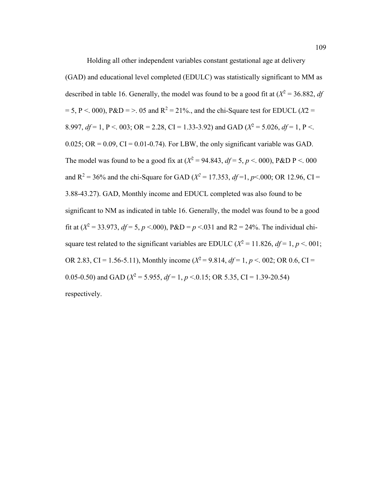Holding all other independent variables constant gestational age at delivery (GAD) and educational level completed (EDULC) was statistically significant to MM as described in table 16. Generally, the model was found to be a good fit at  $(X^2 = 36.882, df)$  $= 5$ , P < . 000), P&D = > . 05 and R<sup>2</sup> = 21%., and the chi-Square test for EDUCL (*X*2 = 8.997,  $df = 1$ , P < 003; OR = 2.28, CI = 1.33-3.92) and GAD ( $X^2 = 5.026$ ,  $df = 1$ , P < 0.134  $0.025$ ; OR = 0.09, CI = 0.01-0.74). For LBW, the only significant variable was GAD. The model was found to be a good fix at  $(X^2 = 94.843, df = 5, p < .000)$ , P&D P < 000 and R<sup>2</sup> = 36% and the chi-Square for GAD ( $X^2$  = 17.353,  $df$  = 1,  $p$ <.000; OR 12.96, CI = 3.88-43.27). GAD, Monthly income and EDUCL completed was also found to be significant to NM as indicated in table 16. Generally, the model was found to be a good fit at  $(X^2 = 33.973, df = 5, p < .000)$ ,  $P&D = p < .031$  and  $R2 = 24\%$ . The individual chisquare test related to the significant variables are EDULC ( $X^2 = 11.826$ ,  $df = 1$ ,  $p < 001$ ; OR 2.83, CI = 1.56-5.11), Monthly income ( $X^2 = 9.814$ ,  $df = 1$ ,  $p < 0.02$ ; OR 0.6, CI = 0.05-0.50) and GAD ( $X^2$  = 5.955,  $df$  = 1,  $p$  < 0.15; OR 5.35, CI = 1.39-20.54) respectively.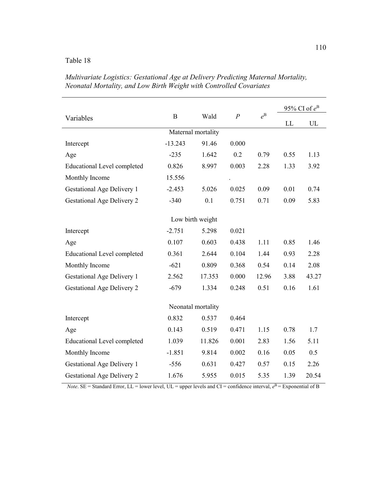|                                    |             |        |                  |                | 95% CI of $e^B$ |       |  |  |  |
|------------------------------------|-------------|--------|------------------|----------------|-----------------|-------|--|--|--|
| Variables                          | $\mathbf B$ | Wald   | $\boldsymbol{P}$ | $e^{\text{B}}$ | LL              | UL    |  |  |  |
| Maternal mortality                 |             |        |                  |                |                 |       |  |  |  |
| Intercept                          | $-13.243$   | 91.46  | 0.000            |                |                 |       |  |  |  |
| Age                                | $-235$      | 1.642  | 0.2              | 0.79           | 0.55            | 1.13  |  |  |  |
| <b>Educational Level completed</b> | 0.826       | 8.997  | 0.003            | 2.28           | 1.33            | 3.92  |  |  |  |
| Monthly Income                     | 15.556      |        |                  |                |                 |       |  |  |  |
| <b>Gestational Age Delivery 1</b>  | $-2.453$    | 5.026  | 0.025            | 0.09           | 0.01            | 0.74  |  |  |  |
| <b>Gestational Age Delivery 2</b>  | $-340$      | 0.1    | 0.751            | 0.71           | 0.09            | 5.83  |  |  |  |
| Low birth weight                   |             |        |                  |                |                 |       |  |  |  |
| Intercept                          | $-2.751$    | 5.298  | 0.021            |                |                 |       |  |  |  |
| Age                                | 0.107       | 0.603  | 0.438            | 1.11           | 0.85            | 1.46  |  |  |  |
| <b>Educational Level completed</b> | 0.361       | 2.644  | 0.104            | 1.44           | 0.93            | 2.28  |  |  |  |
| Monthly Income                     | $-621$      | 0.809  | 0.368            | 0.54           | 0.14            | 2.08  |  |  |  |
| <b>Gestational Age Delivery 1</b>  | 2.562       | 17.353 | 0.000            | 12.96          | 3.88            | 43.27 |  |  |  |
|                                    |             |        |                  |                |                 |       |  |  |  |
| <b>Gestational Age Delivery 2</b>  | $-679$      | 1.334  | 0.248            | 0.51           | 0.16            | 1.61  |  |  |  |
| Neonatal mortality                 |             |        |                  |                |                 |       |  |  |  |
| Intercept                          | 0.832       | 0.537  | 0.464            |                |                 |       |  |  |  |
| Age                                | 0.143       | 0.519  | 0.471            | 1.15           | 0.78            | 1.7   |  |  |  |
| <b>Educational Level completed</b> | 1.039       | 11.826 | 0.001            | 2.83           | 1.56            | 5.11  |  |  |  |
| Monthly Income                     | $-1.851$    | 9.814  | 0.002            | 0.16           | 0.05            | 0.5   |  |  |  |
| <b>Gestational Age Delivery 1</b>  | $-556$      | 0.631  | 0.427            | 0.57           | 0.15            | 2.26  |  |  |  |
| <b>Gestational Age Delivery 2</b>  | 1.676       | 5.955  | 0.015            | 5.35           | 1.39            | 20.54 |  |  |  |

*Multivariate Logistics: Gestational Age at Delivery Predicting Maternal Mortality, Neonatal Mortality, and Low Birth Weight with Controlled Covariates*

*Note*. SE = Standard Error, LL = lower level, UL = upper levels and CI = confidence interval,  $e^{B}$  = Exponential of B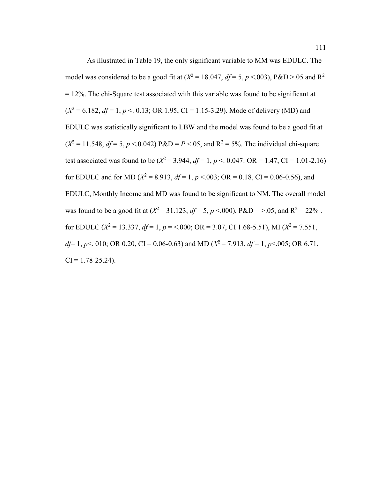As illustrated in Table 19, the only significant variable to MM was EDULC. The model was considered to be a good fit at  $(X^2 = 18.047, df = 5, p < 0.003)$ , P&D >.05 and R<sup>2</sup>  $= 12\%$ . The chi-Square test associated with this variable was found to be significant at  $(X^2 = 6.182, df = 1, p < 0.13$ ; OR 1.95, CI = 1.15-3.29). Mode of delivery (MD) and EDULC was statistically significant to LBW and the model was found to be a good fit at  $(X^2 = 11.548, df = 5, p < 0.042$ )  $P&D = P < 0.05$ , and  $R^2 = 5\%$ . The individual chi-square test associated was found to be  $(X^2 = 3.944, df = 1, p < 0.047$ : OR = 1.47, CI = 1.01-2.16) for EDULC and for MD ( $X^2 = 8.913$ ,  $df = 1$ ,  $p < 0.003$ ; OR = 0.18, CI = 0.06-0.56), and EDULC, Monthly Income and MD was found to be significant to NM. The overall model was found to be a good fit at  $(X^2 = 31.123, df = 5, p < .000)$ ,  $P&D = > .05$ , and  $R^2 = 22\%$ . for EDULC ( $X^2 = 13.337$ ,  $df = 1$ ,  $p = <.000$ ; OR = 3.07, CI 1.68-5.51), MI ( $X^2 = 7.551$ , *df*= 1, *p* < 0.10; OR 0.20, CI = 0.06-0.63) and MD ( $X^2$  = 7.913, *df* = 1, *p* < 0.05; OR 6.71,  $CI = 1.78 - 25.24$ .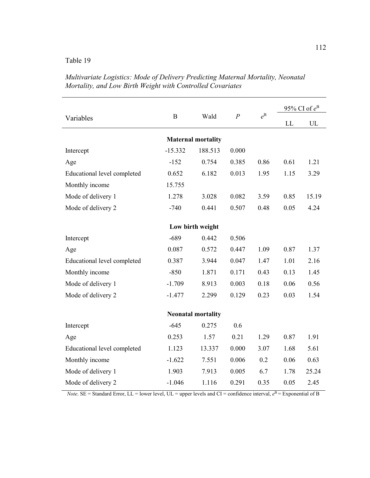|                             |                  |                           |                  |                | 95% CI of $e^B$ |       |  |  |  |
|-----------------------------|------------------|---------------------------|------------------|----------------|-----------------|-------|--|--|--|
| Variables                   | $\boldsymbol{B}$ | Wald                      | $\boldsymbol{P}$ | $e^{\text{B}}$ | LL              | UL    |  |  |  |
| <b>Maternal mortality</b>   |                  |                           |                  |                |                 |       |  |  |  |
| Intercept                   | $-15.332$        | 188.513                   | 0.000            |                |                 |       |  |  |  |
| Age                         | $-152$           | 0.754                     | 0.385            | 0.86           | 0.61            | 1.21  |  |  |  |
| Educational level completed | 0.652            | 6.182                     | 0.013            | 1.95           | 1.15            | 3.29  |  |  |  |
| Monthly income              | 15.755           |                           |                  |                |                 |       |  |  |  |
| Mode of delivery 1          | 1.278            | 3.028                     | 0.082            | 3.59           | 0.85            | 15.19 |  |  |  |
| Mode of delivery 2          | $-740$           | 0.441                     | 0.507            | 0.48           | 0.05            | 4.24  |  |  |  |
|                             |                  |                           |                  |                |                 |       |  |  |  |
| Low birth weight            |                  |                           |                  |                |                 |       |  |  |  |
| Intercept                   | $-689$           | 0.442                     | 0.506            |                |                 |       |  |  |  |
| Age                         | 0.087            | 0.572                     | 0.447            | 1.09           | 0.87            | 1.37  |  |  |  |
| Educational level completed | 0.387            | 3.944                     | 0.047            | 1.47           | 1.01            | 2.16  |  |  |  |
| Monthly income              | $-850$           | 1.871                     | 0.171            | 0.43           | 0.13            | 1.45  |  |  |  |
| Mode of delivery 1          | $-1.709$         | 8.913                     | 0.003            | 0.18           | 0.06            | 0.56  |  |  |  |
| Mode of delivery 2          | $-1.477$         | 2.299                     | 0.129            | 0.23           | 0.03            | 1.54  |  |  |  |
|                             |                  |                           |                  |                |                 |       |  |  |  |
|                             |                  | <b>Neonatal mortality</b> |                  |                |                 |       |  |  |  |
| Intercept                   | $-645$           | 0.275                     | 0.6              |                |                 |       |  |  |  |
| Age                         | 0.253            | 1.57                      | 0.21             | 1.29           | 0.87            | 1.91  |  |  |  |
| Educational level completed | 1.123            | 13.337                    | 0.000            | 3.07           | 1.68            | 5.61  |  |  |  |
| Monthly income              | $-1.622$         | 7.551                     | 0.006            | 0.2            | 0.06            | 0.63  |  |  |  |
| Mode of delivery 1          | 1.903            | 7.913                     | 0.005            | 6.7            | 1.78            | 25.24 |  |  |  |
| Mode of delivery 2          | $-1.046$         | 1.116                     | 0.291            | 0.35           | 0.05            | 2.45  |  |  |  |

*Multivariate Logistics: Mode of Delivery Predicting Maternal Mortality, Neonatal Mortality, and Low Birth Weight with Controlled Covariates*

*Note*. SE = Standard Error, LL = lower level, UL = upper levels and CI = confidence interval,  $e^{B}$  = Exponential of B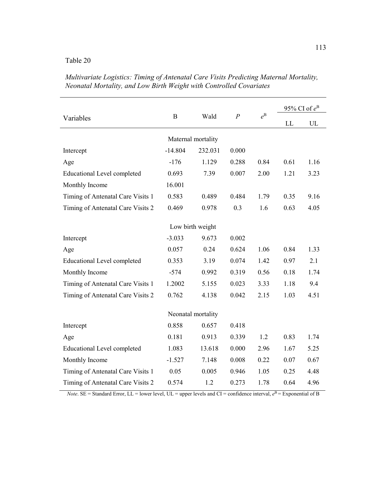÷,

|                                    | $\mathbf B$ | Wald             | $\boldsymbol{P}$ |             | 95% CI of $e^B$ |      |  |  |  |
|------------------------------------|-------------|------------------|------------------|-------------|-----------------|------|--|--|--|
| Variables                          |             |                  |                  | $e^{\rm B}$ | LL              | UL   |  |  |  |
| Maternal mortality                 |             |                  |                  |             |                 |      |  |  |  |
| Intercept                          | $-14.804$   | 232.031          | 0.000            |             |                 |      |  |  |  |
| Age                                | $-176$      | 1.129            | 0.288            | 0.84        | 0.61            | 1.16 |  |  |  |
| <b>Educational Level completed</b> | 0.693       | 7.39             | 0.007            | 2.00        | 1.21            | 3.23 |  |  |  |
| Monthly Income                     | 16.001      |                  |                  |             |                 |      |  |  |  |
| Timing of Antenatal Care Visits 1  | 0.583       | 0.489            | 0.484            | 1.79        | 0.35            | 9.16 |  |  |  |
| Timing of Antenatal Care Visits 2  | 0.469       | 0.978            | 0.3              | 1.6         | 0.63            | 4.05 |  |  |  |
|                                    |             |                  |                  |             |                 |      |  |  |  |
|                                    |             | Low birth weight |                  |             |                 |      |  |  |  |
| Intercept                          | $-3.033$    | 9.673            | 0.002            |             |                 |      |  |  |  |
| Age                                | 0.057       | 0.24             | 0.624            | 1.06        | 0.84            | 1.33 |  |  |  |
| <b>Educational Level completed</b> | 0.353       | 3.19             | 0.074            | 1.42        | 0.97            | 2.1  |  |  |  |
| Monthly Income                     | $-574$      | 0.992            | 0.319            | 0.56        | 0.18            | 1.74 |  |  |  |
| Timing of Antenatal Care Visits 1  | 1.2002      | 5.155            | 0.023            | 3.33        | 1.18            | 9.4  |  |  |  |
| Timing of Antenatal Care Visits 2  | 0.762       | 4.138            | 0.042            | 2.15        | 1.03            | 4.51 |  |  |  |
| Neonatal mortality                 |             |                  |                  |             |                 |      |  |  |  |
| Intercept                          | 0.858       | 0.657            | 0.418            |             |                 |      |  |  |  |
|                                    |             |                  |                  |             |                 |      |  |  |  |
| Age                                | 0.181       | 0.913            | 0.339            | 1.2         | 0.83            | 1.74 |  |  |  |
| <b>Educational Level completed</b> | 1.083       | 13.618           | 0.000            | 2.96        | 1.67            | 5.25 |  |  |  |
| Monthly Income                     | $-1.527$    | 7.148            | 0.008            | 0.22        | 0.07            | 0.67 |  |  |  |
| Timing of Antenatal Care Visits 1  | 0.05        | 0.005            | 0.946            | 1.05        | 0.25            | 4.48 |  |  |  |
| Timing of Antenatal Care Visits 2  | 0.574       | 1.2              | 0.273            | 1.78        | 0.64            | 4.96 |  |  |  |

*Multivariate Logistics: Timing of Antenatal Care Visits Predicting Maternal Mortality, Neonatal Mortality, and Low Birth Weight with Controlled Covariates*

*Note*. SE = Standard Error, LL = lower level, UL = upper levels and CI = confidence interval,  $e^{B}$  = Exponential of B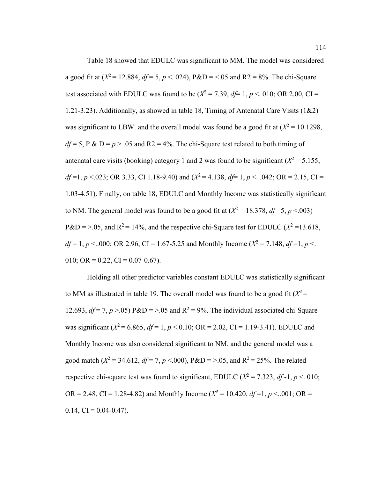Table 18 showed that EDULC was significant to MM. The model was considered a good fit at  $(X^2 = 12.884, df = 5, p < .024)$ ,  $P&D = < .05$  and  $R2 = 8\%$ . The chi-Square test associated with EDULC was found to be  $(X^2 = 7.39, df = 1, p < 0.010; OR 2.00, CI =$ 1.21-3.23). Additionally, as showed in table 18, Timing of Antenatal Care Visits (1&2) was significant to LBW, and the overall model was found be a good fit at  $(X^2 = 10.1298,$  $df = 5$ ,  $P \& D = p > .05$  and  $R2 = 4\%$ . The chi-Square test related to both timing of antenatal care visits (booking) category 1 and 2 was found to be significant ( $X^2 = 5.155$ , *df* =1, *p* <.023; OR 3.33, CI 1.18-9.40) and ( $X^2$  = 4.138,  $df$  = 1, *p* < .042; OR = 2.15, CI = 1.03-4.51). Finally, on table 18, EDULC and Monthly Income was statistically significant to NM. The general model was found to be a good fit at  $(X^2 = 18.378, df = 5, p < 0.003)$  $P&D = > .05$ , and  $R^2 = 14\%$ , and the respective chi-Square test for EDULC ( $X^2 = 13.618$ ,  $df = 1, p < .000$ ; OR 2.96, CI = 1.67-5.25 and Monthly Income ( $X^2 = 7.148$ ,  $df = 1, p < .$ 010; OR = 0.22, CI = 0.07-0.67).

Holding all other predictor variables constant EDULC was statistically significant to MM as illustrated in table 19. The overall model was found to be a good fit  $(X^2 =$ 12.693,  $df = 7$ ,  $p > 0.05$ ) P&D = > 0.05 and R<sup>2</sup> = 9%. The individual associated chi-Square was significant ( $X^2$  = 6.865,  $df$  = 1,  $p$  < 0.10; OR = 2.02, CI = 1.19-3.41). EDULC and Monthly Income was also considered significant to NM, and the general model was a good match  $(X^2 = 34.612, df = 7, p < .000)$ ,  $P & D = > .05$ , and  $R^2 = 25\%$ . The related respective chi-square test was found to significant, EDULC ( $X^2 = 7.323$ , *df* -1, *p* <. 010; OR = 2.48, CI = 1.28-4.82) and Monthly Income ( $X^2 = 10.420$ ,  $df=1$ ,  $p < .001$ ; OR =  $0.14, CI = 0.04 - 0.47$ .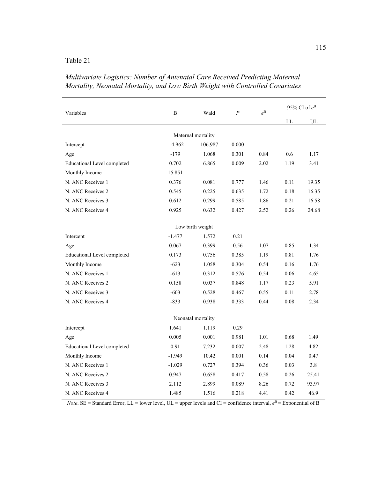|                                    | B         | Wald               | $\boldsymbol{P}$ | $e^{\text{B}}$ | 95% CI of $e^B$ |       |  |  |
|------------------------------------|-----------|--------------------|------------------|----------------|-----------------|-------|--|--|
| Variables                          |           |                    |                  |                | ${\rm LL}$      | UL    |  |  |
|                                    |           | Maternal mortality |                  |                |                 |       |  |  |
| Intercept                          | $-14.962$ | 106.987            | 0.000            |                |                 |       |  |  |
| Age                                | $-179$    | 1.068              | 0.301            | 0.84           | 0.6             | 1.17  |  |  |
| <b>Educational Level completed</b> | 0.702     | 6.865              | 0.009            | 2.02           | 1.19            | 3.41  |  |  |
| Monthly Income                     | 15.851    |                    |                  |                |                 |       |  |  |
| N. ANC Receives 1                  | 0.376     | 0.081              | 0.777            | 1.46           | 0.11            | 19.35 |  |  |
| N. ANC Receives 2                  | 0.545     | 0.225              | 0.635            | 1.72           | 0.18            | 16.35 |  |  |
| N. ANC Receives 3                  | 0.612     | 0.299              | 0.585            | 1.86           | 0.21            | 16.58 |  |  |
| N. ANC Receives 4                  | 0.925     | 0.632              | 0.427            | 2.52           | 0.26            | 24.68 |  |  |
| Low birth weight                   |           |                    |                  |                |                 |       |  |  |
| Intercept                          | $-1.477$  | 1.572              | 0.21             |                |                 |       |  |  |
| Age                                | 0.067     | 0.399              | 0.56             | 1.07           | 0.85            | 1.34  |  |  |
| <b>Educational Level completed</b> | 0.173     | 0.756              | 0.385            | 1.19           | 0.81            | 1.76  |  |  |
| Monthly Income                     | $-623$    | 1.058              | 0.304            | 0.54           | 0.16            | 1.76  |  |  |
| N. ANC Receives 1                  | $-613$    | 0.312              | 0.576            | 0.54           | 0.06            | 4.65  |  |  |
| N. ANC Receives 2                  | 0.158     | 0.037              | 0.848            | 1.17           | 0.23            | 5.91  |  |  |
| N. ANC Receives 3                  | $-603$    | 0.528              | 0.467            | 0.55           | 0.11            | 2.78  |  |  |
| N. ANC Receives 4                  | $-833$    | 0.938              | 0.333            | 0.44           | 0.08            | 2.34  |  |  |
|                                    |           | Neonatal mortality |                  |                |                 |       |  |  |
| Intercept                          | 1.641     | 1.119              | 0.29             |                |                 |       |  |  |
| Age                                | 0.005     | 0.001              | 0.981            | 1.01           | 0.68            | 1.49  |  |  |
| Educational Level completed        | 0.91      | 7.232              | 0.007            | 2.48           | 1.28            | 4.82  |  |  |
| Monthly Income                     | $-1.949$  | 10.42              | 0.001            | 0.14           | 0.04            | 0.47  |  |  |
| N. ANC Receives 1                  | $-1.029$  | 0.727              | 0.394            | 0.36           | 0.03            | 3.8   |  |  |
| N. ANC Receives 2                  | 0.947     | 0.658              | 0.417            | 0.58           | 0.26            | 25.41 |  |  |
| N. ANC Receives 3                  | 2.112     | 2.899              | 0.089            | 8.26           | 0.72            | 93.97 |  |  |
| N. ANC Receives 4                  | 1.485     | 1.516              | 0.218            | 4.41           | 0.42            | 46.9  |  |  |

*Multivariate Logistics: Number of Antenatal Care Received Predicting Maternal Mortality, Neonatal Mortality, and Low Birth Weight with Controlled Covariates*

*Note*. SE = Standard Error, LL = lower level, UL = upper levels and CI = confidence interval,  $e^{B}$  = Exponential of B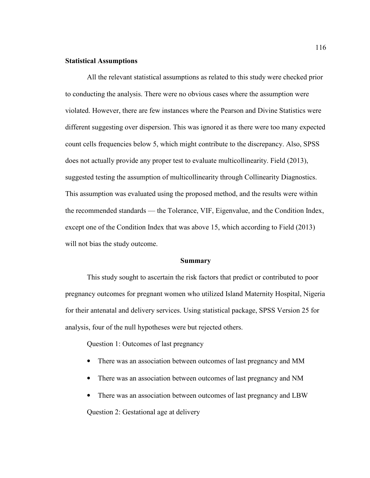### **Statistical Assumptions**

All the relevant statistical assumptions as related to this study were checked prior to conducting the analysis. There were no obvious cases where the assumption were violated. However, there are few instances where the Pearson and Divine Statistics were different suggesting over dispersion. This was ignored it as there were too many expected count cells frequencies below 5, which might contribute to the discrepancy. Also, SPSS does not actually provide any proper test to evaluate multicollinearity. Field (2013), suggested testing the assumption of multicollinearity through Collinearity Diagnostics. This assumption was evaluated using the proposed method, and the results were within the recommended standards — the Tolerance, VIF, Eigenvalue, and the Condition Index, except one of the Condition Index that was above 15, which according to Field (2013) will not bias the study outcome.

#### **Summary**

This study sought to ascertain the risk factors that predict or contributed to poor pregnancy outcomes for pregnant women who utilized Island Maternity Hospital, Nigeria for their antenatal and delivery services. Using statistical package, SPSS Version 25 for analysis, four of the null hypotheses were but rejected others.

Question 1: Outcomes of last pregnancy

- There was an association between outcomes of last pregnancy and MM
- There was an association between outcomes of last pregnancy and NM
- There was an association between outcomes of last pregnancy and LBW

Question 2: Gestational age at delivery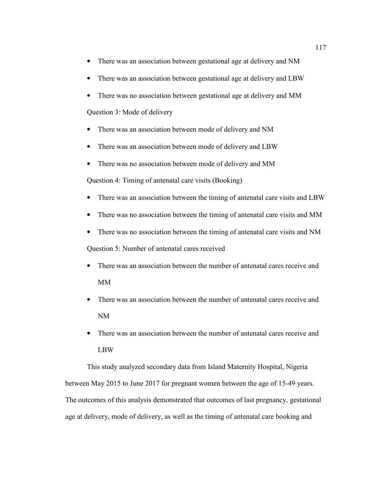- There was an association between gestational age at delivery and NM
- There was an association between gestational age at delivery and LBW
- There was no association between gestational age at delivery and MM

Question 3: Mode of delivery

- There was an association between mode of delivery and NM
- There was an association between mode of delivery and LBW
- There was no association between mode of delivery and MM

Question 4: Timing of antenatal care visits (Booking)

- There was an association between the timing of antenatal care visits and LBW
- There was no association between the timing of antenatal care visits and MM
- There was no association between the timing of antenatal care visits and NM

Question 5: Number of antenatal cares received

- There was an association between the number of antenatal cares receive and MM
- There was an association between the number of antenatal cares receive and NM
- There was an association between the number of antenatal cares receive and LBW

This study analyzed secondary data from Island Maternity Hospital, Nigeria between May 2015 to June 2017 for pregnant women between the age of 15-49 years. The outcomes of this analysis demonstrated that outcomes of last pregnancy, gestational age at delivery, mode of delivery, as well as the timing of antenatal care booking and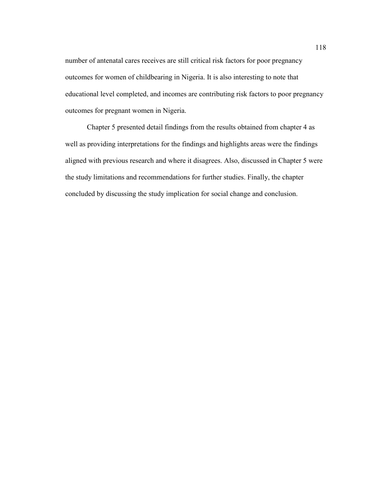number of antenatal cares receives are still critical risk factors for poor pregnancy outcomes for women of childbearing in Nigeria. It is also interesting to note that educational level completed, and incomes are contributing risk factors to poor pregnancy outcomes for pregnant women in Nigeria.

Chapter 5 presented detail findings from the results obtained from chapter 4 as well as providing interpretations for the findings and highlights areas were the findings aligned with previous research and where it disagrees. Also, discussed in Chapter 5 were the study limitations and recommendations for further studies. Finally, the chapter concluded by discussing the study implication for social change and conclusion.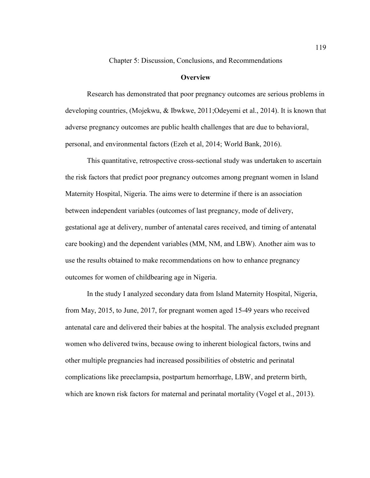Chapter 5: Discussion, Conclusions, and Recommendations

### **Overview**

Research has demonstrated that poor pregnancy outcomes are serious problems in developing countries, (Mojekwu, & Ibwkwe, 2011;Odeyemi et al., 2014). It is known that adverse pregnancy outcomes are public health challenges that are due to behavioral, personal, and environmental factors (Ezeh et al, 2014; World Bank, 2016).

This quantitative, retrospective cross-sectional study was undertaken to ascertain the risk factors that predict poor pregnancy outcomes among pregnant women in Island Maternity Hospital, Nigeria. The aims were to determine if there is an association between independent variables (outcomes of last pregnancy, mode of delivery, gestational age at delivery, number of antenatal cares received, and timing of antenatal care booking) and the dependent variables (MM, NM, and LBW). Another aim was to use the results obtained to make recommendations on how to enhance pregnancy outcomes for women of childbearing age in Nigeria.

In the study I analyzed secondary data from Island Maternity Hospital, Nigeria, from May, 2015, to June, 2017, for pregnant women aged 15-49 years who received antenatal care and delivered their babies at the hospital. The analysis excluded pregnant women who delivered twins, because owing to inherent biological factors, twins and other multiple pregnancies had increased possibilities of obstetric and perinatal complications like preeclampsia, postpartum hemorrhage, LBW, and preterm birth, which are known risk factors for maternal and perinatal mortality (Vogel et al., 2013).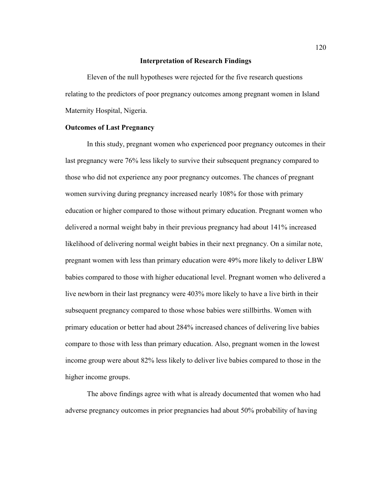### **Interpretation of Research Findings**

Eleven of the null hypotheses were rejected for the five research questions relating to the predictors of poor pregnancy outcomes among pregnant women in Island Maternity Hospital, Nigeria.

#### **Outcomes of Last Pregnancy**

In this study, pregnant women who experienced poor pregnancy outcomes in their last pregnancy were 76% less likely to survive their subsequent pregnancy compared to those who did not experience any poor pregnancy outcomes. The chances of pregnant women surviving during pregnancy increased nearly 108% for those with primary education or higher compared to those without primary education. Pregnant women who delivered a normal weight baby in their previous pregnancy had about 141% increased likelihood of delivering normal weight babies in their next pregnancy. On a similar note, pregnant women with less than primary education were 49% more likely to deliver LBW babies compared to those with higher educational level. Pregnant women who delivered a live newborn in their last pregnancy were 403% more likely to have a live birth in their subsequent pregnancy compared to those whose babies were stillbirths. Women with primary education or better had about 284% increased chances of delivering live babies compare to those with less than primary education. Also, pregnant women in the lowest income group were about 82% less likely to deliver live babies compared to those in the higher income groups.

The above findings agree with what is already documented that women who had adverse pregnancy outcomes in prior pregnancies had about 50% probability of having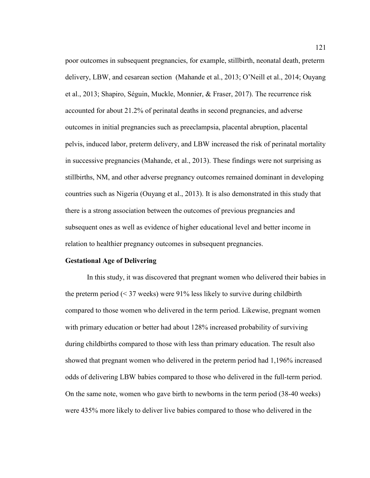poor outcomes in subsequent pregnancies, for example, stillbirth, neonatal death, preterm delivery, LBW, and cesarean section (Mahande et al., 2013; O'Neill et al., 2014; Ouyang et al., 2013; Shapiro, Séguin, Muckle, Monnier, & Fraser, 2017). The recurrence risk accounted for about 21.2% of perinatal deaths in second pregnancies, and adverse outcomes in initial pregnancies such as preeclampsia, placental abruption, placental pelvis, induced labor, preterm delivery, and LBW increased the risk of perinatal mortality in successive pregnancies (Mahande, et al., 2013). These findings were not surprising as stillbirths, NM, and other adverse pregnancy outcomes remained dominant in developing countries such as Nigeria (Ouyang et al., 2013). It is also demonstrated in this study that there is a strong association between the outcomes of previous pregnancies and subsequent ones as well as evidence of higher educational level and better income in relation to healthier pregnancy outcomes in subsequent pregnancies.

### **Gestational Age of Delivering**

In this study, it was discovered that pregnant women who delivered their babies in the preterm period (< 37 weeks) were 91% less likely to survive during childbirth compared to those women who delivered in the term period. Likewise, pregnant women with primary education or better had about 128% increased probability of surviving during childbirths compared to those with less than primary education. The result also showed that pregnant women who delivered in the preterm period had 1,196% increased odds of delivering LBW babies compared to those who delivered in the full-term period. On the same note, women who gave birth to newborns in the term period (38-40 weeks) were 435% more likely to deliver live babies compared to those who delivered in the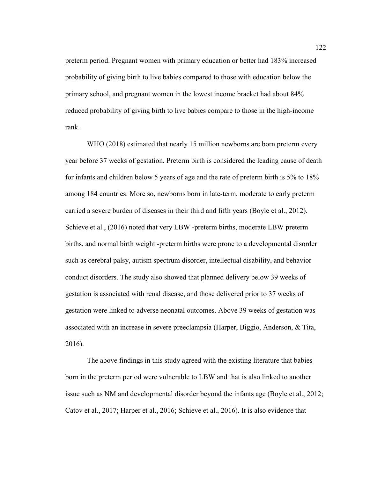preterm period. Pregnant women with primary education or better had 183% increased probability of giving birth to live babies compared to those with education below the primary school, and pregnant women in the lowest income bracket had about 84% reduced probability of giving birth to live babies compare to those in the high-income rank.

WHO (2018) estimated that nearly 15 million newborns are born preterm every year before 37 weeks of gestation. Preterm birth is considered the leading cause of death for infants and children below 5 years of age and the rate of preterm birth is 5% to 18% among 184 countries. More so, newborns born in late-term, moderate to early preterm carried a severe burden of diseases in their third and fifth years (Boyle et al., 2012). Schieve et al., (2016) noted that very LBW -preterm births, moderate LBW preterm births, and normal birth weight -preterm births were prone to a developmental disorder such as cerebral palsy, autism spectrum disorder, intellectual disability, and behavior conduct disorders. The study also showed that planned delivery below 39 weeks of gestation is associated with renal disease, and those delivered prior to 37 weeks of gestation were linked to adverse neonatal outcomes. Above 39 weeks of gestation was associated with an increase in severe preeclampsia (Harper, Biggio, Anderson, & Tita, 2016).

The above findings in this study agreed with the existing literature that babies born in the preterm period were vulnerable to LBW and that is also linked to another issue such as NM and developmental disorder beyond the infants age (Boyle et al., 2012; Catov et al., 2017; Harper et al., 2016; Schieve et al., 2016). It is also evidence that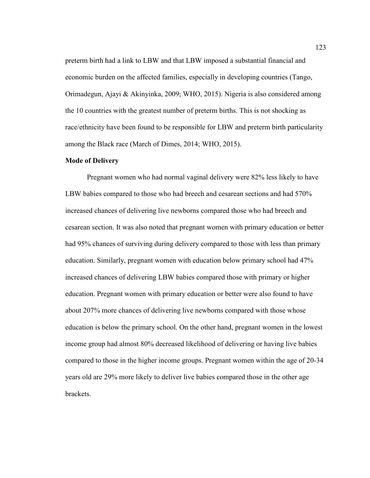preterm birth had a link to LBW and that LBW imposed a substantial financial and economic burden on the affected families, especially in developing countries (Tango, Orimadegun, Ajayi & Akinyinka, 2009; WHO, 2015). Nigeria is also considered among the 10 countries with the greatest number of preterm births. This is not shocking as race/ethnicity have been found to be responsible for LBW and preterm birth particularity among the Black race (March of Dimes, 2014; WHO, 2015).

#### **Mode of Delivery**

Pregnant women who had normal vaginal delivery were 82% less likely to have LBW babies compared to those who had breech and cesarean sections and had 570% increased chances of delivering live newborns compared those who had breech and cesarean section. It was also noted that pregnant women with primary education or better had 95% chances of surviving during delivery compared to those with less than primary education. Similarly, pregnant women with education below primary school had 47% increased chances of delivering LBW babies compared those with primary or higher education. Pregnant women with primary education or better were also found to have about 207% more chances of delivering live newborns compared with those whose education is below the primary school. On the other hand, pregnant women in the lowest income group had almost 80% decreased likelihood of delivering or having live babies compared to those in the higher income groups. Pregnant women within the age of 20-34 years old are 29% more likely to deliver live babies compared those in the other age brackets.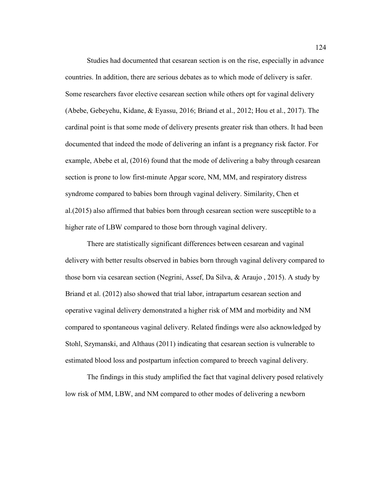Studies had documented that cesarean section is on the rise, especially in advance countries. In addition, there are serious debates as to which mode of delivery is safer. Some researchers favor elective cesarean section while others opt for vaginal delivery (Abebe, Gebeyehu, Kidane, & Eyassu, 2016; Briand et al., 2012; Hou et al., 2017). The cardinal point is that some mode of delivery presents greater risk than others. It had been documented that indeed the mode of delivering an infant is a pregnancy risk factor. For example, Abebe et al, (2016) found that the mode of delivering a baby through cesarean section is prone to low first-minute Apgar score, NM, MM, and respiratory distress syndrome compared to babies born through vaginal delivery. Similarity, Chen et al.(2015) also affirmed that babies born through cesarean section were susceptible to a higher rate of LBW compared to those born through vaginal delivery.

There are statistically significant differences between cesarean and vaginal delivery with better results observed in babies born through vaginal delivery compared to those born via cesarean section (Negrini, Assef, Da Silva, & Araujo , 2015). A study by Briand et al. (2012) also showed that trial labor, intrapartum cesarean section and operative vaginal delivery demonstrated a higher risk of MM and morbidity and NM compared to spontaneous vaginal delivery. Related findings were also acknowledged by Stohl, Szymanski, and Althaus (2011) indicating that cesarean section is vulnerable to estimated blood loss and postpartum infection compared to breech vaginal delivery.

The findings in this study amplified the fact that vaginal delivery posed relatively low risk of MM, LBW, and NM compared to other modes of delivering a newborn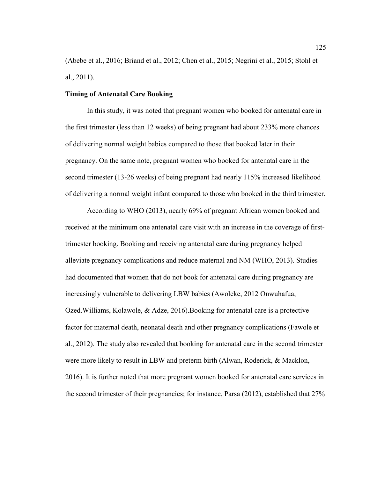(Abebe et al., 2016; Briand et al., 2012; Chen et al., 2015; Negrini et al., 2015; Stohl et al., 2011).

### **Timing of Antenatal Care Booking**

In this study, it was noted that pregnant women who booked for antenatal care in the first trimester (less than 12 weeks) of being pregnant had about 233% more chances of delivering normal weight babies compared to those that booked later in their pregnancy. On the same note, pregnant women who booked for antenatal care in the second trimester (13-26 weeks) of being pregnant had nearly 115% increased likelihood of delivering a normal weight infant compared to those who booked in the third trimester.

According to WHO (2013), nearly 69% of pregnant African women booked and received at the minimum one antenatal care visit with an increase in the coverage of firsttrimester booking. Booking and receiving antenatal care during pregnancy helped alleviate pregnancy complications and reduce maternal and NM (WHO, 2013). Studies had documented that women that do not book for antenatal care during pregnancy are increasingly vulnerable to delivering LBW babies (Awoleke, 2012 Onwuhafua, Ozed.Williams, Kolawole, & Adze, 2016).Booking for antenatal care is a protective factor for maternal death, neonatal death and other pregnancy complications (Fawole et al., 2012). The study also revealed that booking for antenatal care in the second trimester were more likely to result in LBW and preterm birth (Alwan, Roderick, & Macklon, 2016). It is further noted that more pregnant women booked for antenatal care services in the second trimester of their pregnancies; for instance, Parsa (2012), established that 27%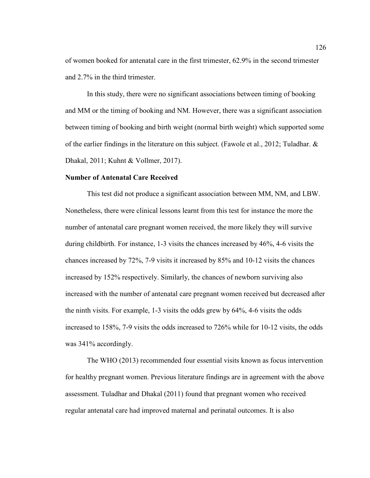of women booked for antenatal care in the first trimester, 62.9% in the second trimester and 2.7% in the third trimester.

In this study, there were no significant associations between timing of booking and MM or the timing of booking and NM. However, there was a significant association between timing of booking and birth weight (normal birth weight) which supported some of the earlier findings in the literature on this subject. (Fawole et al., 2012; Tuladhar. & Dhakal, 2011; Kuhnt & Vollmer, 2017).

### **Number of Antenatal Care Received**

This test did not produce a significant association between MM, NM, and LBW. Nonetheless, there were clinical lessons learnt from this test for instance the more the number of antenatal care pregnant women received, the more likely they will survive during childbirth. For instance, 1-3 visits the chances increased by 46%, 4-6 visits the chances increased by 72%, 7-9 visits it increased by 85% and 10-12 visits the chances increased by 152% respectively. Similarly, the chances of newborn surviving also increased with the number of antenatal care pregnant women received but decreased after the ninth visits. For example, 1-3 visits the odds grew by 64%, 4-6 visits the odds increased to 158%, 7-9 visits the odds increased to 726% while for 10-12 visits, the odds was 341% accordingly.

The WHO (2013) recommended four essential visits known as focus intervention for healthy pregnant women. Previous literature findings are in agreement with the above assessment. Tuladhar and Dhakal (2011) found that pregnant women who received regular antenatal care had improved maternal and perinatal outcomes. It is also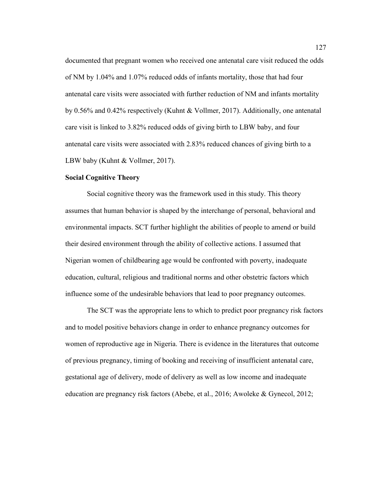documented that pregnant women who received one antenatal care visit reduced the odds of NM by 1.04% and 1.07% reduced odds of infants mortality, those that had four antenatal care visits were associated with further reduction of NM and infants mortality by 0.56% and 0.42% respectively (Kuhnt & Vollmer, 2017). Additionally, one antenatal care visit is linked to 3.82% reduced odds of giving birth to LBW baby, and four antenatal care visits were associated with 2.83% reduced chances of giving birth to a LBW baby (Kuhnt & Vollmer, 2017).

### **Social Cognitive Theory**

Social cognitive theory was the framework used in this study. This theory assumes that human behavior is shaped by the interchange of personal, behavioral and environmental impacts. SCT further highlight the abilities of people to amend or build their desired environment through the ability of collective actions. I assumed that Nigerian women of childbearing age would be confronted with poverty, inadequate education, cultural, religious and traditional norms and other obstetric factors which influence some of the undesirable behaviors that lead to poor pregnancy outcomes.

The SCT was the appropriate lens to which to predict poor pregnancy risk factors and to model positive behaviors change in order to enhance pregnancy outcomes for women of reproductive age in Nigeria. There is evidence in the literatures that outcome of previous pregnancy, timing of booking and receiving of insufficient antenatal care, gestational age of delivery, mode of delivery as well as low income and inadequate education are pregnancy risk factors (Abebe, et al., 2016; Awoleke & Gynecol, 2012;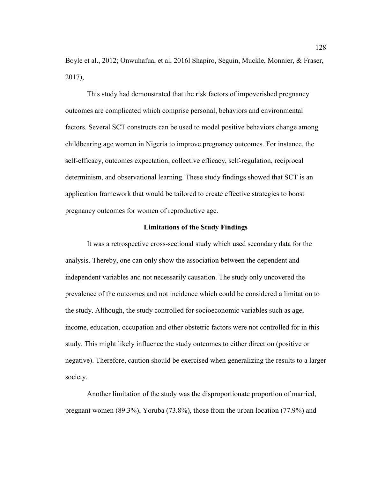Boyle et al., 2012; Onwuhafua, et al, 2016l Shapiro, Séguin, Muckle, Monnier, & Fraser, 2017),

This study had demonstrated that the risk factors of impoverished pregnancy outcomes are complicated which comprise personal, behaviors and environmental factors. Several SCT constructs can be used to model positive behaviors change among childbearing age women in Nigeria to improve pregnancy outcomes. For instance, the self-efficacy, outcomes expectation, collective efficacy, self-regulation, reciprocal determinism, and observational learning. These study findings showed that SCT is an application framework that would be tailored to create effective strategies to boost pregnancy outcomes for women of reproductive age.

### **Limitations of the Study Findings**

It was a retrospective cross-sectional study which used secondary data for the analysis. Thereby, one can only show the association between the dependent and independent variables and not necessarily causation. The study only uncovered the prevalence of the outcomes and not incidence which could be considered a limitation to the study. Although, the study controlled for socioeconomic variables such as age, income, education, occupation and other obstetric factors were not controlled for in this study. This might likely influence the study outcomes to either direction (positive or negative). Therefore, caution should be exercised when generalizing the results to a larger society.

Another limitation of the study was the disproportionate proportion of married, pregnant women (89.3%), Yoruba (73.8%), those from the urban location (77.9%) and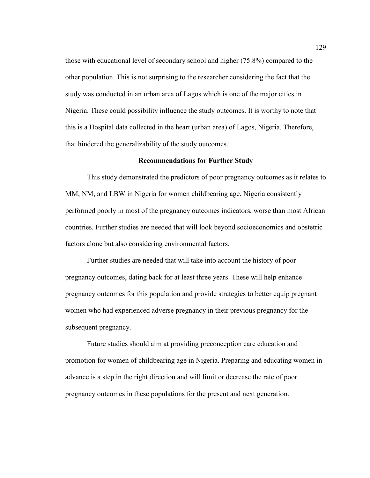those with educational level of secondary school and higher (75.8%) compared to the other population. This is not surprising to the researcher considering the fact that the study was conducted in an urban area of Lagos which is one of the major cities in Nigeria. These could possibility influence the study outcomes. It is worthy to note that this is a Hospital data collected in the heart (urban area) of Lagos, Nigeria. Therefore, that hindered the generalizability of the study outcomes.

### **Recommendations for Further Study**

This study demonstrated the predictors of poor pregnancy outcomes as it relates to MM, NM, and LBW in Nigeria for women childbearing age. Nigeria consistently performed poorly in most of the pregnancy outcomes indicators, worse than most African countries. Further studies are needed that will look beyond socioeconomics and obstetric factors alone but also considering environmental factors.

Further studies are needed that will take into account the history of poor pregnancy outcomes, dating back for at least three years. These will help enhance pregnancy outcomes for this population and provide strategies to better equip pregnant women who had experienced adverse pregnancy in their previous pregnancy for the subsequent pregnancy.

Future studies should aim at providing preconception care education and promotion for women of childbearing age in Nigeria. Preparing and educating women in advance is a step in the right direction and will limit or decrease the rate of poor pregnancy outcomes in these populations for the present and next generation.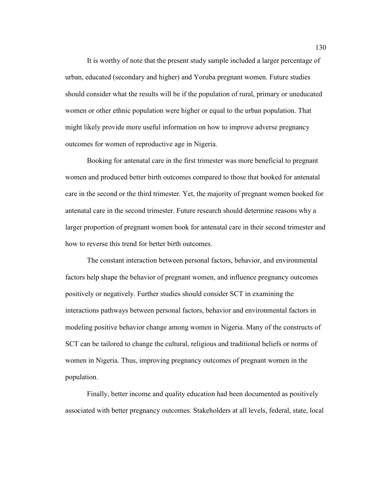It is worthy of note that the present study sample included a larger percentage of urban, educated (secondary and higher) and Yoruba pregnant women. Future studies should consider what the results will be if the population of rural, primary or uneducated women or other ethnic population were higher or equal to the urban population. That might likely provide more useful information on how to improve adverse pregnancy outcomes for women of reproductive age in Nigeria.

Booking for antenatal care in the first trimester was more beneficial to pregnant women and produced better birth outcomes compared to those that booked for antenatal care in the second or the third trimester. Yet, the majority of pregnant women booked for antenatal care in the second trimester. Future research should determine reasons why a larger proportion of pregnant women book for antenatal care in their second trimester and how to reverse this trend for better birth outcomes.

The constant interaction between personal factors, behavior, and environmental factors help shape the behavior of pregnant women, and influence pregnancy outcomes positively or negatively. Further studies should consider SCT in examining the interactions pathways between personal factors, behavior and environmental factors in modeling positive behavior change among women in Nigeria. Many of the constructs of SCT can be tailored to change the cultural, religious and traditional beliefs or norms of women in Nigeria. Thus, improving pregnancy outcomes of pregnant women in the population.

Finally, better income and quality education had been documented as positively associated with better pregnancy outcomes. Stakeholders at all levels, federal, state, local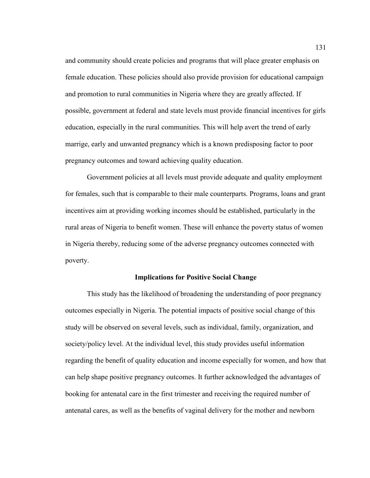and community should create policies and programs that will place greater emphasis on female education. These policies should also provide provision for educational campaign and promotion to rural communities in Nigeria where they are greatly affected. If possible, government at federal and state levels must provide financial incentives for girls education, especially in the rural communities. This will help avert the trend of early marrige, early and unwanted pregnancy which is a known predisposing factor to poor pregnancy outcomes and toward achieving quality education.

Government policies at all levels must provide adequate and quality employment for females, such that is comparable to their male counterparts. Programs, loans and grant incentives aim at providing working incomes should be established, particularly in the rural areas of Nigeria to benefit women. These will enhance the poverty status of women in Nigeria thereby, reducing some of the adverse pregnancy outcomes connected with poverty.

## **Implications for Positive Social Change**

This study has the likelihood of broadening the understanding of poor pregnancy outcomes especially in Nigeria. The potential impacts of positive social change of this study will be observed on several levels, such as individual, family, organization, and society/policy level. At the individual level, this study provides useful information regarding the benefit of quality education and income especially for women, and how that can help shape positive pregnancy outcomes. It further acknowledged the advantages of booking for antenatal care in the first trimester and receiving the required number of antenatal cares, as well as the benefits of vaginal delivery for the mother and newborn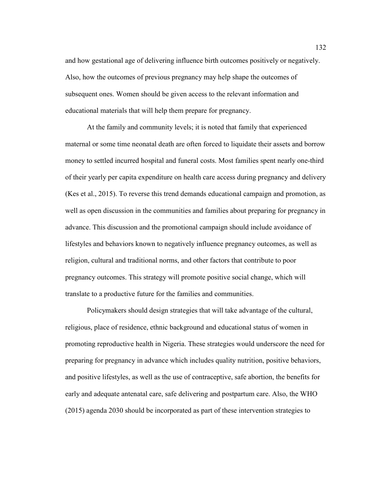and how gestational age of delivering influence birth outcomes positively or negatively. Also, how the outcomes of previous pregnancy may help shape the outcomes of subsequent ones. Women should be given access to the relevant information and educational materials that will help them prepare for pregnancy.

At the family and community levels; it is noted that family that experienced maternal or some time neonatal death are often forced to liquidate their assets and borrow money to settled incurred hospital and funeral costs. Most families spent nearly one-third of their yearly per capita expenditure on health care access during pregnancy and delivery (Kes et al., 2015). To reverse this trend demands educational campaign and promotion, as well as open discussion in the communities and families about preparing for pregnancy in advance. This discussion and the promotional campaign should include avoidance of lifestyles and behaviors known to negatively influence pregnancy outcomes, as well as religion, cultural and traditional norms, and other factors that contribute to poor pregnancy outcomes. This strategy will promote positive social change, which will translate to a productive future for the families and communities.

Policymakers should design strategies that will take advantage of the cultural, religious, place of residence, ethnic background and educational status of women in promoting reproductive health in Nigeria. These strategies would underscore the need for preparing for pregnancy in advance which includes quality nutrition, positive behaviors, and positive lifestyles, as well as the use of contraceptive, safe abortion, the benefits for early and adequate antenatal care, safe delivering and postpartum care. Also, the WHO (2015) agenda 2030 should be incorporated as part of these intervention strategies to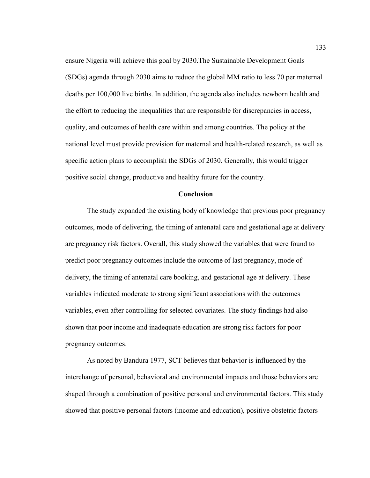ensure Nigeria will achieve this goal by 2030.The Sustainable Development Goals (SDGs) agenda through 2030 aims to reduce the global MM ratio to less 70 per maternal deaths per 100,000 live births. In addition, the agenda also includes newborn health and the effort to reducing the inequalities that are responsible for discrepancies in access, quality, and outcomes of health care within and among countries. The policy at the national level must provide provision for maternal and health-related research, as well as specific action plans to accomplish the SDGs of 2030. Generally, this would trigger positive social change, productive and healthy future for the country.

## **Conclusion**

The study expanded the existing body of knowledge that previous poor pregnancy outcomes, mode of delivering, the timing of antenatal care and gestational age at delivery are pregnancy risk factors. Overall, this study showed the variables that were found to predict poor pregnancy outcomes include the outcome of last pregnancy, mode of delivery, the timing of antenatal care booking, and gestational age at delivery. These variables indicated moderate to strong significant associations with the outcomes variables, even after controlling for selected covariates. The study findings had also shown that poor income and inadequate education are strong risk factors for poor pregnancy outcomes.

As noted by Bandura 1977, SCT believes that behavior is influenced by the interchange of personal, behavioral and environmental impacts and those behaviors are shaped through a combination of positive personal and environmental factors. This study showed that positive personal factors (income and education), positive obstetric factors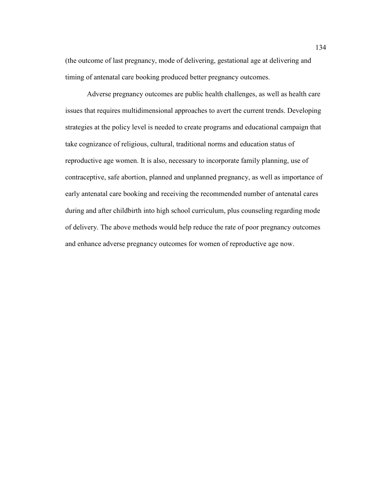(the outcome of last pregnancy, mode of delivering, gestational age at delivering and timing of antenatal care booking produced better pregnancy outcomes.

Adverse pregnancy outcomes are public health challenges, as well as health care issues that requires multidimensional approaches to avert the current trends. Developing strategies at the policy level is needed to create programs and educational campaign that take cognizance of religious, cultural, traditional norms and education status of reproductive age women. It is also, necessary to incorporate family planning, use of contraceptive, safe abortion, planned and unplanned pregnancy, as well as importance of early antenatal care booking and receiving the recommended number of antenatal cares during and after childbirth into high school curriculum, plus counseling regarding mode of delivery. The above methods would help reduce the rate of poor pregnancy outcomes and enhance adverse pregnancy outcomes for women of reproductive age now.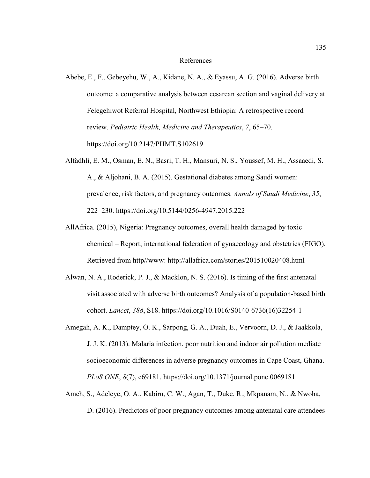## References

- Abebe, E., F., Gebeyehu, W., A., Kidane, N. A., & Eyassu, A. G. (2016). Adverse birth outcome: a comparative analysis between cesarean section and vaginal delivery at Felegehiwot Referral Hospital, Northwest Ethiopia: A retrospective record review. *Pediatric Health, Medicine and Therapeutics*, *7*, 65–70. https://doi.org/10.2147/PHMT.S102619
- Alfadhli, E. M., Osman, E. N., Basri, T. H., Mansuri, N. S., Youssef, M. H., Assaaedi, S. A., & Aljohani, B. A. (2015). Gestational diabetes among Saudi women: prevalence, risk factors, and pregnancy outcomes. *Annals of Saudi Medicine*, *35*, 222–230. https://doi.org/10.5144/0256-4947.2015.222
- AllAfrica. (2015), Nigeria: Pregnancy outcomes, overall health damaged by toxic chemical – Report; international federation of gynaecology and obstetrics (FIGO). Retrieved from http//www: http://allafrica.com/stories/201510020408.html
- Alwan, N. A., Roderick, P. J., & Macklon, N. S. (2016). Is timing of the first antenatal visit associated with adverse birth outcomes? Analysis of a population-based birth cohort. *Lancet*, *388*, S18. https://doi.org/10.1016/S0140-6736(16)32254-1
- Amegah, A. K., Damptey, O. K., Sarpong, G. A., Duah, E., Vervoorn, D. J., & Jaakkola, J. J. K. (2013). Malaria infection, poor nutrition and indoor air pollution mediate socioeconomic differences in adverse pregnancy outcomes in Cape Coast, Ghana. *PLoS ONE*, *8*(7), e69181. https://doi.org/10.1371/journal.pone.0069181
- Ameh, S., Adeleye, O. A., Kabiru, C. W., Agan, T., Duke, R., Mkpanam, N., & Nwoha, D. (2016). Predictors of poor pregnancy outcomes among antenatal care attendees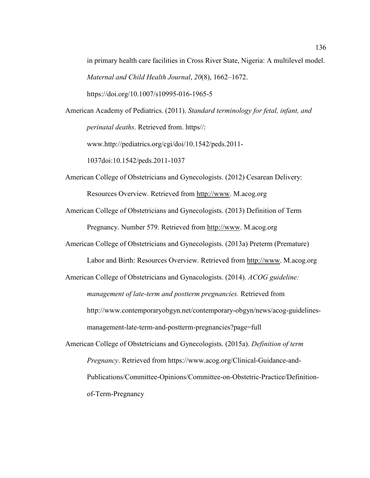in primary health care facilities in Cross River State, Nigeria: A multilevel model. *Maternal and Child Health Journal*, *20*(8), 1662–1672. https://doi.org/10.1007/s10995-016-1965-5

American Academy of Pediatrics. (2011). *Standard terminology for fetal, infant, and perinatal deaths*. Retrieved from. https//:

www.http://pediatrics.org/cgi/doi/10.1542/peds.2011-

1037doi:10.1542/peds.2011-1037

- American College of Obstetricians and Gynecologists. (2012) Cesarean Delivery: Resources Overview. Retrieved from http://www. M.acog.org
- American College of Obstetricians and Gynecologists. (2013) Definition of Term Pregnancy. Number 579. Retrieved from http://www. M.acog.org
- American College of Obstetricians and Gynecologists. (2013a) Preterm (Premature)

Labor and Birth: Resources Overview. Retrieved from http://www. M.acog.org

American College of Obstetricians and Gynacologists. (2014). *ACOG guideline: management of late-term and postterm pregnancies.* Retrieved from http://www.contemporaryobgyn.net/contemporary-obgyn/news/acog-guidelinesmanagement-late-term-and-postterm-pregnancies?page=full

American College of Obstetricians and Gynecologists. (2015a). *Definition of term Pregnancy*. Retrieved from https://www.acog.org/Clinical-Guidance-and-Publications/Committee-Opinions/Committee-on-Obstetric-Practice/Definitionof-Term-Pregnancy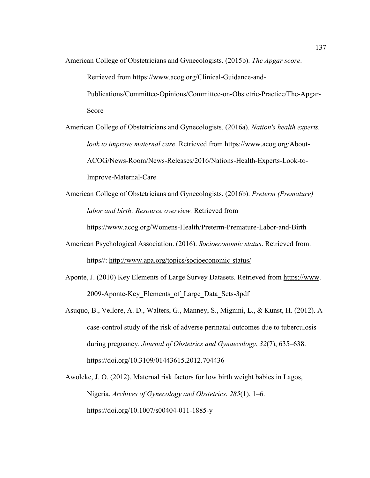American College of Obstetricians and Gynecologists. (2015b). *The Apgar score*.

Retrieved from https://www.acog.org/Clinical-Guidance-and-

Publications/Committee-Opinions/Committee-on-Obstetric-Practice/The-Apgar-Score

American College of Obstetricians and Gynecologists. (2016a). *Nation's health experts, look to improve maternal care*. Retrieved from https://www.acog.org/About-ACOG/News-Room/News-Releases/2016/Nations-Health-Experts-Look-to-Improve-Maternal-Care

American College of Obstetricians and Gynecologists. (2016b). *Preterm (Premature) labor and birth: Resource overview.* Retrieved from

https://www.acog.org/Womens-Health/Preterm-Premature-Labor-and-Birth

- American Psychological Association. (2016). *Socioeconomic status*. Retrieved from. https//: http://www.apa.org/topics/socioeconomic-status/
- Aponte, J. (2010) Key Elements of Large Survey Datasets. Retrieved from https://www. 2009-Aponte-Key\_Elements\_of\_Large\_Data\_Sets-3pdf
- Asuquo, B., Vellore, A. D., Walters, G., Manney, S., Mignini, L., & Kunst, H. (2012). A case-control study of the risk of adverse perinatal outcomes due to tuberculosis during pregnancy. *Journal of Obstetrics and Gynaecology*, *32*(7), 635–638. https://doi.org/10.3109/01443615.2012.704436
- Awoleke, J. O. (2012). Maternal risk factors for low birth weight babies in Lagos, Nigeria. *Archives of Gynecology and Obstetrics*, *285*(1), 1–6. https://doi.org/10.1007/s00404-011-1885-y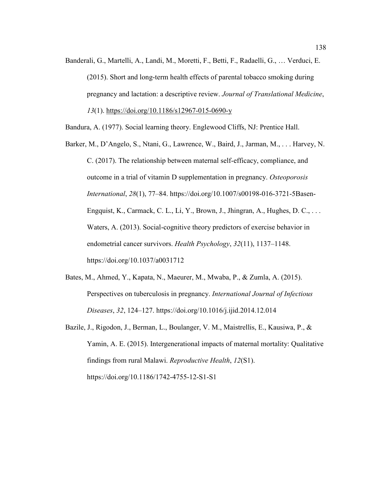Banderali, G., Martelli, A., Landi, M., Moretti, F., Betti, F., Radaelli, G., … Verduci, E. (2015). Short and long-term health effects of parental tobacco smoking during pregnancy and lactation: a descriptive review. *Journal of Translational Medicine*, *13*(1). https://doi.org/10.1186/s12967-015-0690-y

Bandura, A. (1977). Social learning theory. Englewood Cliffs, NJ: Prentice Hall.

- Barker, M., D'Angelo, S., Ntani, G., Lawrence, W., Baird, J., Jarman, M., . . . Harvey, N. C. (2017). The relationship between maternal self-efficacy, compliance, and outcome in a trial of vitamin D supplementation in pregnancy. *Osteoporosis International*, *28*(1), 77–84. https://doi.org/10.1007/s00198-016-3721-5Basen-Engquist, K., Carmack, C. L., Li, Y., Brown, J., Jhingran, A., Hughes, D. C.,  $\dots$ Waters, A. (2013). Social-cognitive theory predictors of exercise behavior in endometrial cancer survivors. *Health Psychology*, *32*(11), 1137–1148. https://doi.org/10.1037/a0031712
- Bates, M., Ahmed, Y., Kapata, N., Maeurer, M., Mwaba, P., & Zumla, A. (2015). Perspectives on tuberculosis in pregnancy. *International Journal of Infectious Diseases*, *32*, 124–127. https://doi.org/10.1016/j.ijid.2014.12.014
- Bazile, J., Rigodon, J., Berman, L., Boulanger, V. M., Maistrellis, E., Kausiwa, P., & Yamin, A. E. (2015). Intergenerational impacts of maternal mortality: Qualitative findings from rural Malawi. *Reproductive Health*, *12*(S1). https://doi.org/10.1186/1742-4755-12-S1-S1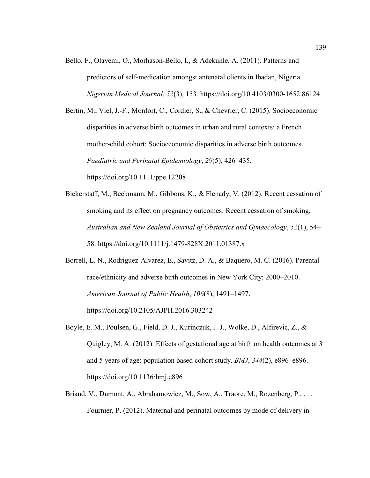Bello, F., Olayemi, O., Morhason-Bello, I., & Adekunle, A. (2011). Patterns and predictors of self-medication amongst antenatal clients in Ibadan, Nigeria. *Nigerian Medical Journal*, *52*(3), 153. https://doi.org/10.4103/0300-1652.86124

Bertin, M., Viel, J.-F., Monfort, C., Cordier, S., & Chevrier, C. (2015). Socioeconomic disparities in adverse birth outcomes in urban and rural contexts: a French mother-child cohort: Socioeconomic disparities in adverse birth outcomes. *Paediatric and Perinatal Epidemiology*, *29*(5), 426–435. https://doi.org/10.1111/ppe.12208

- Bickerstaff, M., Beckmann, M., Gibbons, K., & Flenady, V. (2012). Recent cessation of smoking and its effect on pregnancy outcomes: Recent cessation of smoking. *Australian and New Zealand Journal of Obstetrics and Gynaecology*, *52*(1), 54– 58. https://doi.org/10.1111/j.1479-828X.2011.01387.x
- Borrell, L. N., Rodriguez-Alvarez, E., Savitz, D. A., & Baquero, M. C. (2016). Parental race/ethnicity and adverse birth outcomes in New York City: 2000–2010. *American Journal of Public Health*, *106*(8), 1491–1497. https://doi.org/10.2105/AJPH.2016.303242
- Boyle, E. M., Poulsen, G., Field, D. J., Kurinczuk, J. J., Wolke, D., Alfirevic, Z., & Quigley, M. A. (2012). Effects of gestational age at birth on health outcomes at 3 and 5 years of age: population based cohort study. *BMJ*, *344*(2), e896–e896. https://doi.org/10.1136/bmj.e896
- Briand, V., Dumont, A., Abrahamowicz, M., Sow, A., Traore, M., Rozenberg, P., ... Fournier, P. (2012). Maternal and perinatal outcomes by mode of delivery in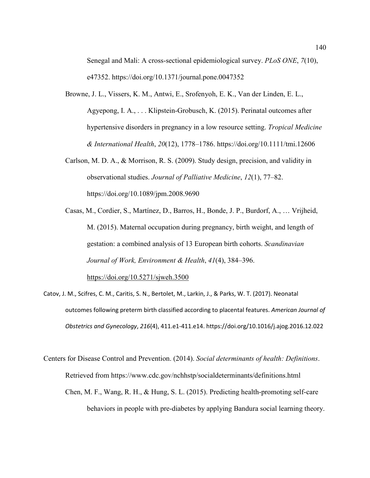Senegal and Mali: A cross-sectional epidemiological survey. *PLoS ONE*, *7*(10), e47352. https://doi.org/10.1371/journal.pone.0047352

- Browne, J. L., Vissers, K. M., Antwi, E., Srofenyoh, E. K., Van der Linden, E. L., Agyepong, I. A., . . . Klipstein-Grobusch, K. (2015). Perinatal outcomes after hypertensive disorders in pregnancy in a low resource setting. *Tropical Medicine & International Health*, *20*(12), 1778–1786. https://doi.org/10.1111/tmi.12606
- Carlson, M. D. A., & Morrison, R. S. (2009). Study design, precision, and validity in observational studies. *Journal of Palliative Medicine*, *12*(1), 77–82. https://doi.org/10.1089/jpm.2008.9690

Casas, M., Cordier, S., Martínez, D., Barros, H., Bonde, J. P., Burdorf, A., … Vrijheid, M. (2015). Maternal occupation during pregnancy, birth weight, and length of gestation: a combined analysis of 13 European birth cohorts. *Scandinavian Journal of Work, Environment & Health*, *41*(4), 384–396.

https://doi.org/10.5271/sjweh.3500

Catov, J. M., Scifres, C. M., Caritis, S. N., Bertolet, M., Larkin, J., & Parks, W. T. (2017). Neonatal outcomes following preterm birth classified according to placental features. *American Journal of Obstetrics and Gynecology*, *216*(4), 411.e1-411.e14. https://doi.org/10.1016/j.ajog.2016.12.022

Centers for Disease Control and Prevention. (2014). *Social determinants of health: Definitions*. Retrieved from https://www.cdc.gov/nchhstp/socialdeterminants/definitions.html Chen, M. F., Wang, R. H., & Hung, S. L. (2015). Predicting health-promoting self-care behaviors in people with pre-diabetes by applying Bandura social learning theory.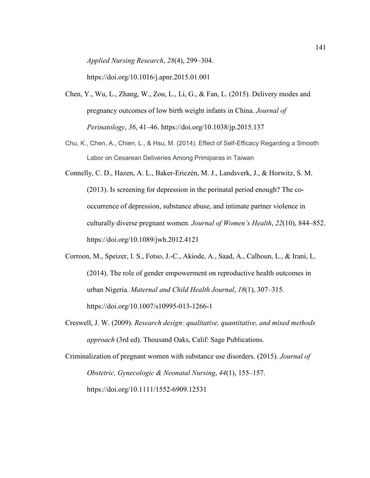*Applied Nursing Research*, *28*(4), 299–304.

https://doi.org/10.1016/j.apnr.2015.01.001

- Chen, Y., Wu, L., Zhang, W., Zou, L., Li, G., & Fan, L. (2015). Delivery modes and pregnancy outcomes of low birth weight infants in China. *Journal of Perinatology*, *36*, 41–46. https://doi.org/10.1038/jp.2015.137
- Chu, K., Chen, A., Chien, L., & Hsu, M. (2014). Effect of Self-Efficacy Regarding a Smooth Labor on Cesarean Deliveries Among Primiparas in Taiwan
- Connelly, C. D., Hazen, A. L., Baker-Ericzén, M. J., Landsverk, J., & Horwitz, S. M. (2013). Is screening for depression in the perinatal period enough? The cooccurrence of depression, substance abuse, and intimate partner violence in culturally diverse pregnant women. *Journal of Women's Health*, *22*(10), 844–852. https://doi.org/10.1089/jwh.2012.4121
- Corroon, M., Speizer, I. S., Fotso, J.-C., Akiode, A., Saad, A., Calhoun, L., & Irani, L. (2014). The role of gender empowerment on reproductive health outcomes in urban Nigeria. *Maternal and Child Health Journal*, *18*(1), 307–315. https://doi.org/10.1007/s10995-013-1266-1
- Creswell, J. W. (2009). *Research design: qualitative, quantitative, and mixed methods approach* (3rd ed). Thousand Oaks, Calif: Sage Publications.
- Criminalization of pregnant women with substance use disorders. (2015). *Journal of Obstetric, Gynecologic & Neonatal Nursing*, *44*(1), 155–157. https://doi.org/10.1111/1552-6909.12531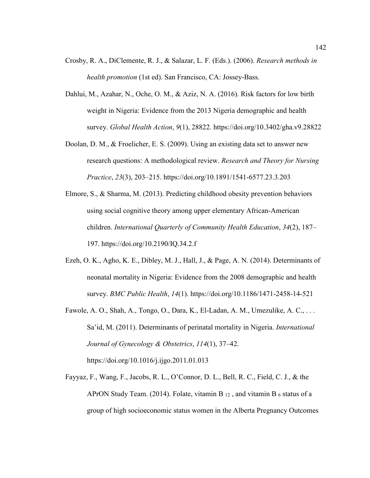- Crosby, R. A., DiClemente, R. J., & Salazar, L. F. (Eds.). (2006). *Research methods in health promotion* (1st ed). San Francisco, CA: Jossey-Bass.
- Dahlui, M., Azahar, N., Oche, O. M., & Aziz, N. A. (2016). Risk factors for low birth weight in Nigeria: Evidence from the 2013 Nigeria demographic and health survey. *Global Health Action*, *9*(1), 28822. https://doi.org/10.3402/gha.v9.28822
- Doolan, D. M., & Froelicher, E. S. (2009). Using an existing data set to answer new research questions: A methodological review. *Research and Theory for Nursing Practice*, *23*(3), 203–215. https://doi.org/10.1891/1541-6577.23.3.203
- Elmore, S., & Sharma, M. (2013). Predicting childhood obesity prevention behaviors using social cognitive theory among upper elementary African-American children. *International Quarterly of Community Health Education*, *34*(2), 187– 197. https://doi.org/10.2190/IQ.34.2.f
- Ezeh, O. K., Agho, K. E., Dibley, M. J., Hall, J., & Page, A. N. (2014). Determinants of neonatal mortality in Nigeria: Evidence from the 2008 demographic and health survey. *BMC Public Health*, *14*(1). https://doi.org/10.1186/1471-2458-14-521
- Fawole, A. O., Shah, A., Tongo, O., Dara, K., El-Ladan, A. M., Umezulike, A. C., . . . Sa'id, M. (2011). Determinants of perinatal mortality in Nigeria. *International Journal of Gynecology & Obstetrics*, *114*(1), 37–42. https://doi.org/10.1016/j.ijgo.2011.01.013
- Fayyaz, F., Wang, F., Jacobs, R. L., O'Connor, D. L., Bell, R. C., Field, C. J., & the APrON Study Team. (2014). Folate, vitamin B  $_{12}$ , and vitamin B  $_6$  status of a group of high socioeconomic status women in the Alberta Pregnancy Outcomes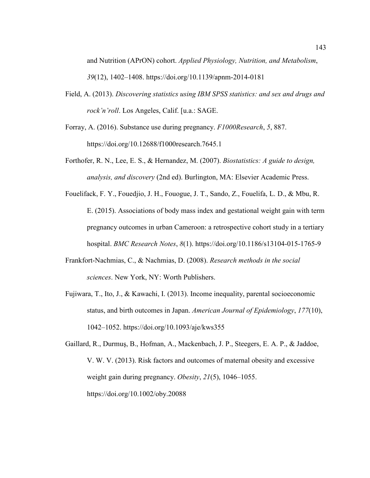and Nutrition (APrON) cohort. *Applied Physiology, Nutrition, and Metabolism*, *39*(12), 1402–1408. https://doi.org/10.1139/apnm-2014-0181

- Field, A. (2013). *Discovering statistics using IBM SPSS statistics: and sex and drugs and rock'n'roll*. Los Angeles, Calif. [u.a.: SAGE.
- Forray, A. (2016). Substance use during pregnancy. *F1000Research*, *5*, 887. https://doi.org/10.12688/f1000research.7645.1
- Forthofer, R. N., Lee, E. S., & Hernandez, M. (2007). *Biostatistics: A guide to design, analysis, and discovery* (2nd ed). Burlington, MA: Elsevier Academic Press.
- Fouelifack, F. Y., Fouedjio, J. H., Fouogue, J. T., Sando, Z., Fouelifa, L. D., & Mbu, R. E. (2015). Associations of body mass index and gestational weight gain with term pregnancy outcomes in urban Cameroon: a retrospective cohort study in a tertiary hospital. *BMC Research Notes*, *8*(1). https://doi.org/10.1186/s13104-015-1765-9
- Frankfort-Nachmias, C., & Nachmias, D. (2008). *Research methods in the social sciences*. New York, NY: Worth Publishers.
- Fujiwara, T., Ito, J., & Kawachi, I. (2013). Income inequality, parental socioeconomic status, and birth outcomes in Japan. *American Journal of Epidemiology*, *177*(10), 1042–1052. https://doi.org/10.1093/aje/kws355
- Gaillard, R., Durmuş, B., Hofman, A., Mackenbach, J. P., Steegers, E. A. P., & Jaddoe, V. W. V. (2013). Risk factors and outcomes of maternal obesity and excessive weight gain during pregnancy. *Obesity*, *21*(5), 1046–1055. https://doi.org/10.1002/oby.20088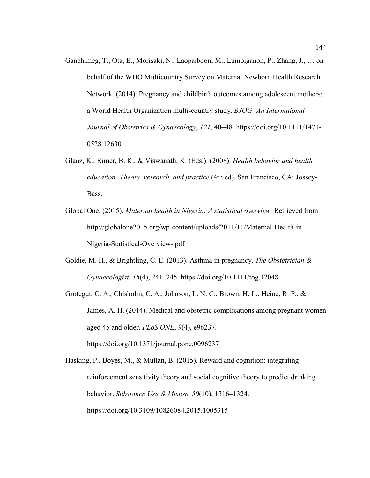- Ganchimeg, T., Ota, E., Morisaki, N., Laopaiboon, M., Lumbiganon, P., Zhang, J., … on behalf of the WHO Multicountry Survey on Maternal Newborn Health Research Network. (2014). Pregnancy and childbirth outcomes among adolescent mothers: a World Health Organization multi-country study. *BJOG: An International Journal of Obstetrics & Gynaecology*, *121*, 40–48. https://doi.org/10.1111/1471- 0528.12630
- Glanz, K., Rimer, B. K., & Viswanath, K. (Eds.). (2008). *Health behavior and health education: Theory, research, and practice* (4th ed). San Francisco, CA: Jossey-Bass.
- Global One. (2015). *Maternal health in Nigeria: A statistical overview.* Retrieved from http://globalone2015.org/wp-content/uploads/2011/11/Maternal-Health-in-Nigeria-Statistical-Overview-.pdf
- Goldie, M. H., & Brightling, C. E. (2013). Asthma in pregnancy. *The Obstetrician & Gynaecologist*, *15*(4), 241–245. https://doi.org/10.1111/tog.12048
- Grotegut, C. A., Chisholm, C. A., Johnson, L. N. C., Brown, H. L., Heine, R. P., & James, A. H. (2014). Medical and obstetric complications among pregnant women aged 45 and older. *PLoS ONE*, *9*(4), e96237. https://doi.org/10.1371/journal.pone.0096237

Hasking, P., Boyes, M., & Mullan, B. (2015). Reward and cognition: integrating reinforcement sensitivity theory and social cognitive theory to predict drinking behavior. *Substance Use & Misuse*, *50*(10), 1316–1324. https://doi.org/10.3109/10826084.2015.1005315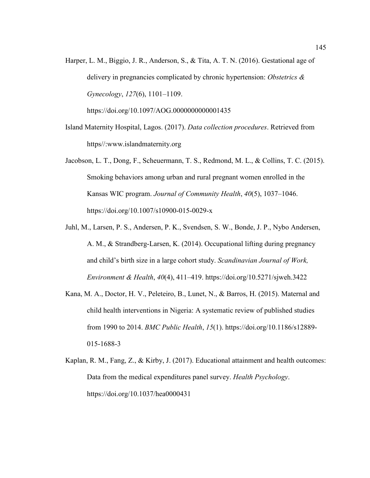Harper, L. M., Biggio, J. R., Anderson, S., & Tita, A. T. N. (2016). Gestational age of delivery in pregnancies complicated by chronic hypertension: *Obstetrics & Gynecology*, *127*(6), 1101–1109.

https://doi.org/10.1097/AOG.0000000000001435

- Island Maternity Hospital, Lagos. (2017). *Data collection procedures*. Retrieved from https//:www.islandmaternity.org
- Jacobson, L. T., Dong, F., Scheuermann, T. S., Redmond, M. L., & Collins, T. C. (2015). Smoking behaviors among urban and rural pregnant women enrolled in the Kansas WIC program. *Journal of Community Health*, *40*(5), 1037–1046. https://doi.org/10.1007/s10900-015-0029-x
- Juhl, M., Larsen, P. S., Andersen, P. K., Svendsen, S. W., Bonde, J. P., Nybo Andersen, A. M., & Strandberg-Larsen, K. (2014). Occupational lifting during pregnancy and child's birth size in a large cohort study. *Scandinavian Journal of Work, Environment & Health*, *40*(4), 411–419. https://doi.org/10.5271/sjweh.3422
- Kana, M. A., Doctor, H. V., Peleteiro, B., Lunet, N., & Barros, H. (2015). Maternal and child health interventions in Nigeria: A systematic review of published studies from 1990 to 2014. *BMC Public Health*, *15*(1). https://doi.org/10.1186/s12889- 015-1688-3
- Kaplan, R. M., Fang, Z., & Kirby, J. (2017). Educational attainment and health outcomes: Data from the medical expenditures panel survey. *Health Psychology*. https://doi.org/10.1037/hea0000431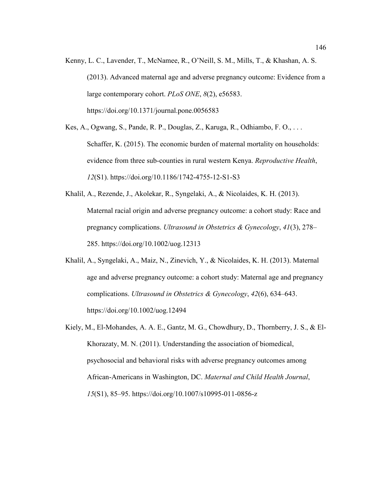- Kenny, L. C., Lavender, T., McNamee, R., O'Neill, S. M., Mills, T., & Khashan, A. S. (2013). Advanced maternal age and adverse pregnancy outcome: Evidence from a large contemporary cohort. *PLoS ONE*, *8*(2), e56583. https://doi.org/10.1371/journal.pone.0056583
- Kes, A., Ogwang, S., Pande, R. P., Douglas, Z., Karuga, R., Odhiambo, F. O., . . . Schaffer, K. (2015). The economic burden of maternal mortality on households: evidence from three sub-counties in rural western Kenya. *Reproductive Health*, *12*(S1). https://doi.org/10.1186/1742-4755-12-S1-S3
- Khalil, A., Rezende, J., Akolekar, R., Syngelaki, A., & Nicolaides, K. H. (2013). Maternal racial origin and adverse pregnancy outcome: a cohort study: Race and pregnancy complications. *Ultrasound in Obstetrics & Gynecology*, *41*(3), 278– 285. https://doi.org/10.1002/uog.12313
- Khalil, A., Syngelaki, A., Maiz, N., Zinevich, Y., & Nicolaides, K. H. (2013). Maternal age and adverse pregnancy outcome: a cohort study: Maternal age and pregnancy complications. *Ultrasound in Obstetrics & Gynecology*, *42*(6), 634–643. https://doi.org/10.1002/uog.12494
- Kiely, M., El-Mohandes, A. A. E., Gantz, M. G., Chowdhury, D., Thornberry, J. S., & El-Khorazaty, M. N. (2011). Understanding the association of biomedical, psychosocial and behavioral risks with adverse pregnancy outcomes among African-Americans in Washington, DC. *Maternal and Child Health Journal*, *15*(S1), 85–95. https://doi.org/10.1007/s10995-011-0856-z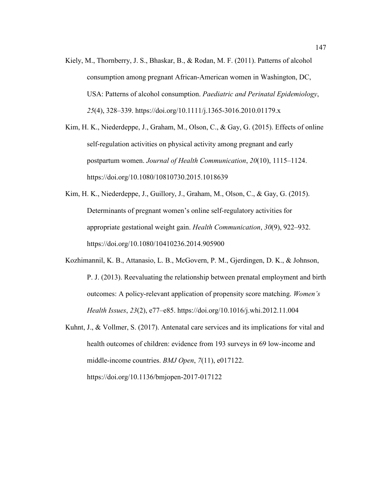Kiely, M., Thornberry, J. S., Bhaskar, B., & Rodan, M. F. (2011). Patterns of alcohol consumption among pregnant African-American women in Washington, DC, USA: Patterns of alcohol consumption. *Paediatric and Perinatal Epidemiology*, *25*(4), 328–339. https://doi.org/10.1111/j.1365-3016.2010.01179.x

Kim, H. K., Niederdeppe, J., Graham, M., Olson, C., & Gay, G. (2015). Effects of online self-regulation activities on physical activity among pregnant and early postpartum women. *Journal of Health Communication*, *20*(10), 1115–1124. https://doi.org/10.1080/10810730.2015.1018639

- Kim, H. K., Niederdeppe, J., Guillory, J., Graham, M., Olson, C., & Gay, G. (2015). Determinants of pregnant women's online self-regulatory activities for appropriate gestational weight gain. *Health Communication*, *30*(9), 922–932. https://doi.org/10.1080/10410236.2014.905900
- Kozhimannil, K. B., Attanasio, L. B., McGovern, P. M., Gjerdingen, D. K., & Johnson, P. J. (2013). Reevaluating the relationship between prenatal employment and birth outcomes: A policy-relevant application of propensity score matching. *Women's Health Issues*, *23*(2), e77–e85. https://doi.org/10.1016/j.whi.2012.11.004
- Kuhnt, J., & Vollmer, S. (2017). Antenatal care services and its implications for vital and health outcomes of children: evidence from 193 surveys in 69 low-income and middle-income countries. *BMJ Open*, *7*(11), e017122. https://doi.org/10.1136/bmjopen-2017-017122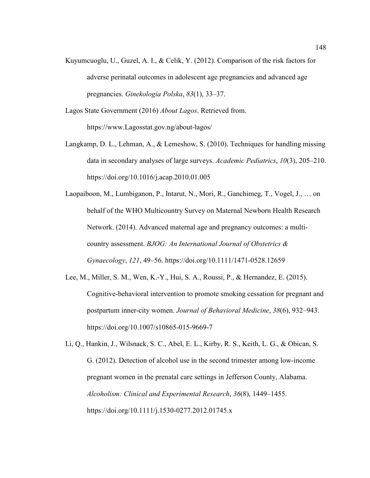- Kuyumcuoglu, U., Guzel, A. I., & Celik, Y. (2012). Comparison of the risk factors for adverse perinatal outcomes in adolescent age pregnancies and advanced age pregnancies. *Ginekologia Polska*, *83*(1), 33–37.
- Lagos State Government (2016) *About Lagos*. Retrieved from. https://www.Lagosstat.gov.ng/about-lagos/
- Langkamp, D. L., Lehman, A., & Lemeshow, S. (2010). Techniques for handling missing data in secondary analyses of large surveys. *Academic Pediatrics*, *10*(3), 205–210. https://doi.org/10.1016/j.acap.2010.01.005
- Laopaiboon, M., Lumbiganon, P., Intarut, N., Mori, R., Ganchimeg, T., Vogel, J., … on behalf of the WHO Multicountry Survey on Maternal Newborn Health Research Network. (2014). Advanced maternal age and pregnancy outcomes: a multicountry assessment. *BJOG: An International Journal of Obstetrics & Gynaecology*, *121*, 49–56. https://doi.org/10.1111/1471-0528.12659
- Lee, M., Miller, S. M., Wen, K.-Y., Hui, S. A., Roussi, P., & Hernandez, E. (2015). Cognitive-behavioral intervention to promote smoking cessation for pregnant and postpartum inner-city women. *Journal of Behavioral Medicine*, *38*(6), 932–943. https://doi.org/10.1007/s10865-015-9669-7

Li, Q., Hankin, J., Wilsnack, S. C., Abel, E. L., Kirby, R. S., Keith, L. G., & Obican, S. G. (2012). Detection of alcohol use in the second trimester among low-income pregnant women in the prenatal care settings in Jefferson County, Alabama. *Alcoholism: Clinical and Experimental Research*, *36*(8), 1449–1455. https://doi.org/10.1111/j.1530-0277.2012.01745.x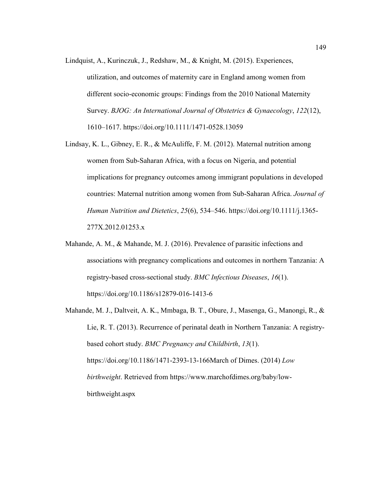- Lindquist, A., Kurinczuk, J., Redshaw, M., & Knight, M. (2015). Experiences,
	- utilization, and outcomes of maternity care in England among women from different socio-economic groups: Findings from the 2010 National Maternity Survey. *BJOG: An International Journal of Obstetrics & Gynaecology*, *122*(12), 1610–1617. https://doi.org/10.1111/1471-0528.13059
- Lindsay, K. L., Gibney, E. R., & McAuliffe, F. M. (2012). Maternal nutrition among women from Sub-Saharan Africa, with a focus on Nigeria, and potential implications for pregnancy outcomes among immigrant populations in developed countries: Maternal nutrition among women from Sub-Saharan Africa. *Journal of Human Nutrition and Dietetics*, *25*(6), 534–546. https://doi.org/10.1111/j.1365- 277X.2012.01253.x
- Mahande, A. M., & Mahande, M. J. (2016). Prevalence of parasitic infections and associations with pregnancy complications and outcomes in northern Tanzania: A registry-based cross-sectional study. *BMC Infectious Diseases*, *16*(1). https://doi.org/10.1186/s12879-016-1413-6
- Mahande, M. J., Daltveit, A. K., Mmbaga, B. T., Obure, J., Masenga, G., Manongi, R., & Lie, R. T. (2013). Recurrence of perinatal death in Northern Tanzania: A registrybased cohort study. *BMC Pregnancy and Childbirth*, *13*(1). https://doi.org/10.1186/1471-2393-13-166March of Dimes. (2014) *Low birthweight*. Retrieved from https://www.marchofdimes.org/baby/lowbirthweight.aspx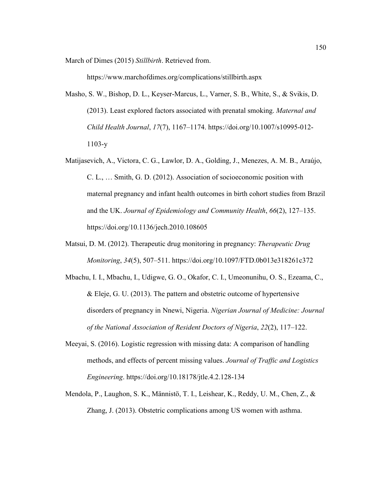March of Dimes (2015) *Stillbirth*. Retrieved from.

https://www.marchofdimes.org/complications/stillbirth.aspx

- Masho, S. W., Bishop, D. L., Keyser-Marcus, L., Varner, S. B., White, S., & Svikis, D. (2013). Least explored factors associated with prenatal smoking. *Maternal and Child Health Journal*, *17*(7), 1167–1174. https://doi.org/10.1007/s10995-012- 1103-y
- Matijasevich, A., Victora, C. G., Lawlor, D. A., Golding, J., Menezes, A. M. B., Araújo, C. L., … Smith, G. D. (2012). Association of socioeconomic position with maternal pregnancy and infant health outcomes in birth cohort studies from Brazil and the UK. *Journal of Epidemiology and Community Health*, *66*(2), 127–135. https://doi.org/10.1136/jech.2010.108605
- Matsui, D. M. (2012). Therapeutic drug monitoring in pregnancy: *Therapeutic Drug Monitoring*, *34*(5), 507–511. https://doi.org/10.1097/FTD.0b013e318261c372
- Mbachu, I. I., Mbachu, I., Udigwe, G. O., Okafor, C. I., Umeonunihu, O. S., Ezeama, C., & Eleje, G. U. (2013). The pattern and obstetric outcome of hypertensive disorders of pregnancy in Nnewi, Nigeria. *Nigerian Journal of Medicine: Journal of the National Association of Resident Doctors of Nigeria*, *22*(2), 117–122.
- Meeyai, S. (2016). Logistic regression with missing data: A comparison of handling methods, and effects of percent missing values. *Journal of Traffic and Logistics Engineering*. https://doi.org/10.18178/jtle.4.2.128-134
- Mendola, P., Laughon, S. K., Männistö, T. I., Leishear, K., Reddy, U. M., Chen, Z., & Zhang, J. (2013). Obstetric complications among US women with asthma.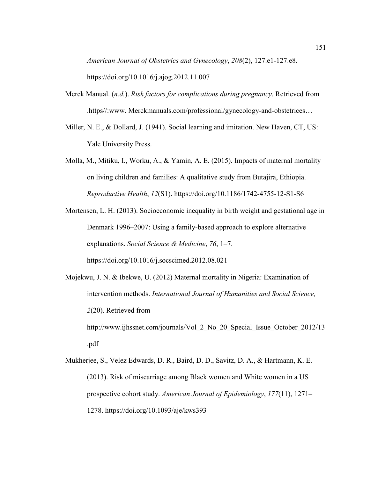*American Journal of Obstetrics and Gynecology*, *208*(2), 127.e1-127.e8. https://doi.org/10.1016/j.ajog.2012.11.007

- Merck Manual. (*n.d.*). *Risk factors for complications during pregnancy*. Retrieved from .https//:www. Merckmanuals.com/professional/gynecology-and-obstetrices…
- Miller, N. E., & Dollard, J. (1941). Social learning and imitation. New Haven, CT, US: Yale University Press.
- Molla, M., Mitiku, I., Worku, A., & Yamin, A. E. (2015). Impacts of maternal mortality on living children and families: A qualitative study from Butajira, Ethiopia. *Reproductive Health*, *12*(S1). https://doi.org/10.1186/1742-4755-12-S1-S6
- Mortensen, L. H. (2013). Socioeconomic inequality in birth weight and gestational age in Denmark 1996–2007: Using a family-based approach to explore alternative explanations. *Social Science & Medicine*, *76*, 1–7. https://doi.org/10.1016/j.socscimed.2012.08.021
- Mojekwu, J. N. & Ibekwe, U. (2012) Maternal mortality in Nigeria: Examination of intervention methods. *International Journal of Humanities and Social Science, 2*(20). Retrieved from http://www.ijhssnet.com/journals/Vol 2 No 20 Special Issue October 2012/13 .pdf
- Mukherjee, S., Velez Edwards, D. R., Baird, D. D., Savitz, D. A., & Hartmann, K. E. (2013). Risk of miscarriage among Black women and White women in a US prospective cohort study. *American Journal of Epidemiology*, *177*(11), 1271– 1278. https://doi.org/10.1093/aje/kws393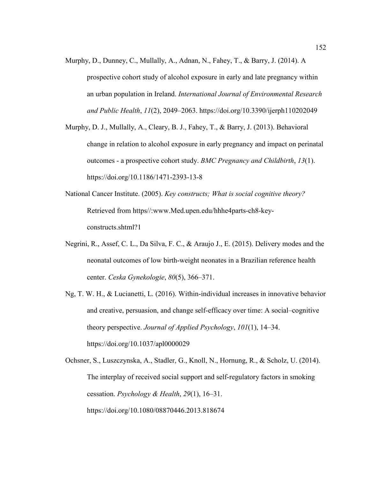- Murphy, D., Dunney, C., Mullally, A., Adnan, N., Fahey, T., & Barry, J. (2014). A prospective cohort study of alcohol exposure in early and late pregnancy within an urban population in Ireland. *International Journal of Environmental Research and Public Health*, *11*(2), 2049–2063. https://doi.org/10.3390/ijerph110202049
- Murphy, D. J., Mullally, A., Cleary, B. J., Fahey, T., & Barry, J. (2013). Behavioral change in relation to alcohol exposure in early pregnancy and impact on perinatal outcomes - a prospective cohort study. *BMC Pregnancy and Childbirth*, *13*(1). https://doi.org/10.1186/1471-2393-13-8
- National Cancer Institute. (2005). *Key constructs; What is social cognitive theory?* Retrieved from https//:www.Med.upen.edu/hhhe4parts-ch8-keyconstructs.shtml?1
- Negrini, R., Assef, C. L., Da Silva, F. C., & Araujo J., E. (2015). Delivery modes and the neonatal outcomes of low birth-weight neonates in a Brazilian reference health center. *Ceska Gynekologie*, *80*(5), 366–371.
- Ng, T. W. H., & Lucianetti, L. (2016). Within-individual increases in innovative behavior and creative, persuasion, and change self-efficacy over time: A social–cognitive theory perspective. *Journal of Applied Psychology*, *101*(1), 14–34. https://doi.org/10.1037/apl0000029

Ochsner, S., Luszczynska, A., Stadler, G., Knoll, N., Hornung, R., & Scholz, U. (2014). The interplay of received social support and self-regulatory factors in smoking cessation. *Psychology & Health*, *29*(1), 16–31. https://doi.org/10.1080/08870446.2013.818674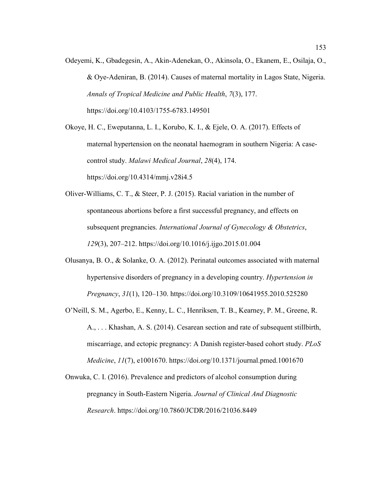Odeyemi, K., Gbadegesin, A., Akin-Adenekan, O., Akinsola, O., Ekanem, E., Osilaja, O., & Oye-Adeniran, B. (2014). Causes of maternal mortality in Lagos State, Nigeria. *Annals of Tropical Medicine and Public Health*, *7*(3), 177. https://doi.org/10.4103/1755-6783.149501

Okoye, H. C., Eweputanna, L. I., Korubo, K. I., & Ejele, O. A. (2017). Effects of maternal hypertension on the neonatal haemogram in southern Nigeria: A casecontrol study. *Malawi Medical Journal*, *28*(4), 174. https://doi.org/10.4314/mmj.v28i4.5

- Oliver-Williams, C. T., & Steer, P. J. (2015). Racial variation in the number of spontaneous abortions before a first successful pregnancy, and effects on subsequent pregnancies. *International Journal of Gynecology & Obstetrics*, *129*(3), 207–212. https://doi.org/10.1016/j.ijgo.2015.01.004
- Olusanya, B. O., & Solanke, O. A. (2012). Perinatal outcomes associated with maternal hypertensive disorders of pregnancy in a developing country. *Hypertension in Pregnancy*, *31*(1), 120–130. https://doi.org/10.3109/10641955.2010.525280
- O'Neill, S. M., Agerbo, E., Kenny, L. C., Henriksen, T. B., Kearney, P. M., Greene, R. A., . . . Khashan, A. S. (2014). Cesarean section and rate of subsequent stillbirth, miscarriage, and ectopic pregnancy: A Danish register-based cohort study. *PLoS Medicine*, *11*(7), e1001670. https://doi.org/10.1371/journal.pmed.1001670
- Onwuka, C. I. (2016). Prevalence and predictors of alcohol consumption during pregnancy in South-Eastern Nigeria. *Journal of Clinical And Diagnostic Research*. https://doi.org/10.7860/JCDR/2016/21036.8449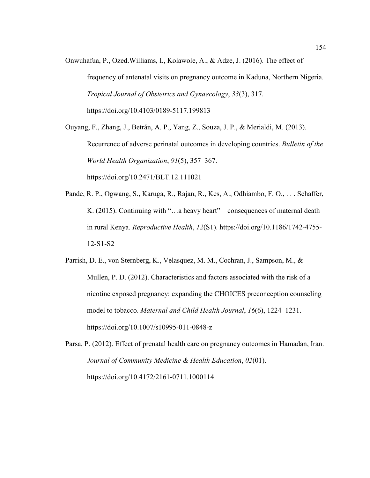Onwuhafua, P., Ozed.Williams, I., Kolawole, A., & Adze, J. (2016). The effect of frequency of antenatal visits on pregnancy outcome in Kaduna, Northern Nigeria. *Tropical Journal of Obstetrics and Gynaecology*, *33*(3), 317. https://doi.org/10.4103/0189-5117.199813

Ouyang, F., Zhang, J., Betrán, A. P., Yang, Z., Souza, J. P., & Merialdi, M. (2013). Recurrence of adverse perinatal outcomes in developing countries. *Bulletin of the World Health Organization*, *91*(5), 357–367. https://doi.org/10.2471/BLT.12.111021

- Pande, R. P., Ogwang, S., Karuga, R., Rajan, R., Kes, A., Odhiambo, F. O., . . . Schaffer, K. (2015). Continuing with "…a heavy heart"—consequences of maternal death in rural Kenya. *Reproductive Health*, *12*(S1). https://doi.org/10.1186/1742-4755- 12-S1-S2
- Parrish, D. E., von Sternberg, K., Velasquez, M. M., Cochran, J., Sampson, M., & Mullen, P. D. (2012). Characteristics and factors associated with the risk of a nicotine exposed pregnancy: expanding the CHOICES preconception counseling model to tobacco. *Maternal and Child Health Journal*, *16*(6), 1224–1231. https://doi.org/10.1007/s10995-011-0848-z
- Parsa, P. (2012). Effect of prenatal health care on pregnancy outcomes in Hamadan, Iran. *Journal of Community Medicine & Health Education*, *02*(01). https://doi.org/10.4172/2161-0711.1000114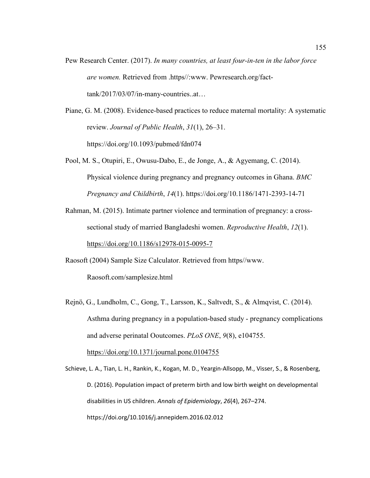Pew Research Center. (2017). *In many countries, at least four-in-ten in the labor force are women.* Retrieved from .https//:www. Pewresearch.org/facttank/2017/03/07/in-many-countries..at…

Piane, G. M. (2008). Evidence-based practices to reduce maternal mortality: A systematic review. *Journal of Public Health*, *31*(1), 26–31. https://doi.org/10.1093/pubmed/fdn074

Pool, M. S., Otupiri, E., Owusu-Dabo, E., de Jonge, A., & Agyemang, C. (2014). Physical violence during pregnancy and pregnancy outcomes in Ghana. *BMC Pregnancy and Childbirth*, *14*(1). https://doi.org/10.1186/1471-2393-14-71

Rahman, M. (2015). Intimate partner violence and termination of pregnancy: a crosssectional study of married Bangladeshi women. *Reproductive Health*, *12*(1). https://doi.org/10.1186/s12978-015-0095-7

Raosoft (2004) Sample Size Calculator. Retrieved from https//www. Raosoft.com/samplesize.html

Rejnö, G., Lundholm, C., Gong, T., Larsson, K., Saltvedt, S., & Almqvist, C. (2014). Asthma during pregnancy in a population-based study - pregnancy complications and adverse perinatal Ooutcomes. *PLoS ONE*, *9*(8), e104755.

https://doi.org/10.1371/journal.pone.0104755

Schieve, L. A., Tian, L. H., Rankin, K., Kogan, M. D., Yeargin-Allsopp, M., Visser, S., & Rosenberg, D. (2016). Population impact of preterm birth and low birth weight on developmental disabilities in US children. *Annals of Epidemiology*, *26*(4), 267–274. https://doi.org/10.1016/j.annepidem.2016.02.012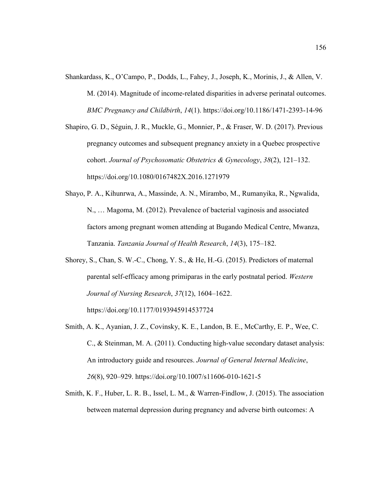- Shankardass, K., O'Campo, P., Dodds, L., Fahey, J., Joseph, K., Morinis, J., & Allen, V. M. (2014). Magnitude of income-related disparities in adverse perinatal outcomes. *BMC Pregnancy and Childbirth*, *14*(1). https://doi.org/10.1186/1471-2393-14-96
- Shapiro, G. D., Séguin, J. R., Muckle, G., Monnier, P., & Fraser, W. D. (2017). Previous pregnancy outcomes and subsequent pregnancy anxiety in a Quebec prospective cohort. *Journal of Psychosomatic Obstetrics & Gynecology*, *38*(2), 121–132. https://doi.org/10.1080/0167482X.2016.1271979
- Shayo, P. A., Kihunrwa, A., Massinde, A. N., Mirambo, M., Rumanyika, R., Ngwalida, N., … Magoma, M. (2012). Prevalence of bacterial vaginosis and associated factors among pregnant women attending at Bugando Medical Centre, Mwanza, Tanzania. *Tanzania Journal of Health Research*, *14*(3), 175–182.
- Shorey, S., Chan, S. W.-C., Chong, Y. S., & He, H.-G. (2015). Predictors of maternal parental self-efficacy among primiparas in the early postnatal period. *Western Journal of Nursing Research*, *37*(12), 1604–1622.

https://doi.org/10.1177/0193945914537724

- Smith, A. K., Ayanian, J. Z., Covinsky, K. E., Landon, B. E., McCarthy, E. P., Wee, C. C., & Steinman, M. A. (2011). Conducting high-value secondary dataset analysis: An introductory guide and resources. *Journal of General Internal Medicine*, *26*(8), 920–929. https://doi.org/10.1007/s11606-010-1621-5
- Smith, K. F., Huber, L. R. B., Issel, L. M., & Warren-Findlow, J. (2015). The association between maternal depression during pregnancy and adverse birth outcomes: A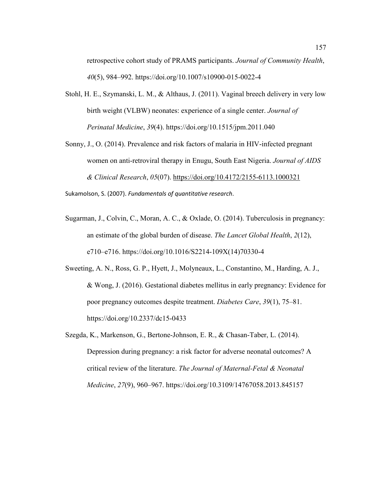retrospective cohort study of PRAMS participants. *Journal of Community Health*, *40*(5), 984–992. https://doi.org/10.1007/s10900-015-0022-4

- Stohl, H. E., Szymanski, L. M., & Althaus, J. (2011). Vaginal breech delivery in very low birth weight (VLBW) neonates: experience of a single center. *Journal of Perinatal Medicine*, *39*(4). https://doi.org/10.1515/jpm.2011.040
- Sonny, J., O. (2014). Prevalence and risk factors of malaria in HIV-infected pregnant women on anti-retroviral therapy in Enugu, South East Nigeria. *Journal of AIDS & Clinical Research*, *05*(07). https://doi.org/10.4172/2155-6113.1000321

Sukamolson, S. (2007). *Fundamentals of quantitative research*.

- Sugarman, J., Colvin, C., Moran, A. C., & Oxlade, O. (2014). Tuberculosis in pregnancy: an estimate of the global burden of disease. *The Lancet Global Health*, *2*(12), e710–e716. https://doi.org/10.1016/S2214-109X(14)70330-4
- Sweeting, A. N., Ross, G. P., Hyett, J., Molyneaux, L., Constantino, M., Harding, A. J., & Wong, J. (2016). Gestational diabetes mellitus in early pregnancy: Evidence for poor pregnancy outcomes despite treatment. *Diabetes Care*, *39*(1), 75–81. https://doi.org/10.2337/dc15-0433

Szegda, K., Markenson, G., Bertone-Johnson, E. R., & Chasan-Taber, L. (2014). Depression during pregnancy: a risk factor for adverse neonatal outcomes? A critical review of the literature. *The Journal of Maternal-Fetal & Neonatal Medicine*, *27*(9), 960–967. https://doi.org/10.3109/14767058.2013.845157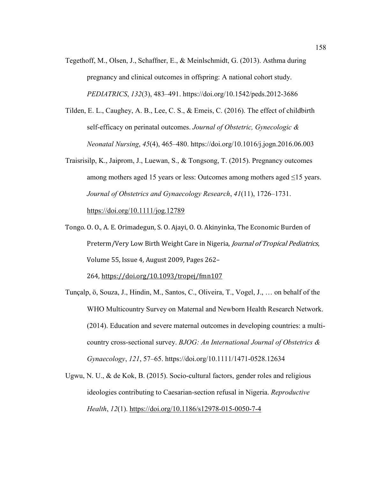- Tegethoff, M., Olsen, J., Schaffner, E., & Meinlschmidt, G. (2013). Asthma during pregnancy and clinical outcomes in offspring: A national cohort study. *PEDIATRICS*, *132*(3), 483–491. https://doi.org/10.1542/peds.2012-3686
- Tilden, E. L., Caughey, A. B., Lee, C. S., & Emeis, C. (2016). The effect of childbirth self-efficacy on perinatal outcomes. *Journal of Obstetric, Gynecologic & Neonatal Nursing*, *45*(4), 465–480. https://doi.org/10.1016/j.jogn.2016.06.003
- Traisrisilp, K., Jaiprom, J., Luewan, S., & Tongsong, T. (2015). Pregnancy outcomes among mothers aged 15 years or less: Outcomes among mothers aged ≤15 years. *Journal of Obstetrics and Gynaecology Research*, *41*(11), 1726–1731. https://doi.org/10.1111/jog.12789
- Tongo. O. O., A. E. Orimadegun, S. O. Ajayi, O. O. Akinyinka, The Economic Burden of Preterm/Very Low Birth Weight Care in Nigeria, *Journal of Tropical Pediatrics*, Volume 55, Issue 4, August 2009, Pages 262–

264, https://doi.org/10.1093/tropej/fmn107

- Tunçalp, ö, Souza, J., Hindin, M., Santos, C., Oliveira, T., Vogel, J., … on behalf of the WHO Multicountry Survey on Maternal and Newborn Health Research Network. (2014). Education and severe maternal outcomes in developing countries: a multicountry cross-sectional survey. *BJOG: An International Journal of Obstetrics & Gynaecology*, *121*, 57–65. https://doi.org/10.1111/1471-0528.12634
- Ugwu, N. U., & de Kok, B. (2015). Socio-cultural factors, gender roles and religious ideologies contributing to Caesarian-section refusal in Nigeria. *Reproductive Health*, *12*(1). https://doi.org/10.1186/s12978-015-0050-7-4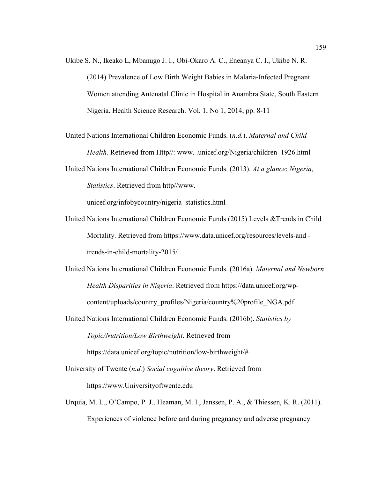Ukibe S. N., Ikeako L, Mbanugo J. I., Obi-Okaro A. C., Eneanya C. I., Ukibe N. R. (2014) Prevalence of Low Birth Weight Babies in Malaria-Infected Pregnant Women attending Antenatal Clinic in Hospital in Anambra State, South Eastern Nigeria. Health Science Research. Vol. 1, No 1, 2014, pp. 8-11

United Nations International Children Economic Funds. (*n.d.*). *Maternal and Child Health.* Retrieved from Http//: www. .unicef.org/Nigeria/children 1926.html

United Nations International Children Economic Funds. (2013). *At a glance*; *Nigeria, Statistics*. Retrieved from http//www.

unicef.org/infobycountry/nigeria\_statistics.html

- United Nations International Children Economic Funds (2015) Levels &Trends in Child Mortality. Retrieved from https://www.data.unicef.org/resources/levels-and trends-in-child-mortality-2015/
- United Nations International Children Economic Funds. (2016a). *Maternal and Newborn Health Disparities in Nigeria*. Retrieved from https://data.unicef.org/wpcontent/uploads/country\_profiles/Nigeria/country%20profile\_NGA.pdf
- United Nations International Children Economic Funds. (2016b). *Statistics by Topic/Nutrition/Low Birthweight*. Retrieved from https://data.unicef.org/topic/nutrition/low-birthweight/#

University of Twente (*n.d.*) *Social cognitive theory*. Retrieved from https://www.Universityoftwente.edu

Urquia, M. L., O'Campo, P. J., Heaman, M. I., Janssen, P. A., & Thiessen, K. R. (2011). Experiences of violence before and during pregnancy and adverse pregnancy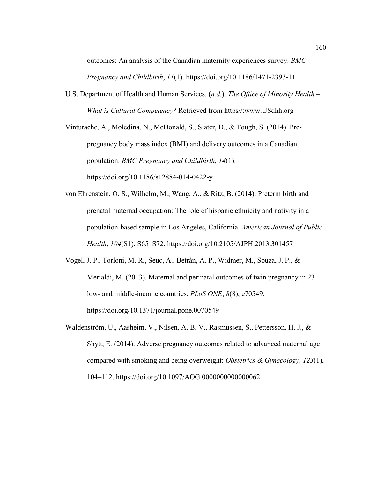outcomes: An analysis of the Canadian maternity experiences survey. *BMC Pregnancy and Childbirth*, *11*(1). https://doi.org/10.1186/1471-2393-11

U.S. Department of Health and Human Services. (*n.d.*). *The Office of Minority Health – What is Cultural Competency?* Retrieved from https//:www.USdhh.org

Vinturache, A., Moledina, N., McDonald, S., Slater, D., & Tough, S. (2014). Prepregnancy body mass index (BMI) and delivery outcomes in a Canadian population. *BMC Pregnancy and Childbirth*, *14*(1). https://doi.org/10.1186/s12884-014-0422-y

- von Ehrenstein, O. S., Wilhelm, M., Wang, A., & Ritz, B. (2014). Preterm birth and prenatal maternal occupation: The role of hispanic ethnicity and nativity in a population-based sample in Los Angeles, California. *American Journal of Public Health*, *104*(S1), S65–S72. https://doi.org/10.2105/AJPH.2013.301457
- Vogel, J. P., Torloni, M. R., Seuc, A., Betrán, A. P., Widmer, M., Souza, J. P., & Merialdi, M. (2013). Maternal and perinatal outcomes of twin pregnancy in 23 low- and middle-income countries. *PLoS ONE*, *8*(8), e70549. https://doi.org/10.1371/journal.pone.0070549
- Waldenström, U., Aasheim, V., Nilsen, A. B. V., Rasmussen, S., Pettersson, H. J., & Shytt, E. (2014). Adverse pregnancy outcomes related to advanced maternal age compared with smoking and being overweight: *Obstetrics & Gynecology*, *123*(1), 104–112. https://doi.org/10.1097/AOG.0000000000000062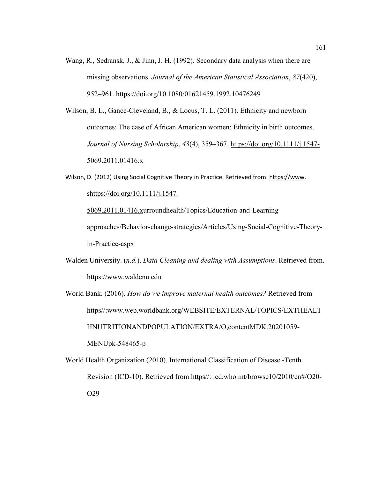Wang, R., Sedransk, J., & Jinn, J. H. (1992). Secondary data analysis when there are missing observations. *Journal of the American Statistical Association*, *87*(420), 952–961. https://doi.org/10.1080/01621459.1992.10476249

Wilson, B. L., Gance-Cleveland, B., & Locus, T. L. (2011). Ethnicity and newborn outcomes: The case of African American women: Ethnicity in birth outcomes. *Journal of Nursing Scholarship*, *43*(4), 359–367. https://doi.org/10.1111/j.1547- 5069.2011.01416.x

Wilson, D. (2012) Using Social Cognitive Theory in Practice. Retrieved from. https://www.

shttps://doi.org/10.1111/j.1547-

5069.2011.01416.xurroundhealth/Topics/Education-and-Learningapproaches/Behavior-change-strategies/Articles/Using-Social-Cognitive-Theoryin-Practice-aspx

Walden University. (*n.d.*). *Data Cleaning and dealing with Assumptions*. Retrieved from. https://www.waldenu.edu

World Bank. (2016). *How do we improve maternal health outcomes?* Retrieved from https//:www.web.worldbank.org/WEBSITE/EXTERNAL/TOPICS/EXTHEALT HNUTRITIONANDPOPULATION/EXTRA/O,contentMDK.20201059- MENUpk-548465-p

World Health Organization (2010). International Classification of Disease -Tenth Revision (ICD-10). Retrieved from https//: icd.who.int/browse10/2010/en#/O20- O29